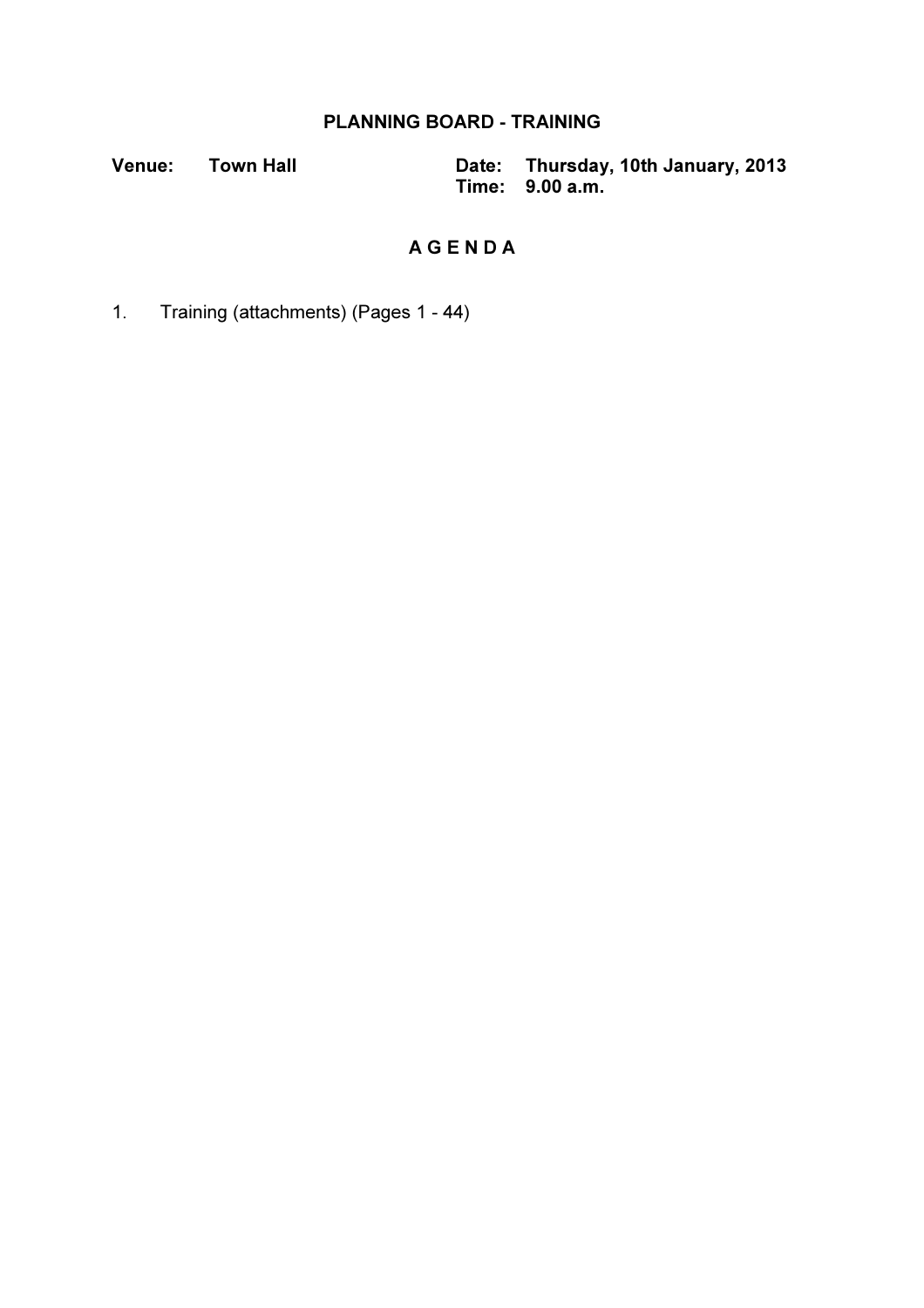## PLANNING BOARD - TRAINING

Venue: Town Hall Date: Thursday, 10th January, 2013 Time: 9.00 a.m.

## A G E N D A

1. Training (attachments) (Pages 1 - 44)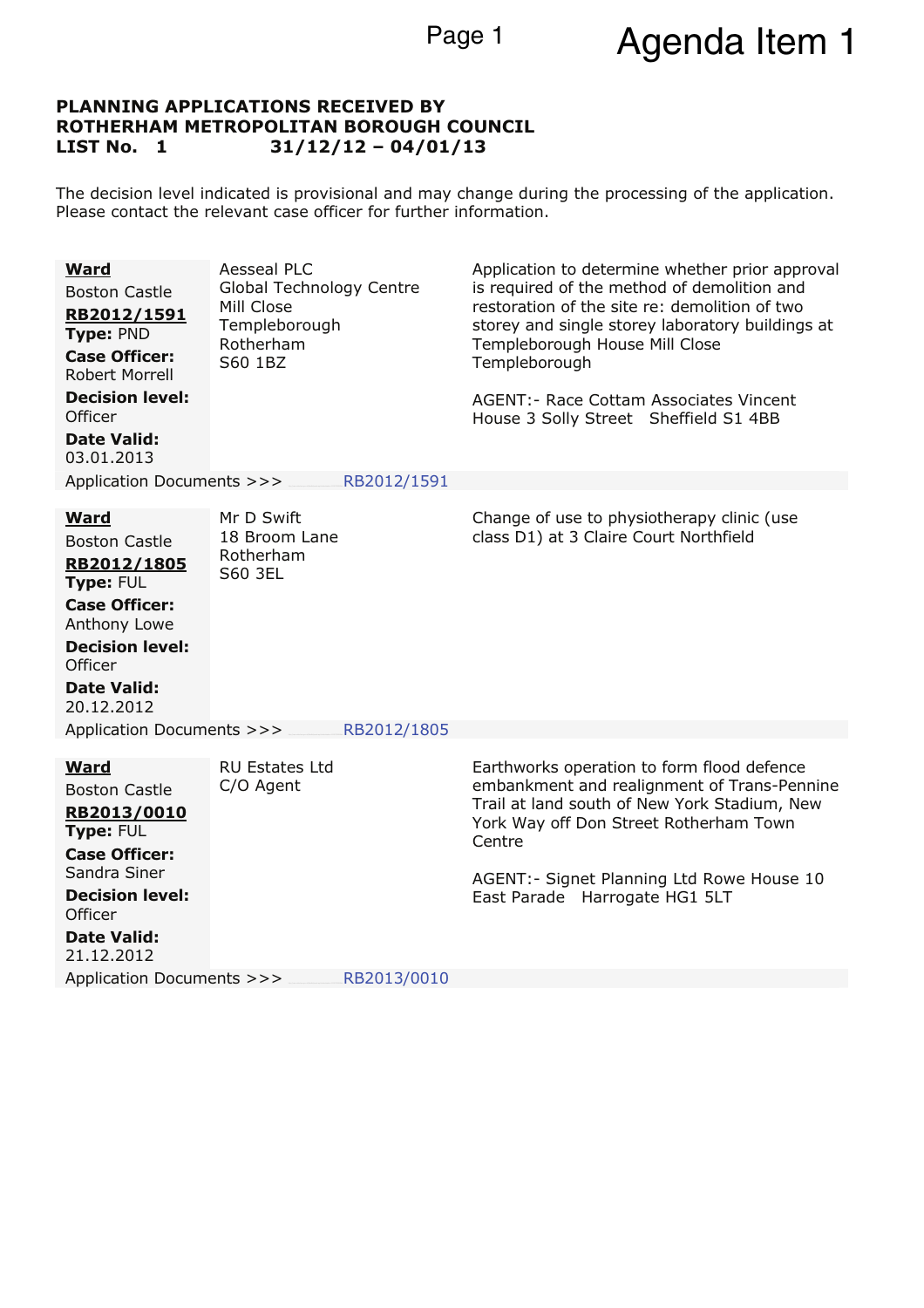# Page 1 **Agenda Item 1**

## **PLANNING APPLICATIONS RECEIVED BY ROTHERHAM METROPOLITAN BOROUGH COUNCIL LIST No. 1 31/12/12 – 04/01/13**

The decision level indicated is provisional and may change during the processing of the application. Please contact the relevant case officer for further information.

| <b>Ward</b><br><b>Boston Castle</b><br>RB2012/1591<br>Type: PND<br><b>Case Officer:</b><br><b>Robert Morrell</b><br><b>Decision level:</b><br>Officer<br><b>Date Valid:</b><br>03.01.2013<br>Application Documents >>> | <b>Aesseal PLC</b><br>Global Technology Centre<br>Mill Close<br>Templeborough<br>Rotherham<br>S60 1BZ | RB2012/1591 | Application to determine whether prior approval<br>is required of the method of demolition and<br>restoration of the site re: demolition of two<br>storey and single storey laboratory buildings at<br>Templeborough House Mill Close<br>Templeborough<br><b>AGENT:- Race Cottam Associates Vincent</b><br>House 3 Solly Street Sheffield S1 4BB |
|------------------------------------------------------------------------------------------------------------------------------------------------------------------------------------------------------------------------|-------------------------------------------------------------------------------------------------------|-------------|--------------------------------------------------------------------------------------------------------------------------------------------------------------------------------------------------------------------------------------------------------------------------------------------------------------------------------------------------|
|                                                                                                                                                                                                                        |                                                                                                       |             |                                                                                                                                                                                                                                                                                                                                                  |
| <b>Ward</b><br><b>Boston Castle</b><br>RB2012/1805<br>Type: FUL<br><b>Case Officer:</b><br>Anthony Lowe<br><b>Decision level:</b><br>Officer<br><b>Date Valid:</b><br>20.12.2012                                       | Mr D Swift<br>18 Broom Lane<br>Rotherham<br><b>S60 3EL</b>                                            |             | Change of use to physiotherapy clinic (use<br>class D1) at 3 Claire Court Northfield                                                                                                                                                                                                                                                             |
| Application Documents >>>                                                                                                                                                                                              |                                                                                                       | RB2012/1805 |                                                                                                                                                                                                                                                                                                                                                  |
| <b>Ward</b><br><b>Boston Castle</b><br>RB2013/0010<br>Type: FUL<br><b>Case Officer:</b><br>Sandra Siner<br><b>Decision level:</b><br>Officer<br><b>Date Valid:</b><br>21.12.2012                                       | <b>RU Estates Ltd</b><br>C/O Agent                                                                    |             | Earthworks operation to form flood defence<br>embankment and realignment of Trans-Pennine<br>Trail at land south of New York Stadium, New<br>York Way off Don Street Rotherham Town<br>Centre<br>AGENT:- Signet Planning Ltd Rowe House 10<br>East Parade Harrogate HG1 5LT                                                                      |
| Application Documents >>>                                                                                                                                                                                              |                                                                                                       | RB2013/0010 |                                                                                                                                                                                                                                                                                                                                                  |
|                                                                                                                                                                                                                        |                                                                                                       |             |                                                                                                                                                                                                                                                                                                                                                  |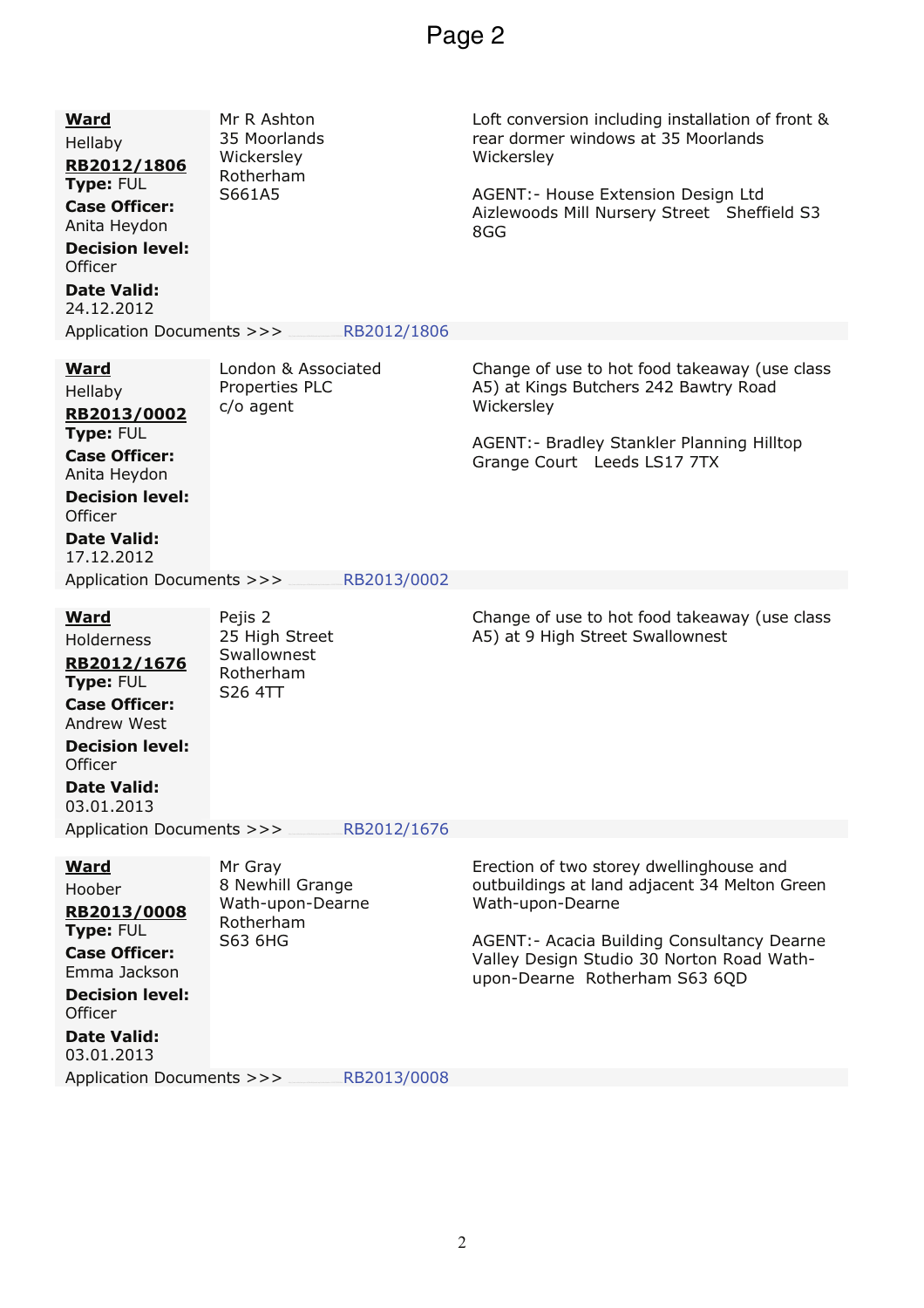| <b>Ward</b><br>Hellaby<br>RB2012/1806<br>Type: FUL<br><b>Case Officer:</b><br>Anita Heydon<br><b>Decision level:</b><br>Officer<br><b>Date Valid:</b><br>24.12.2012<br>Application Documents >>>                             | Mr R Ashton<br>35 Moorlands<br>Wickersley<br>Rotherham<br>S661A5        | RB2012/1806                | Loft conversion including installation of front &<br>rear dormer windows at 35 Moorlands<br>Wickersley<br>AGENT: - House Extension Design Ltd<br>Aizlewoods Mill Nursery Street Sheffield S3<br>8GG                                        |
|------------------------------------------------------------------------------------------------------------------------------------------------------------------------------------------------------------------------------|-------------------------------------------------------------------------|----------------------------|--------------------------------------------------------------------------------------------------------------------------------------------------------------------------------------------------------------------------------------------|
| <b>Ward</b><br>Hellaby<br>RB2013/0002<br>Type: FUL<br><b>Case Officer:</b><br>Anita Heydon<br><b>Decision level:</b><br>Officer<br><b>Date Valid:</b><br>17.12.2012<br>Application Documents >>>                             | London & Associated<br>Properties PLC<br>c/o agent                      | RB2013/0002                | Change of use to hot food takeaway (use class<br>A5) at Kings Butchers 242 Bawtry Road<br>Wickersley<br>AGENT: - Bradley Stankler Planning Hilltop<br>Grange Court Leeds LS17 7TX                                                          |
| <b>Ward</b><br><b>Holderness</b><br>RB2012/1676<br>Type: FUL<br><b>Case Officer:</b><br><b>Andrew West</b><br><b>Decision level:</b><br>Officer<br><b>Date Valid:</b><br>03.01.2013                                          | Pejis 2<br>25 High Street<br>Swallownest<br>Rotherham<br>S26 4TT        |                            | Change of use to hot food takeaway (use class<br>A5) at 9 High Street Swallownest                                                                                                                                                          |
| Application Documents >>><br><u>Ward</u><br>Hoober<br>RB2013/0008<br>Type: FUL<br><b>Case Officer:</b><br>Emma Jackson<br><b>Decision level:</b><br>Officer<br><b>Date Valid:</b><br>03.01.2013<br>Application Documents >>> | Mr Gray<br>8 Newhill Grange<br>Wath-upon-Dearne<br>Rotherham<br>S63 6HG | RB2012/1676<br>RB2013/0008 | Erection of two storey dwellinghouse and<br>outbuildings at land adjacent 34 Melton Green<br>Wath-upon-Dearne<br>AGENT: - Acacia Building Consultancy Dearne<br>Valley Design Studio 30 Norton Road Wath-<br>upon-Dearne Rotherham S63 6QD |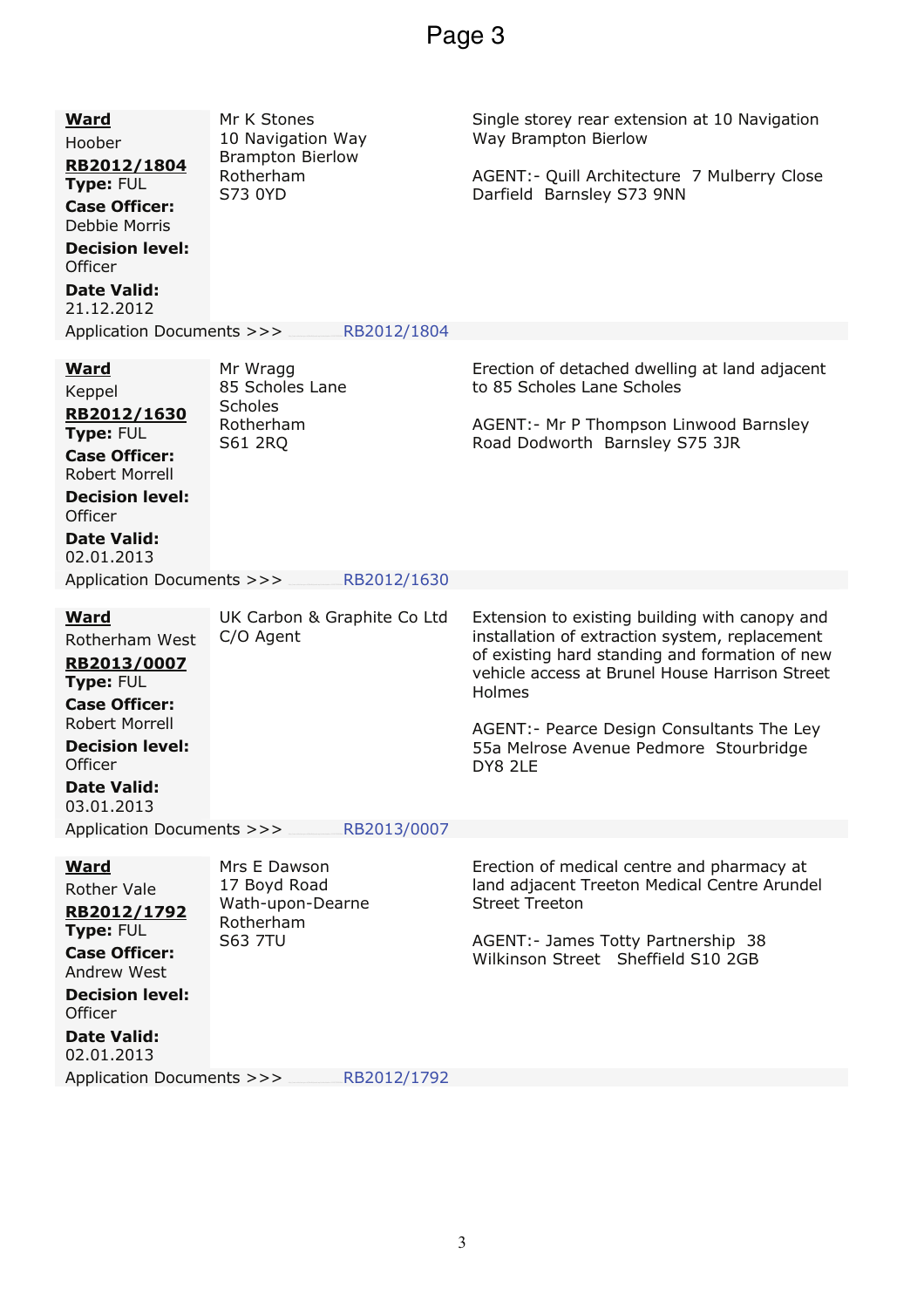## **Ward**

Hoober

#### **RB2012/1804 Type:** FUL

**Case Officer:**  Debbie Morris

**Decision level: Officer** 

## **Date Valid:**

21.12.2012

Mr K Stones 10 Navigation Way Brampton Bierlow Rotherham S73 0YD

Single storey rear extension at 10 Navigation Way Brampton Bierlow

AGENT:- Quill Architecture 7 Mulberry Close Darfield Barnsley S73 9NN

| Application Documents >>>                                                                                                                                                                                        |                                                                                 | RB2012/1804 |                                                                                                                                                                                                                                                                                                                   |
|------------------------------------------------------------------------------------------------------------------------------------------------------------------------------------------------------------------|---------------------------------------------------------------------------------|-------------|-------------------------------------------------------------------------------------------------------------------------------------------------------------------------------------------------------------------------------------------------------------------------------------------------------------------|
| <b>Ward</b><br>Keppel<br>RB2012/1630<br>Type: FUL<br><b>Case Officer:</b><br><b>Robert Morrell</b><br><b>Decision level:</b><br>Officer<br><b>Date Valid:</b><br>02.01.2013<br>Application Documents >>>         | Mr Wragg<br>85 Scholes Lane<br><b>Scholes</b><br>Rotherham<br>S61 2RQ           | RB2012/1630 | Erection of detached dwelling at land adjacent<br>to 85 Scholes Lane Scholes<br>AGENT: - Mr P Thompson Linwood Barnsley<br>Road Dodworth Barnsley S75 3JR                                                                                                                                                         |
| <u>Ward</u><br>Rotherham West<br>RB2013/0007<br>Type: FUL<br><b>Case Officer:</b><br><b>Robert Morrell</b><br><b>Decision level:</b><br>Officer<br><b>Date Valid:</b><br>03.01.2013<br>Application Documents >>> | UK Carbon & Graphite Co Ltd<br>C/O Agent                                        | RB2013/0007 | Extension to existing building with canopy and<br>installation of extraction system, replacement<br>of existing hard standing and formation of new<br>vehicle access at Brunel House Harrison Street<br>Holmes<br>AGENT: - Pearce Design Consultants The Ley<br>55a Melrose Avenue Pedmore Stourbridge<br>DY8 2LE |
| <b>Ward</b><br><b>Rother Vale</b><br>RB2012/1792<br>Type: FUL<br><b>Case Officer:</b><br><b>Andrew West</b><br><b>Decision level:</b><br>Officer<br><b>Date Valid:</b><br>02.01.2013                             | Mrs E Dawson<br>17 Boyd Road<br>Wath-upon-Dearne<br>Rotherham<br><b>S63 7TU</b> |             | Erection of medical centre and pharmacy at<br>land adjacent Treeton Medical Centre Arundel<br><b>Street Treeton</b><br>AGENT: - James Totty Partnership 38<br>Wilkinson Street Sheffield S10 2GB                                                                                                                  |

Application Documents >>> RB2012/1792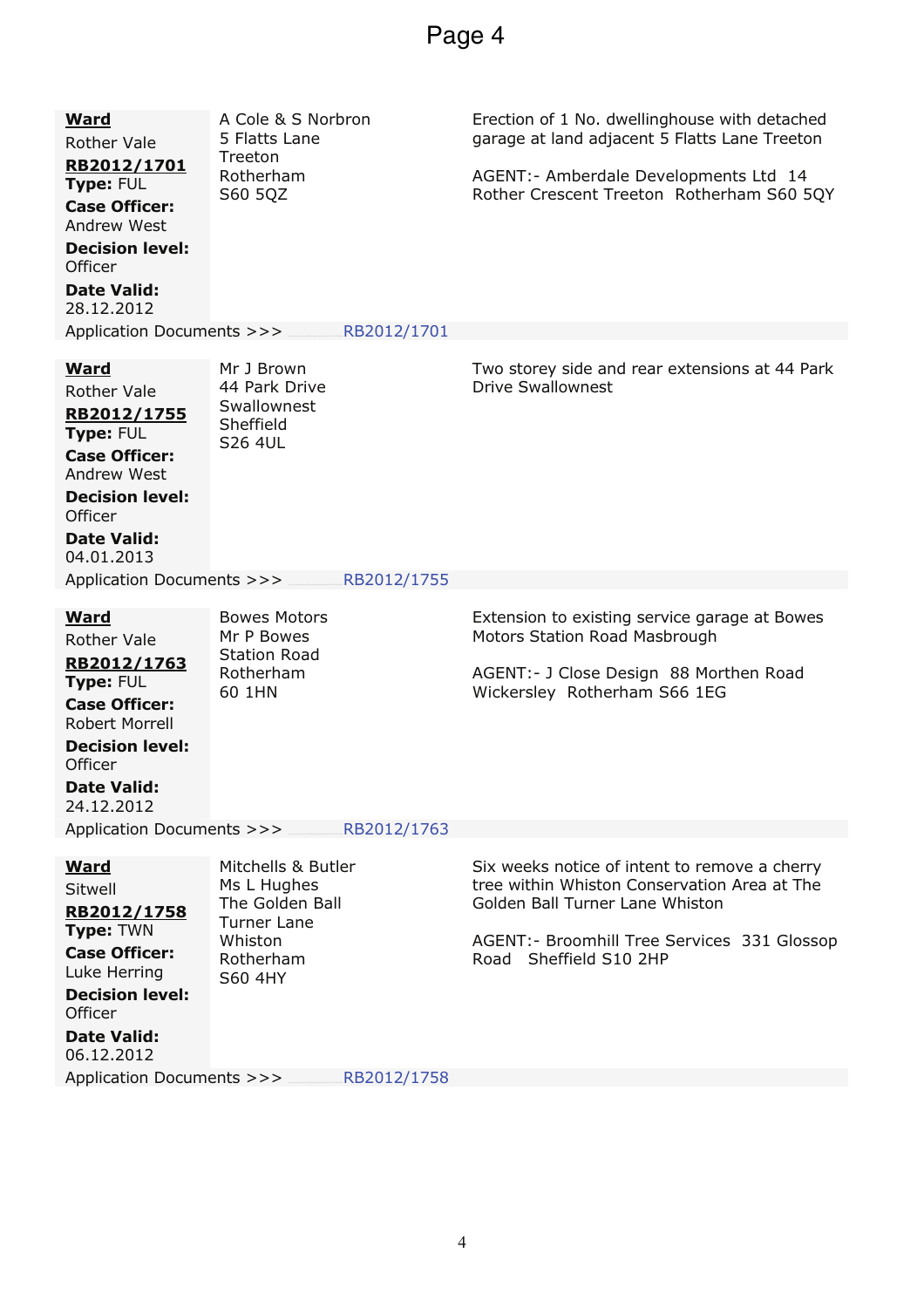## **Ward**

Rother Vale

**RB2012/1701 Type:** FUL

**Case Officer:**  Andrew West

**Decision level: Officer** 

## **Date Valid:**

28.12.2012 Application Documents >>> RB2012/1701

A Cole & S Norbron 5 Flatts Lane Treeton Rotherham S60 5QZ

Mr J Brown 44 Park Drive Swallownest Sheffield S26 4UL

Erection of 1 No. dwellinghouse with detached garage at land adjacent 5 Flatts Lane Treeton

AGENT:- Amberdale Developments Ltd 14 Rother Crescent Treeton Rotherham S60 5QY

Two storey side and rear extensions at 44 Park Drive Swallownest

## **Ward**

Rother Vale

**RB2012/1755 Type:** FUL **Case Officer:** 

Andrew West **Decision level:** 

**Officer Date Valid:** 

04.01.2013 Application Documents >>> RB2012/1755

## **Ward**

Rother Vale

**RB2012/1763 Type:** FUL

Mr P Bowes Station Road Rotherham 60 1HN

Bowes Motors

Extension to existing service garage at Bowes Motors Station Road Masbrough

AGENT:- J Close Design 88 Morthen Road Wickersley Rotherham S66 1EG

## **Decision level: Officer**

**Case Officer:**  Robert Morrell

**Date Valid:**  24.12.2012

#### Application Documents >>> RB2012/1763

**Ward** Sitwell **RB2012/1758 Type:** TWN **Case Officer:**  Luke Herring **Decision level: Officer Date Valid:**  06.12.2012 Mitchells & Butler Ms L Hughes The Golden Ball Turner Lane Whiston Rotherham S60 4HY Six weeks notice of intent to remove a cherry tree within Whiston Conservation Area at The Golden Ball Turner Lane Whiston AGENT:- Broomhill Tree Services 331 Glossop Road Sheffield S10 2HP Application Documents >>> RB2012/1758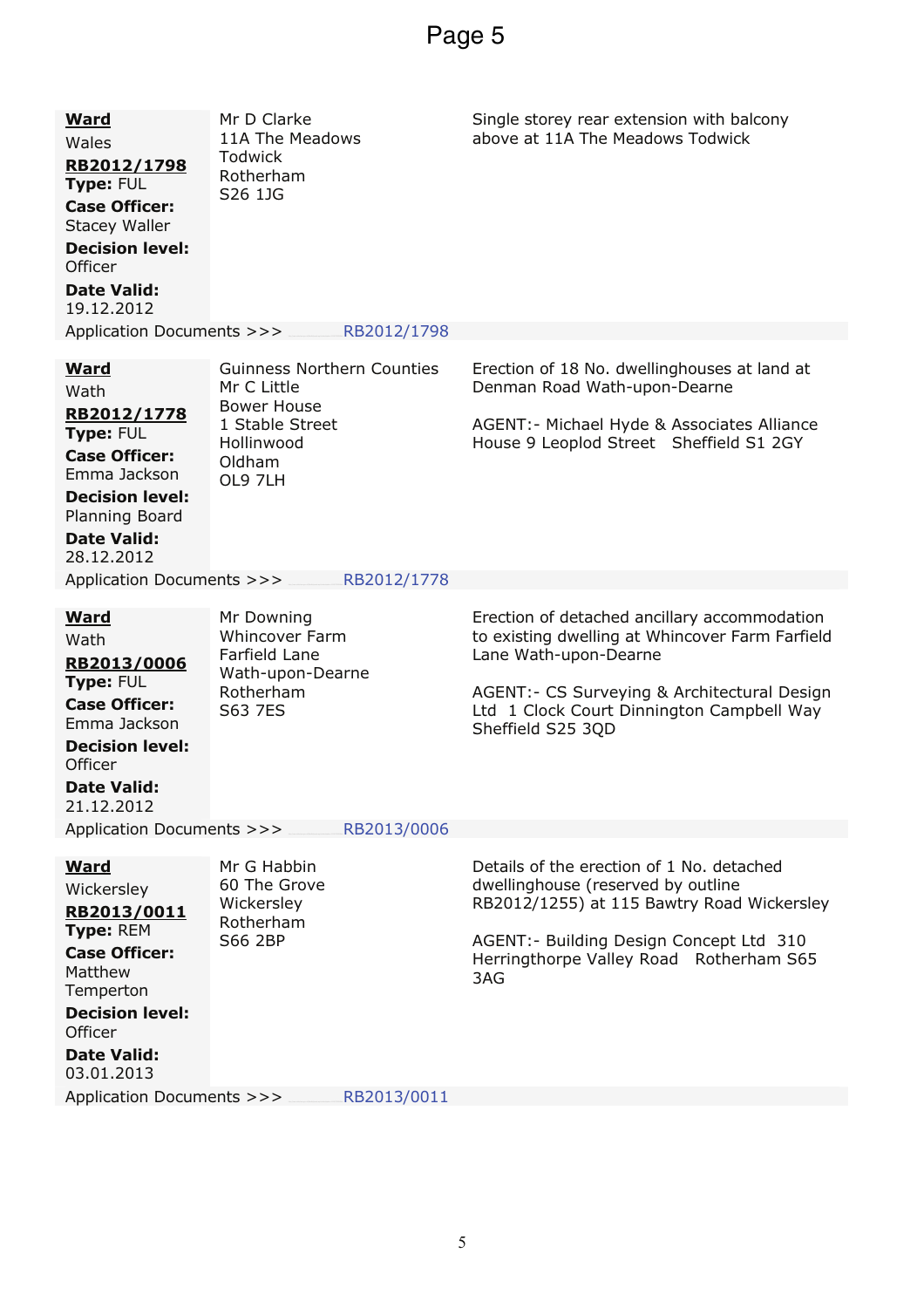| <b>Ward</b><br>Wales<br>RB2012/1798<br>Type: FUL<br><b>Case Officer:</b><br><b>Stacey Waller</b><br><b>Decision level:</b><br><b>Officer</b><br><b>Date Valid:</b><br>19.12.2012                            | Mr D Clarke<br>11A The Meadows<br><b>Todwick</b><br>Rotherham<br>S26 1JG                                              |             | Single storey rear extension with balcony<br>above at 11A The Meadows Todwick                                                                                                                                                             |
|-------------------------------------------------------------------------------------------------------------------------------------------------------------------------------------------------------------|-----------------------------------------------------------------------------------------------------------------------|-------------|-------------------------------------------------------------------------------------------------------------------------------------------------------------------------------------------------------------------------------------------|
| Application Documents >>><br><b>Ward</b><br>Wath<br>RB2012/1778<br>Type: FUL<br><b>Case Officer:</b><br>Emma Jackson<br><b>Decision level:</b><br>Planning Board<br><b>Date Valid:</b><br>28.12.2012        | <b>Guinness Northern Counties</b><br>Mr C Little<br>Bower House<br>1 Stable Street<br>Hollinwood<br>Oldham<br>OL9 7LH | RB2012/1798 | Erection of 18 No. dwellinghouses at land at<br>Denman Road Wath-upon-Dearne<br>AGENT: - Michael Hyde & Associates Alliance<br>House 9 Leoplod Street Sheffield S1 2GY                                                                    |
| Application Documents >>>                                                                                                                                                                                   |                                                                                                                       | RB2012/1778 |                                                                                                                                                                                                                                           |
| <b>Ward</b><br>Wath<br>RB2013/0006<br>Type: FUL<br><b>Case Officer:</b><br>Emma Jackson<br><b>Decision level:</b><br>Officer<br>Date Valid:<br>21.12.2012                                                   | Mr Downing<br><b>Whincover Farm</b><br>Farfield Lane<br>Wath-upon-Dearne<br>Rotherham<br>S63 7ES                      |             | Erection of detached ancillary accommodation<br>to existing dwelling at Whincover Farm Farfield<br>Lane Wath-upon-Dearne<br>AGENT:- CS Surveying & Architectural Design<br>Ltd 1 Clock Court Dinnington Campbell Way<br>Sheffield S25 3QD |
| Application Documents >>>                                                                                                                                                                                   |                                                                                                                       | RB2013/0006 |                                                                                                                                                                                                                                           |
| <u>Ward</u><br>Wickersley<br>RB2013/0011<br>Type: REM<br><b>Case Officer:</b><br>Matthew<br>Temperton<br><b>Decision level:</b><br>Officer<br><b>Date Valid:</b><br>03.01.2013<br>Application Documents >>> | Mr G Habbin<br>60 The Grove<br>Wickersley<br>Rotherham<br><b>S66 2BP</b>                                              | RB2013/0011 | Details of the erection of 1 No. detached<br>dwellinghouse (reserved by outline<br>RB2012/1255) at 115 Bawtry Road Wickersley<br>AGENT:- Building Design Concept Ltd 310<br>Herringthorpe Valley Road Rotherham S65<br>3AG                |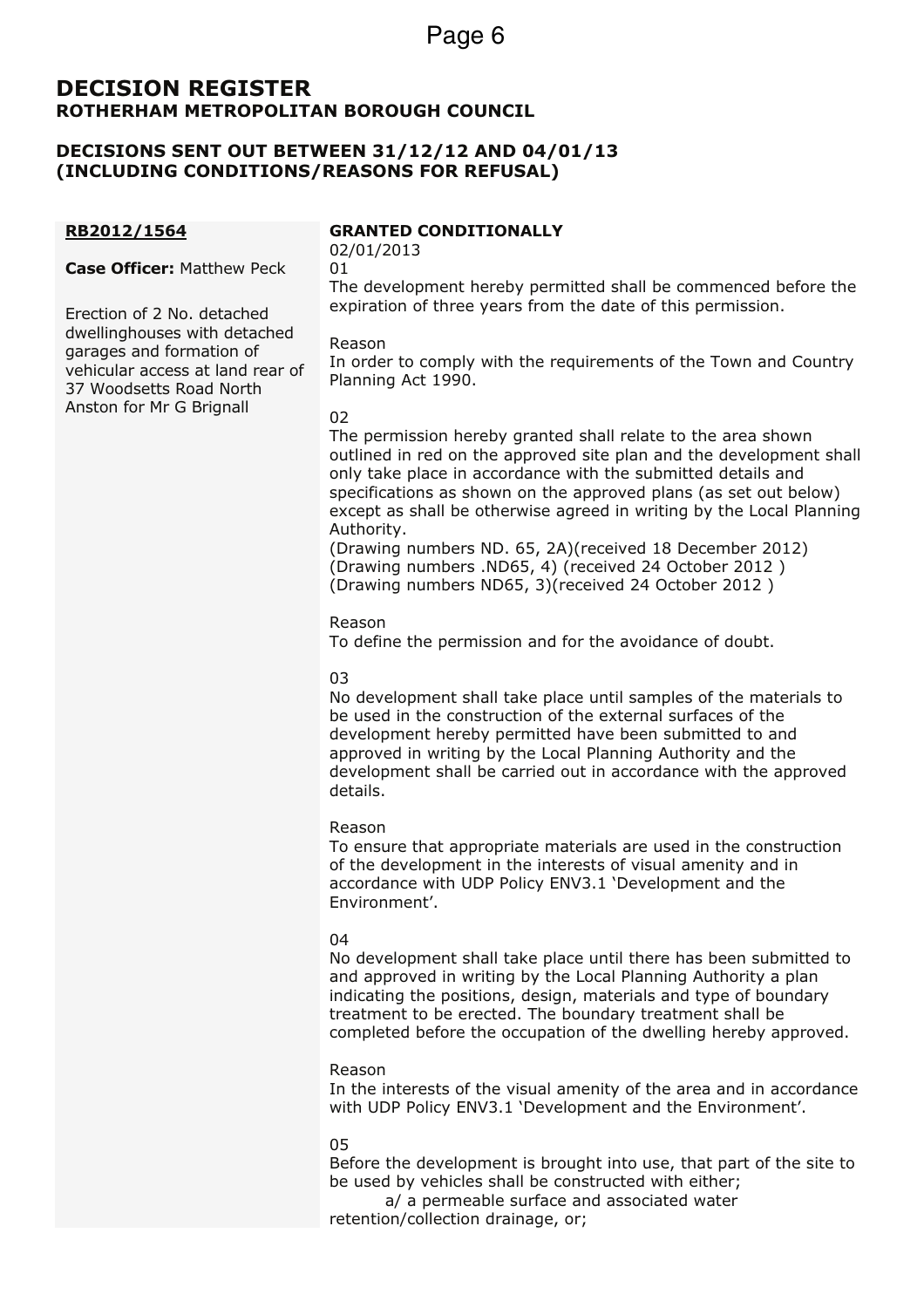## **DECISION REGISTER ROTHERHAM METROPOLITAN BOROUGH COUNCIL**

## **DECISIONS SENT OUT BETWEEN 31/12/12 AND 04/01/13 (INCLUDING CONDITIONS/REASONS FOR REFUSAL)**

## **RB2012/1564**

**Case Officer:** Matthew Peck

Erection of 2 No. detached dwellinghouses with detached garages and formation of vehicular access at land rear of 37 Woodsetts Road North Anston for Mr G Brignall

## **GRANTED CONDITIONALLY**

02/01/2013 01

The development hereby permitted shall be commenced before the expiration of three years from the date of this permission.

## Reason

In order to comply with the requirements of the Town and Country Planning Act 1990.

## 02

The permission hereby granted shall relate to the area shown outlined in red on the approved site plan and the development shall only take place in accordance with the submitted details and specifications as shown on the approved plans (as set out below) except as shall be otherwise agreed in writing by the Local Planning Authority.

(Drawing numbers ND. 65, 2A)(received 18 December 2012) (Drawing numbers .ND65, 4) (received 24 October 2012 ) (Drawing numbers ND65, 3)(received 24 October 2012 )

#### Reason

To define the permission and for the avoidance of doubt.

## 03

No development shall take place until samples of the materials to be used in the construction of the external surfaces of the development hereby permitted have been submitted to and approved in writing by the Local Planning Authority and the development shall be carried out in accordance with the approved details.

## Reason

To ensure that appropriate materials are used in the construction of the development in the interests of visual amenity and in accordance with UDP Policy ENV3.1 'Development and the Environment'.

## 04

No development shall take place until there has been submitted to and approved in writing by the Local Planning Authority a plan indicating the positions, design, materials and type of boundary treatment to be erected. The boundary treatment shall be completed before the occupation of the dwelling hereby approved.

## Reason

In the interests of the visual amenity of the area and in accordance with UDP Policy ENV3.1 'Development and the Environment'.

## 05

Before the development is brought into use, that part of the site to be used by vehicles shall be constructed with either;

 a/ a permeable surface and associated water retention/collection drainage, or;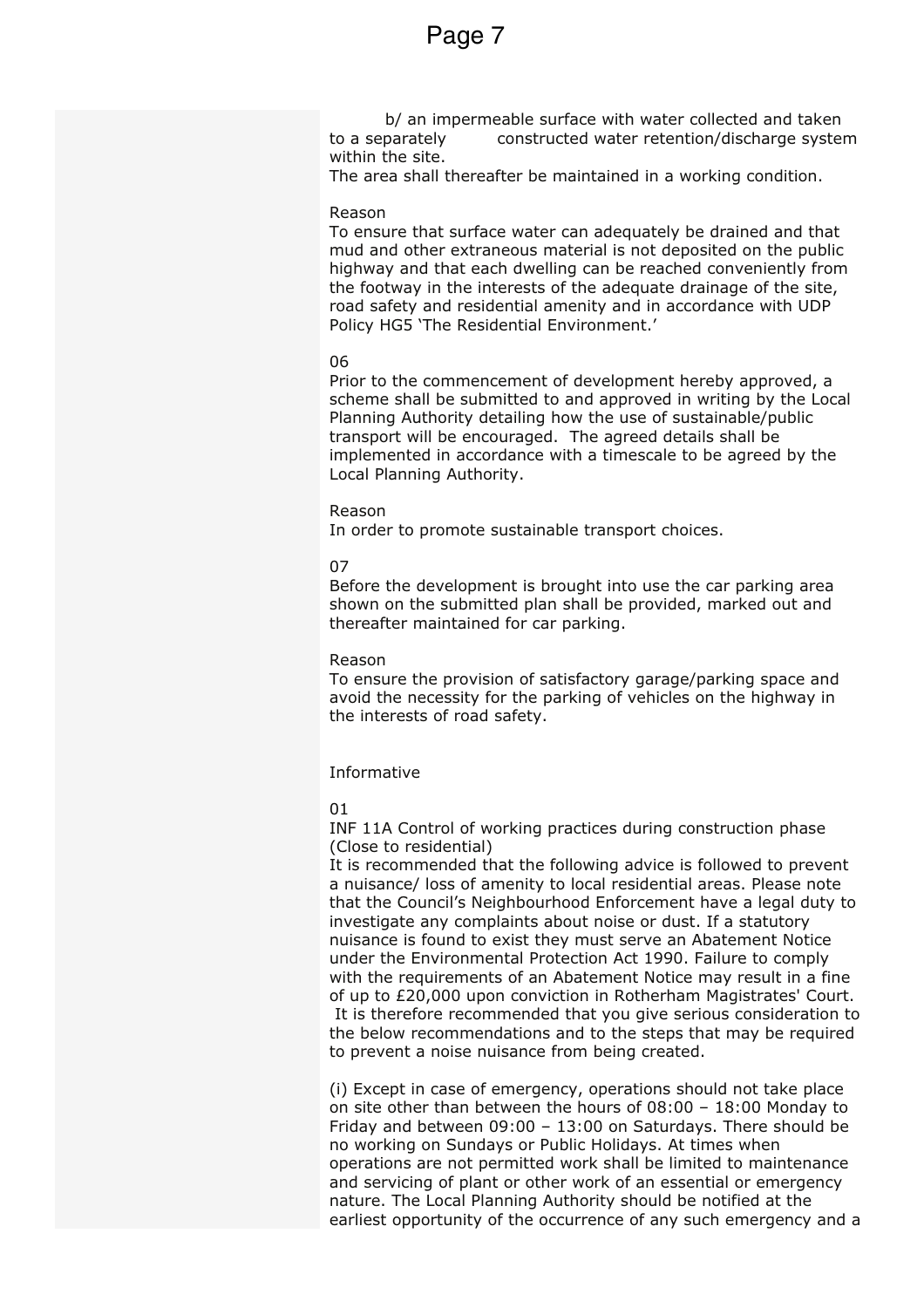b/ an impermeable surface with water collected and taken to a separately constructed water retention/discharge system within the site.

The area shall thereafter be maintained in a working condition.

#### Reason

To ensure that surface water can adequately be drained and that mud and other extraneous material is not deposited on the public highway and that each dwelling can be reached conveniently from the footway in the interests of the adequate drainage of the site, road safety and residential amenity and in accordance with UDP Policy HG5 'The Residential Environment.'

#### 06

Prior to the commencement of development hereby approved, a scheme shall be submitted to and approved in writing by the Local Planning Authority detailing how the use of sustainable/public transport will be encouraged. The agreed details shall be implemented in accordance with a timescale to be agreed by the Local Planning Authority.

#### Reason

In order to promote sustainable transport choices.

#### 07

Before the development is brought into use the car parking area shown on the submitted plan shall be provided, marked out and thereafter maintained for car parking.

#### Reason

To ensure the provision of satisfactory garage/parking space and avoid the necessity for the parking of vehicles on the highway in the interests of road safety.

#### Informative

#### 01

INF 11A Control of working practices during construction phase (Close to residential)

It is recommended that the following advice is followed to prevent a nuisance/ loss of amenity to local residential areas. Please note that the Council's Neighbourhood Enforcement have a legal duty to investigate any complaints about noise or dust. If a statutory nuisance is found to exist they must serve an Abatement Notice under the Environmental Protection Act 1990. Failure to comply with the requirements of an Abatement Notice may result in a fine of up to £20,000 upon conviction in Rotherham Magistrates' Court. It is therefore recommended that you give serious consideration to the below recommendations and to the steps that may be required to prevent a noise nuisance from being created.

(i) Except in case of emergency, operations should not take place on site other than between the hours of 08:00 – 18:00 Monday to Friday and between 09:00 – 13:00 on Saturdays. There should be no working on Sundays or Public Holidays. At times when operations are not permitted work shall be limited to maintenance and servicing of plant or other work of an essential or emergency nature. The Local Planning Authority should be notified at the earliest opportunity of the occurrence of any such emergency and a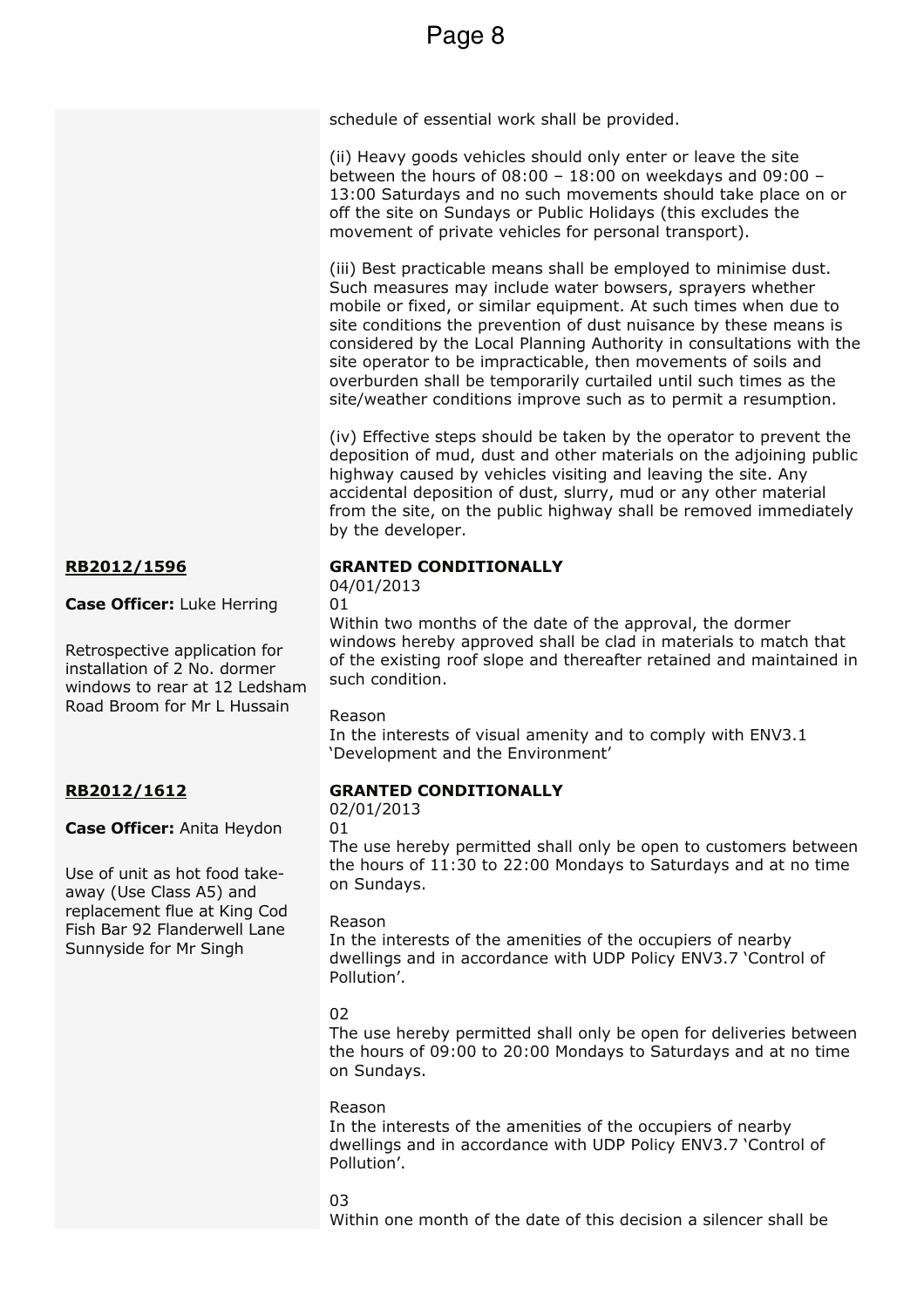schedule of essential work shall be provided.

(ii) Heavy goods vehicles should only enter or leave the site between the hours of 08:00 – 18:00 on weekdays and 09:00 – 13:00 Saturdays and no such movements should take place on or off the site on Sundays or Public Holidays (this excludes the movement of private vehicles for personal transport).

(iii) Best practicable means shall be employed to minimise dust. Such measures may include water bowsers, sprayers whether mobile or fixed, or similar equipment. At such times when due to site conditions the prevention of dust nuisance by these means is considered by the Local Planning Authority in consultations with the site operator to be impracticable, then movements of soils and overburden shall be temporarily curtailed until such times as the site/weather conditions improve such as to permit a resumption.

(iv) Effective steps should be taken by the operator to prevent the deposition of mud, dust and other materials on the adjoining public highway caused by vehicles visiting and leaving the site. Any accidental deposition of dust, slurry, mud or any other material from the site, on the public highway shall be removed immediately by the developer.

## **GRANTED CONDITIONALLY**

04/01/2013

01

Within two months of the date of the approval, the dormer windows hereby approved shall be clad in materials to match that of the existing roof slope and thereafter retained and maintained in such condition.

## Reason

In the interests of visual amenity and to comply with ENV3.1 'Development and the Environment'

## **GRANTED CONDITIONALLY**

02/01/2013

01

The use hereby permitted shall only be open to customers between the hours of 11:30 to 22:00 Mondays to Saturdays and at no time on Sundays.

## Reason

In the interests of the amenities of the occupiers of nearby dwellings and in accordance with UDP Policy ENV3.7 'Control of Pollution'.

## 02

The use hereby permitted shall only be open for deliveries between the hours of 09:00 to 20:00 Mondays to Saturdays and at no time on Sundays.

## Reason

In the interests of the amenities of the occupiers of nearby dwellings and in accordance with UDP Policy ENV3.7 'Control of Pollution'.

## 03

Within one month of the date of this decision a silencer shall be

## **RB2012/1596**

**Case Officer:** Luke Herring

Retrospective application for installation of 2 No. dormer windows to rear at 12 Ledsham Road Broom for Mr L Hussain

## **RB2012/1612**

**Case Officer:** Anita Heydon

Use of unit as hot food takeaway (Use Class A5) and replacement flue at King Cod Fish Bar 92 Flanderwell Lane Sunnyside for Mr Singh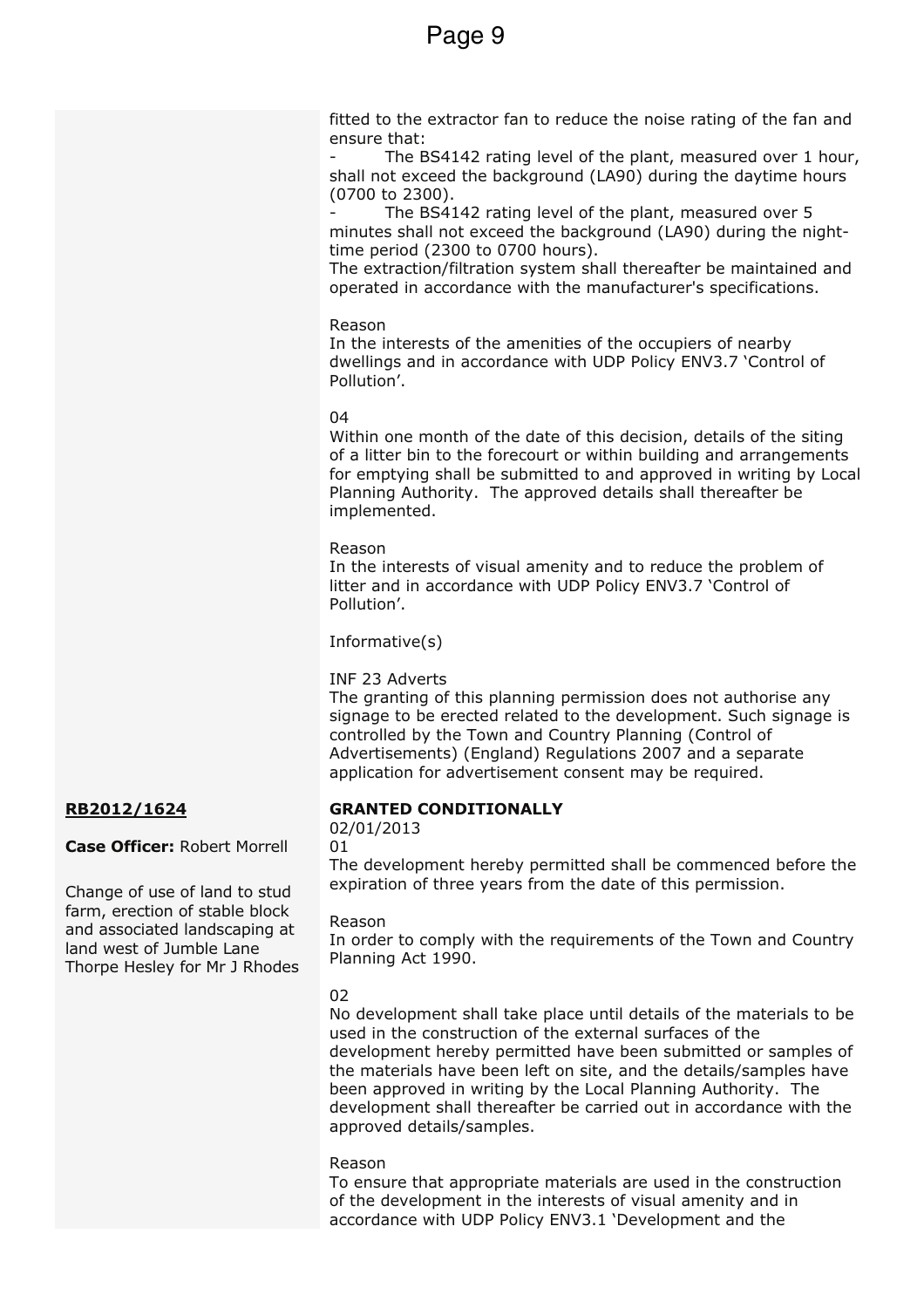fitted to the extractor fan to reduce the noise rating of the fan and ensure that:

The BS4142 rating level of the plant, measured over 1 hour, shall not exceed the background (LA90) during the daytime hours (0700 to 2300).

The BS4142 rating level of the plant, measured over 5 minutes shall not exceed the background (LA90) during the nighttime period (2300 to 0700 hours).

The extraction/filtration system shall thereafter be maintained and operated in accordance with the manufacturer's specifications.

Reason

In the interests of the amenities of the occupiers of nearby dwellings and in accordance with UDP Policy ENV3.7 'Control of Pollution'.

## 04

Within one month of the date of this decision, details of the siting of a litter bin to the forecourt or within building and arrangements for emptying shall be submitted to and approved in writing by Local Planning Authority. The approved details shall thereafter be implemented.

## Reason

In the interests of visual amenity and to reduce the problem of litter and in accordance with UDP Policy ENV3.7 'Control of Pollution'.

## Informative(s)

## INF 23 Adverts

The granting of this planning permission does not authorise any signage to be erected related to the development. Such signage is controlled by the Town and Country Planning (Control of Advertisements) (England) Regulations 2007 and a separate application for advertisement consent may be required.

## **RB2012/1624**

**Case Officer:** Robert Morrell

Change of use of land to stud farm, erection of stable block and associated landscaping at land west of Jumble Lane Thorpe Hesley for Mr J Rhodes

## **GRANTED CONDITIONALLY**

02/01/2013 01

The development hereby permitted shall be commenced before the expiration of three years from the date of this permission.

## Reason

In order to comply with the requirements of the Town and Country Planning Act 1990.

## 02

No development shall take place until details of the materials to be used in the construction of the external surfaces of the development hereby permitted have been submitted or samples of the materials have been left on site, and the details/samples have been approved in writing by the Local Planning Authority. The development shall thereafter be carried out in accordance with the approved details/samples.

## Reason

To ensure that appropriate materials are used in the construction of the development in the interests of visual amenity and in accordance with UDP Policy ENV3.1 'Development and the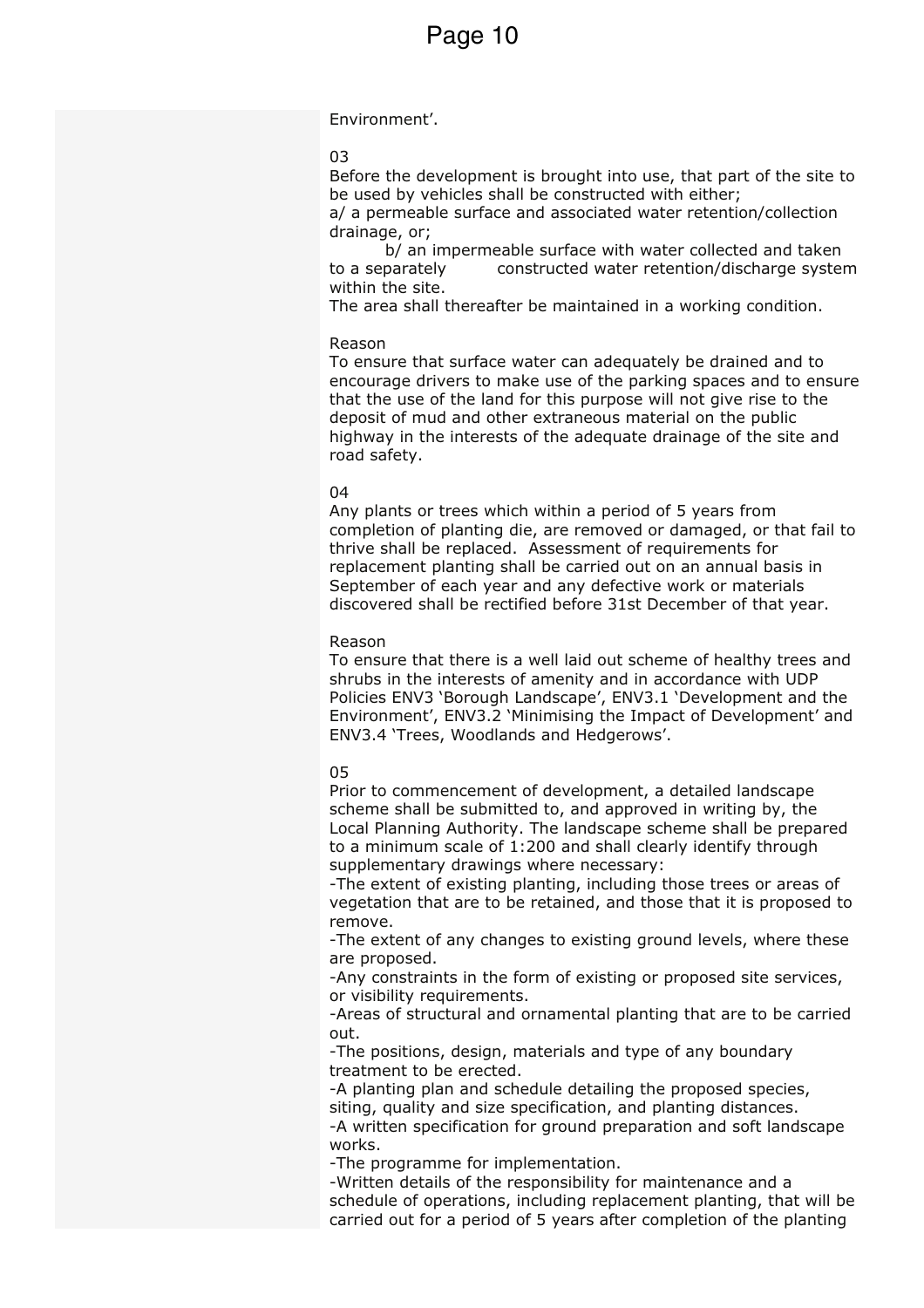#### Environment'.

#### 03

Before the development is brought into use, that part of the site to be used by vehicles shall be constructed with either;

a/ a permeable surface and associated water retention/collection drainage, or;

 b/ an impermeable surface with water collected and taken to a separately constructed water retention/discharge system within the site.

The area shall thereafter be maintained in a working condition.

#### Reason

To ensure that surface water can adequately be drained and to encourage drivers to make use of the parking spaces and to ensure that the use of the land for this purpose will not give rise to the deposit of mud and other extraneous material on the public highway in the interests of the adequate drainage of the site and road safety.

#### $04$

Any plants or trees which within a period of 5 years from completion of planting die, are removed or damaged, or that fail to thrive shall be replaced. Assessment of requirements for replacement planting shall be carried out on an annual basis in September of each year and any defective work or materials discovered shall be rectified before 31st December of that year.

#### Reason

To ensure that there is a well laid out scheme of healthy trees and shrubs in the interests of amenity and in accordance with UDP Policies ENV3 'Borough Landscape', ENV3.1 'Development and the Environment', ENV3.2 'Minimising the Impact of Development' and ENV3.4 'Trees, Woodlands and Hedgerows'.

#### 05

Prior to commencement of development, a detailed landscape scheme shall be submitted to, and approved in writing by, the Local Planning Authority. The landscape scheme shall be prepared to a minimum scale of 1:200 and shall clearly identify through supplementary drawings where necessary:

-The extent of existing planting, including those trees or areas of vegetation that are to be retained, and those that it is proposed to remove.

-The extent of any changes to existing ground levels, where these are proposed.

-Any constraints in the form of existing or proposed site services, or visibility requirements.

-Areas of structural and ornamental planting that are to be carried out.

-The positions, design, materials and type of any boundary treatment to be erected.

-A planting plan and schedule detailing the proposed species, siting, quality and size specification, and planting distances.

-A written specification for ground preparation and soft landscape works.

-The programme for implementation.

-Written details of the responsibility for maintenance and a schedule of operations, including replacement planting, that will be carried out for a period of 5 years after completion of the planting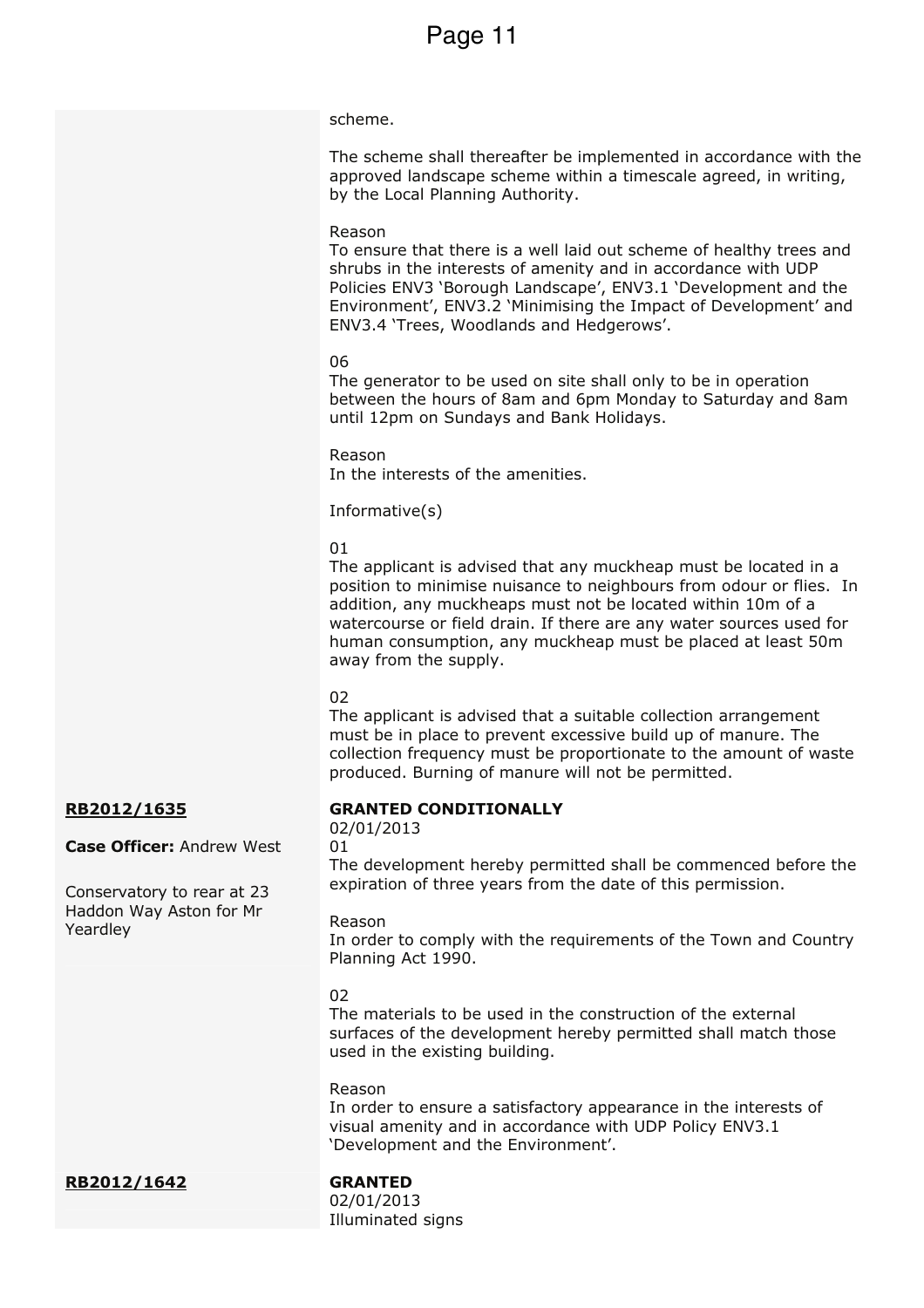#### scheme.

The scheme shall thereafter be implemented in accordance with the approved landscape scheme within a timescale agreed, in writing, by the Local Planning Authority.

#### Reason

To ensure that there is a well laid out scheme of healthy trees and shrubs in the interests of amenity and in accordance with UDP Policies ENV3 'Borough Landscape', ENV3.1 'Development and the Environment', ENV3.2 'Minimising the Impact of Development' and ENV3.4 'Trees, Woodlands and Hedgerows'.

#### 06

The generator to be used on site shall only to be in operation between the hours of 8am and 6pm Monday to Saturday and 8am until 12pm on Sundays and Bank Holidays.

Reason In the interests of the amenities.

Informative(s)

01

The applicant is advised that any muckheap must be located in a position to minimise nuisance to neighbours from odour or flies. In addition, any muckheaps must not be located within 10m of a watercourse or field drain. If there are any water sources used for human consumption, any muckheap must be placed at least 50m away from the supply.

## በጋ

The applicant is advised that a suitable collection arrangement must be in place to prevent excessive build up of manure. The collection frequency must be proportionate to the amount of waste produced. Burning of manure will not be permitted.

## **RB2012/1635**

**Case Officer:** Andrew West

Conservatory to rear at 23 Haddon Way Aston for Mr Yeardley

#### **GRANTED CONDITIONALLY**

02/01/2013 01

The development hereby permitted shall be commenced before the expiration of three years from the date of this permission.

#### Reason

In order to comply with the requirements of the Town and Country Planning Act 1990.

## $02$

The materials to be used in the construction of the external surfaces of the development hereby permitted shall match those used in the existing building.

#### Reason

In order to ensure a satisfactory appearance in the interests of visual amenity and in accordance with UDP Policy ENV3.1 'Development and the Environment'.

## **RB2012/1642 GRANTED**

02/01/2013 Illuminated signs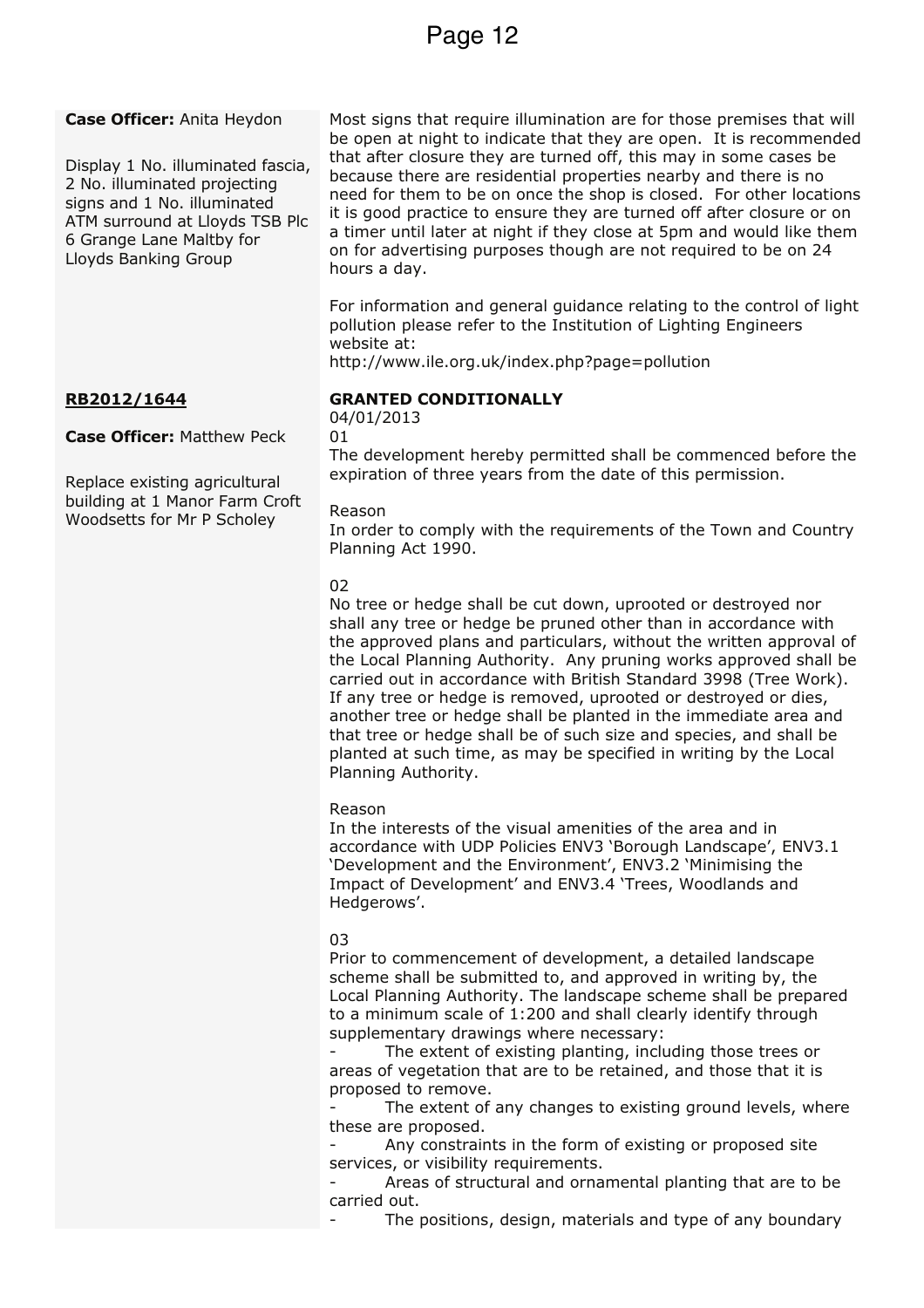## **Case Officer:** Anita Heydon

Display 1 No. illuminated fascia, 2 No. illuminated projecting signs and 1 No. illuminated ATM surround at Lloyds TSB Plc 6 Grange Lane Maltby for Lloyds Banking Group

## **RB2012/1644**

**Case Officer:** Matthew Peck

Replace existing agricultural building at 1 Manor Farm Croft Woodsetts for Mr P Scholey

Most signs that require illumination are for those premises that will be open at night to indicate that they are open. It is recommended that after closure they are turned off, this may in some cases be because there are residential properties nearby and there is no need for them to be on once the shop is closed. For other locations it is good practice to ensure they are turned off after closure or on a timer until later at night if they close at 5pm and would like them on for advertising purposes though are not required to be on 24 hours a day.

For information and general guidance relating to the control of light pollution please refer to the Institution of Lighting Engineers website at:

http://www.ile.org.uk/index.php?page=pollution

## **GRANTED CONDITIONALLY**

04/01/2013 01

The development hereby permitted shall be commenced before the expiration of three years from the date of this permission.

## Reason

In order to comply with the requirements of the Town and Country Planning Act 1990.

## 02

No tree or hedge shall be cut down, uprooted or destroyed nor shall any tree or hedge be pruned other than in accordance with the approved plans and particulars, without the written approval of the Local Planning Authority. Any pruning works approved shall be carried out in accordance with British Standard 3998 (Tree Work). If any tree or hedge is removed, uprooted or destroyed or dies, another tree or hedge shall be planted in the immediate area and that tree or hedge shall be of such size and species, and shall be planted at such time, as may be specified in writing by the Local Planning Authority.

## Reason

In the interests of the visual amenities of the area and in accordance with UDP Policies ENV3 'Borough Landscape', ENV3.1 'Development and the Environment', ENV3.2 'Minimising the Impact of Development' and ENV3.4 'Trees, Woodlands and Hedgerows'.

## 03

Prior to commencement of development, a detailed landscape scheme shall be submitted to, and approved in writing by, the Local Planning Authority. The landscape scheme shall be prepared to a minimum scale of 1:200 and shall clearly identify through supplementary drawings where necessary:

The extent of existing planting, including those trees or areas of vegetation that are to be retained, and those that it is proposed to remove.

The extent of any changes to existing ground levels, where these are proposed.

Any constraints in the form of existing or proposed site services, or visibility requirements.

Areas of structural and ornamental planting that are to be carried out.

The positions, design, materials and type of any boundary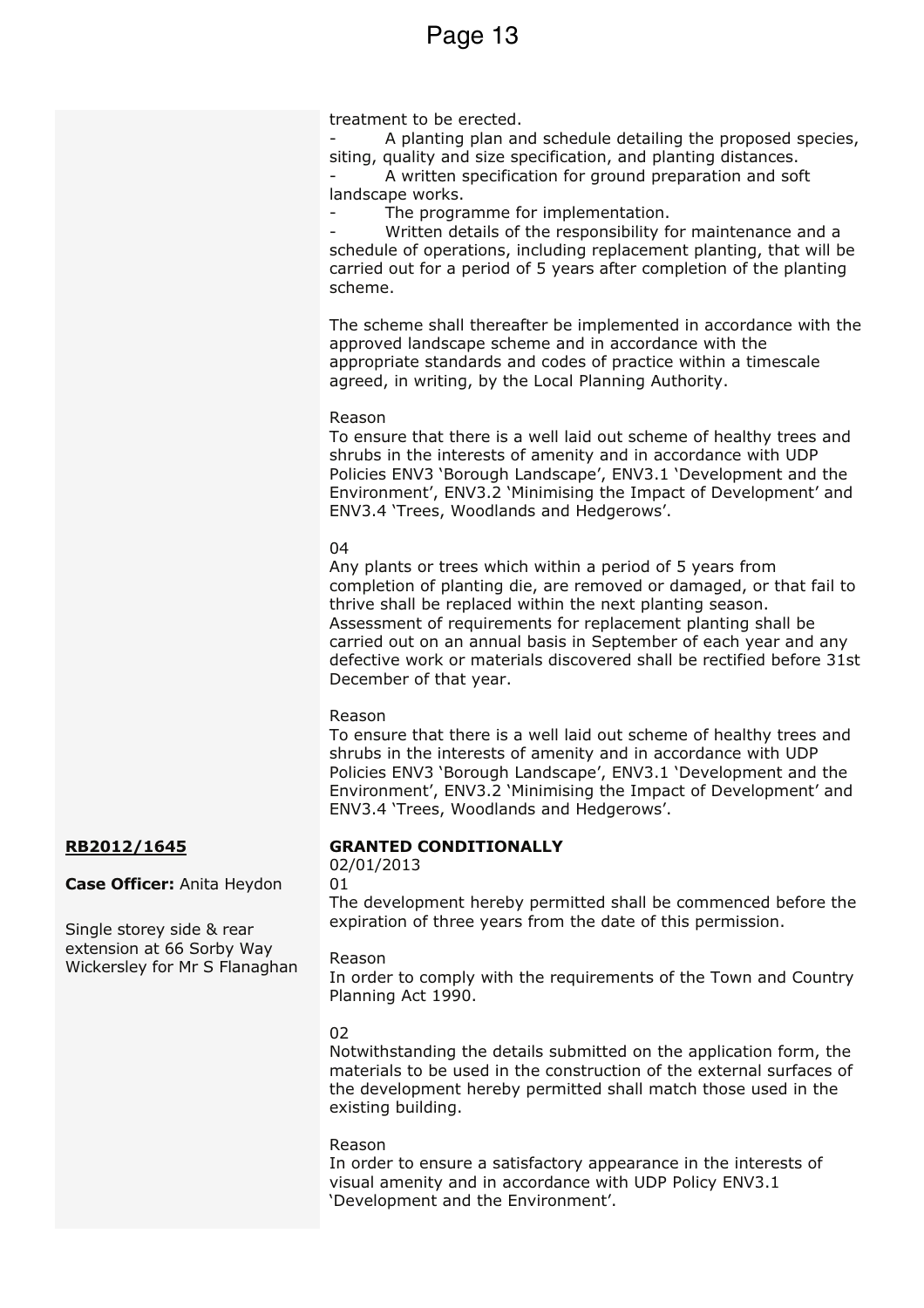treatment to be erected.

A planting plan and schedule detailing the proposed species, siting, quality and size specification, and planting distances.

A written specification for ground preparation and soft landscape works.

The programme for implementation.

Written details of the responsibility for maintenance and a schedule of operations, including replacement planting, that will be carried out for a period of 5 years after completion of the planting scheme.

The scheme shall thereafter be implemented in accordance with the approved landscape scheme and in accordance with the appropriate standards and codes of practice within a timescale agreed, in writing, by the Local Planning Authority.

#### Reason

To ensure that there is a well laid out scheme of healthy trees and shrubs in the interests of amenity and in accordance with UDP Policies ENV3 'Borough Landscape', ENV3.1 'Development and the Environment', ENV3.2 'Minimising the Impact of Development' and ENV3.4 'Trees, Woodlands and Hedgerows'.

## 04

Any plants or trees which within a period of 5 years from completion of planting die, are removed or damaged, or that fail to thrive shall be replaced within the next planting season. Assessment of requirements for replacement planting shall be carried out on an annual basis in September of each year and any defective work or materials discovered shall be rectified before 31st December of that year.

## Reason

To ensure that there is a well laid out scheme of healthy trees and shrubs in the interests of amenity and in accordance with UDP Policies ENV3 'Borough Landscape', ENV3.1 'Development and the Environment', ENV3.2 'Minimising the Impact of Development' and ENV3.4 'Trees, Woodlands and Hedgerows'.

## **RB2012/1645**

**Case Officer:** Anita Heydon

Single storey side & rear extension at 66 Sorby Way Wickersley for Mr S Flanaghan

## **GRANTED CONDITIONALLY**

02/01/2013

01

The development hereby permitted shall be commenced before the expiration of three years from the date of this permission.

#### Reason

In order to comply with the requirements of the Town and Country Planning Act 1990.

#### 02

Notwithstanding the details submitted on the application form, the materials to be used in the construction of the external surfaces of the development hereby permitted shall match those used in the existing building.

## Reason

In order to ensure a satisfactory appearance in the interests of visual amenity and in accordance with UDP Policy ENV3.1 'Development and the Environment'.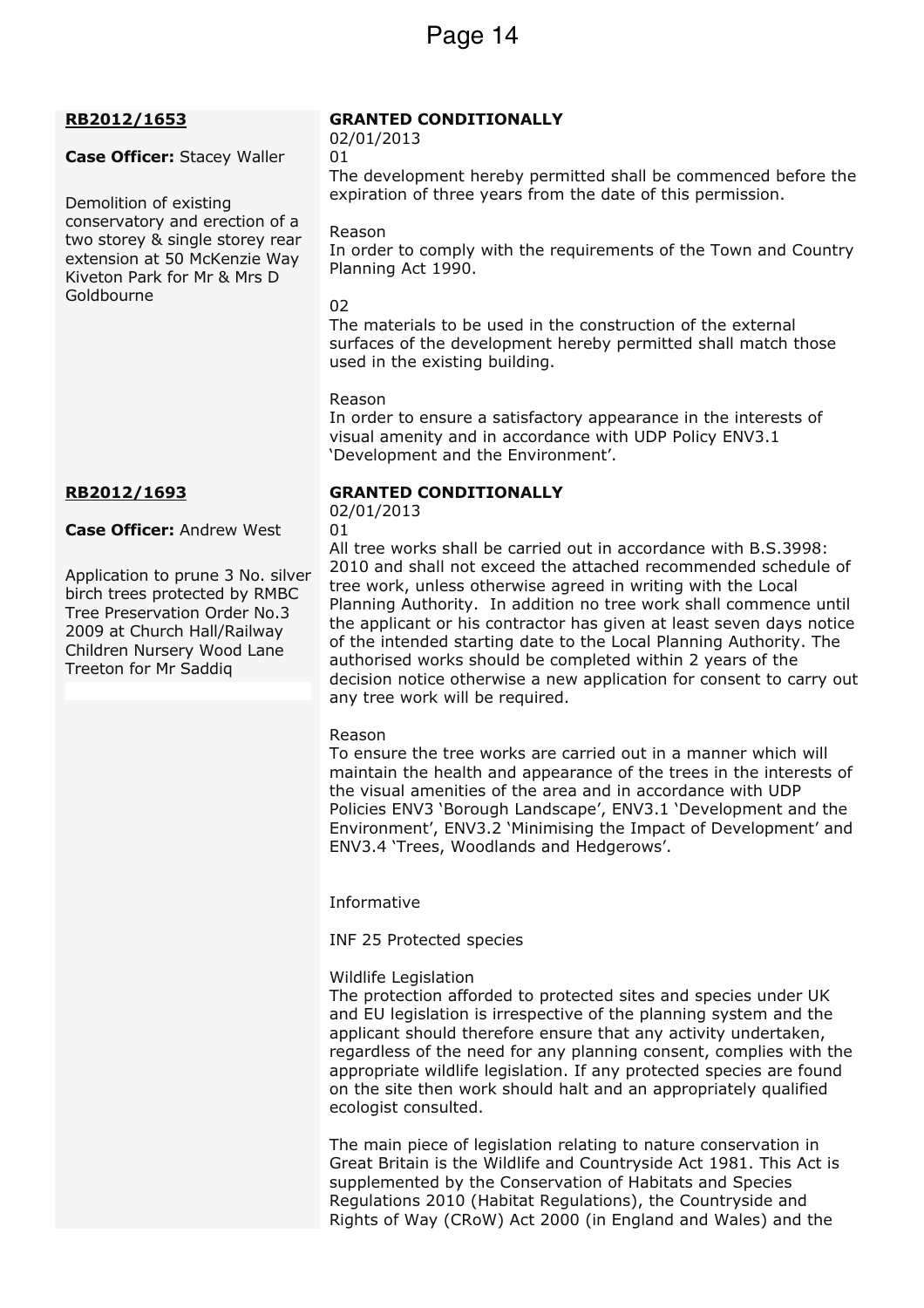## **RB2012/1653**

## **Case Officer:** Stacey Waller

Demolition of existing conservatory and erection of a two storey & single storey rear extension at 50 McKenzie Way Kiveton Park for Mr & Mrs D Goldbourne

## **RB2012/1693**

**Case Officer:** Andrew West

Application to prune 3 No. silver birch trees protected by RMBC Tree Preservation Order No.3 2009 at Church Hall/Railway Children Nursery Wood Lane Treeton for Mr Saddiq

## **GRANTED CONDITIONALLY**

02/01/2013 01

The development hereby permitted shall be commenced before the expiration of three years from the date of this permission.

#### Reason

In order to comply with the requirements of the Town and Country Planning Act 1990.

#### 02

The materials to be used in the construction of the external surfaces of the development hereby permitted shall match those used in the existing building.

#### Reason

In order to ensure a satisfactory appearance in the interests of visual amenity and in accordance with UDP Policy ENV3.1 'Development and the Environment'.

## **GRANTED CONDITIONALLY**

02/01/2013 01

All tree works shall be carried out in accordance with B.S.3998: 2010 and shall not exceed the attached recommended schedule of tree work, unless otherwise agreed in writing with the Local Planning Authority. In addition no tree work shall commence until the applicant or his contractor has given at least seven days notice of the intended starting date to the Local Planning Authority. The authorised works should be completed within 2 years of the decision notice otherwise a new application for consent to carry out any tree work will be required.

#### Reason

To ensure the tree works are carried out in a manner which will maintain the health and appearance of the trees in the interests of the visual amenities of the area and in accordance with UDP Policies ENV3 'Borough Landscape', ENV3.1 'Development and the Environment', ENV3.2 'Minimising the Impact of Development' and ENV3.4 'Trees, Woodlands and Hedgerows'.

Informative

INF 25 Protected species

## Wildlife Legislation

The protection afforded to protected sites and species under UK and EU legislation is irrespective of the planning system and the applicant should therefore ensure that any activity undertaken, regardless of the need for any planning consent, complies with the appropriate wildlife legislation. If any protected species are found on the site then work should halt and an appropriately qualified ecologist consulted.

The main piece of legislation relating to nature conservation in Great Britain is the Wildlife and Countryside Act 1981. This Act is supplemented by the Conservation of Habitats and Species Regulations 2010 (Habitat Regulations), the Countryside and Rights of Way (CRoW) Act 2000 (in England and Wales) and the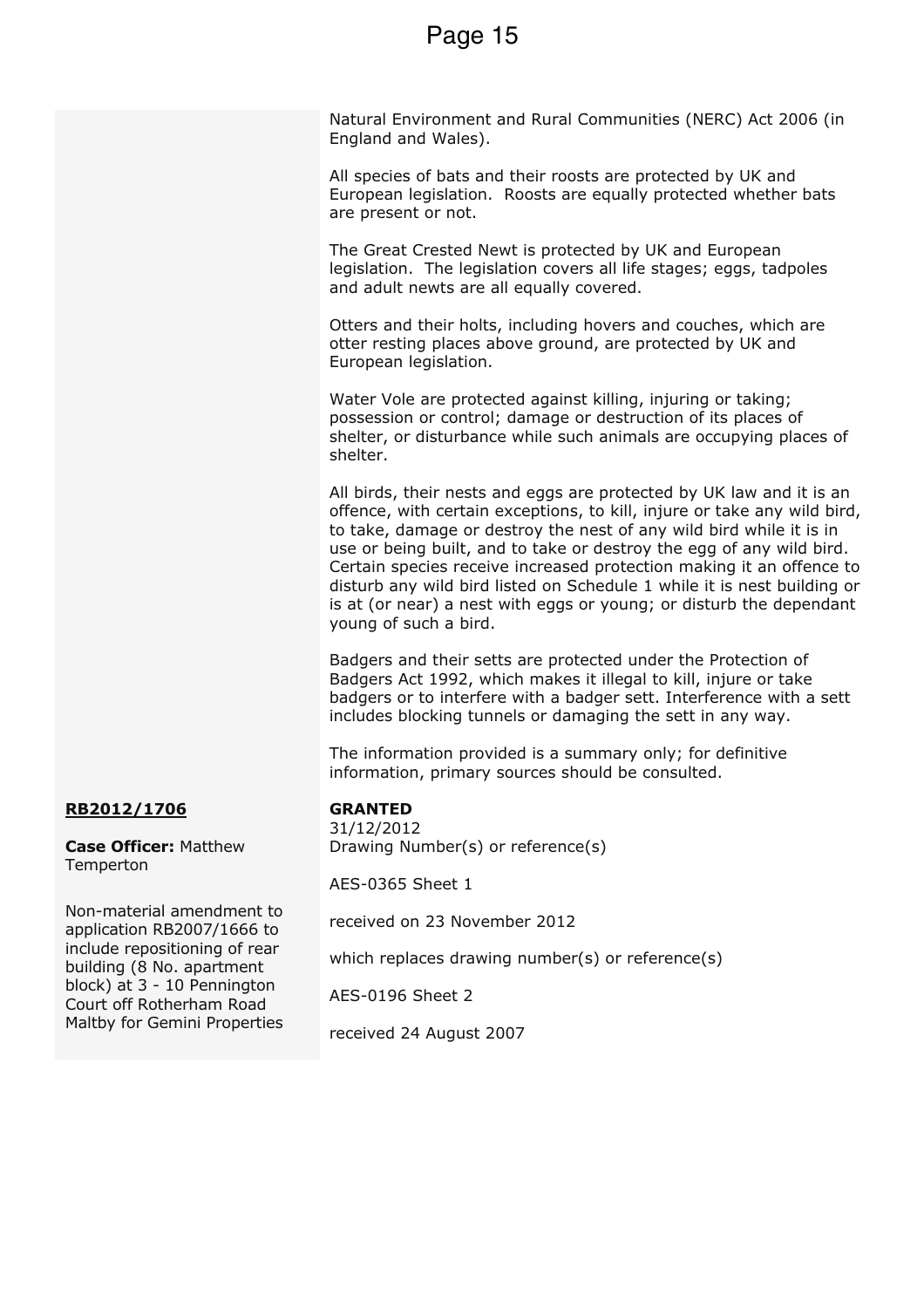Natural Environment and Rural Communities (NERC) Act 2006 (in England and Wales).

All species of bats and their roosts are protected by UK and European legislation. Roosts are equally protected whether bats are present or not.

The Great Crested Newt is protected by UK and European legislation. The legislation covers all life stages; eggs, tadpoles and adult newts are all equally covered.

Otters and their holts, including hovers and couches, which are otter resting places above ground, are protected by UK and European legislation.

Water Vole are protected against killing, injuring or taking; possession or control; damage or destruction of its places of shelter, or disturbance while such animals are occupying places of shelter.

All birds, their nests and eggs are protected by UK law and it is an offence, with certain exceptions, to kill, injure or take any wild bird, to take, damage or destroy the nest of any wild bird while it is in use or being built, and to take or destroy the egg of any wild bird. Certain species receive increased protection making it an offence to disturb any wild bird listed on Schedule 1 while it is nest building or is at (or near) a nest with eggs or young; or disturb the dependant young of such a bird.

Badgers and their setts are protected under the Protection of Badgers Act 1992, which makes it illegal to kill, injure or take badgers or to interfere with a badger sett. Interference with a sett includes blocking tunnels or damaging the sett in any way.

The information provided is a summary only; for definitive information, primary sources should be consulted.

#### **GRANTED**

31/12/2012 Drawing Number(s) or reference(s)

AES-0365 Sheet 1

received on 23 November 2012

which replaces drawing number(s) or reference(s)

AES-0196 Sheet 2

received 24 August 2007

## **RB2012/1706**

**Case Officer:** Matthew Temperton

Non-material amendment to application RB2007/1666 to include repositioning of rear building (8 No. apartment block) at 3 - 10 Pennington Court off Rotherham Road Maltby for Gemini Properties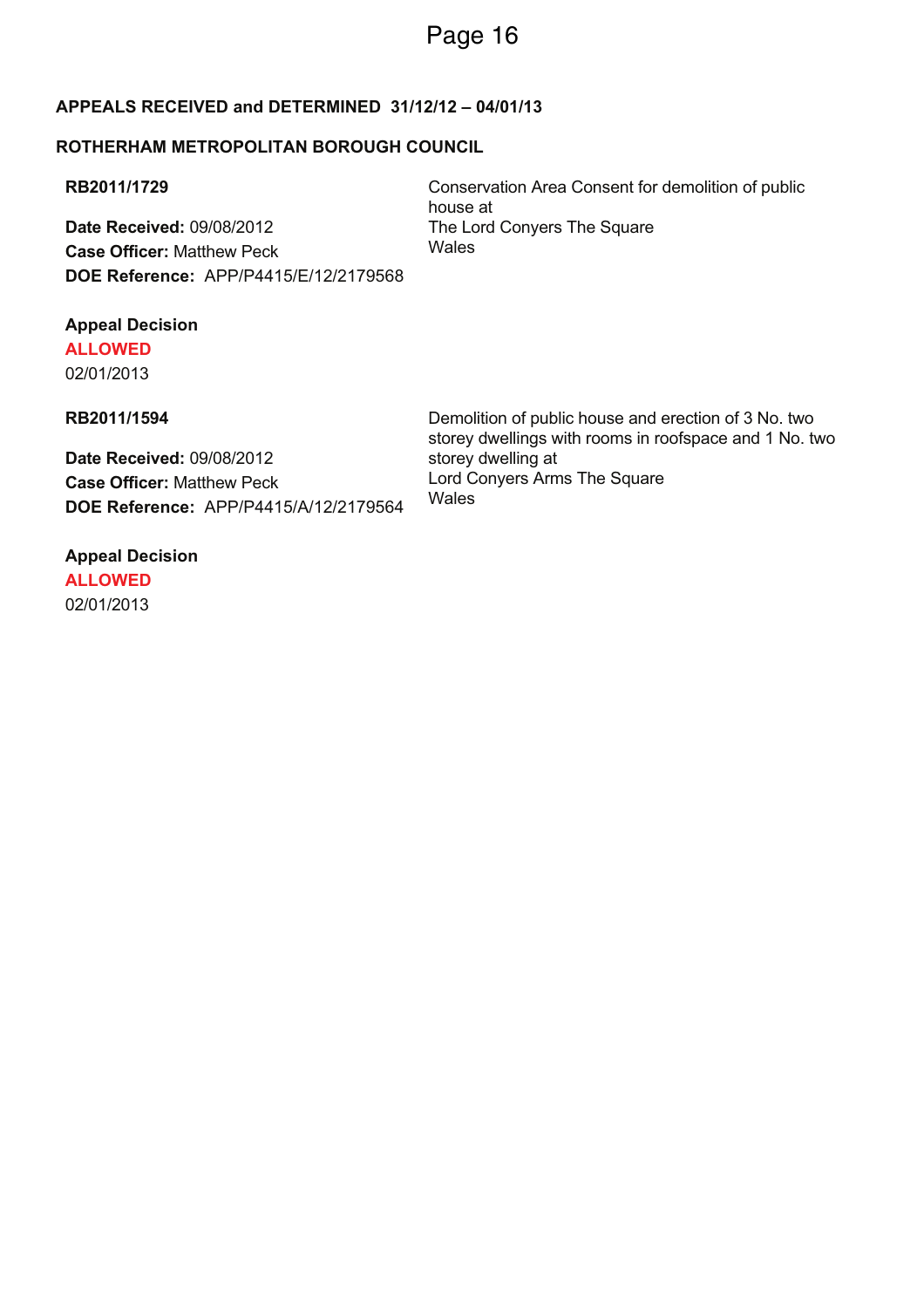## **APPEALS RECEIVED and DETERMINED 31/12/12 – 04/01/13**

## **ROTHERHAM METROPOLITAN BOROUGH COUNCIL**

## **RB2011/1729**

**Date Received:** 09/08/2012 **Case Officer:** Matthew Peck **DOE Reference:** APP/P4415/E/12/2179568

Conservation Area Consent for demolition of public house at The Lord Conyers The Square Wales

## **Appeal Decision ALLOWED**

02/01/2013

## **RB2011/1594**

**Date Received:** 09/08/2012 **Case Officer:** Matthew Peck **DOE Reference:** APP/P4415/A/12/2179564

## **Appeal Decision ALLOWED**

02/01/2013

Demolition of public house and erection of 3 No. two storey dwellings with rooms in roofspace and 1 No. two storey dwelling at Lord Conyers Arms The Square Wales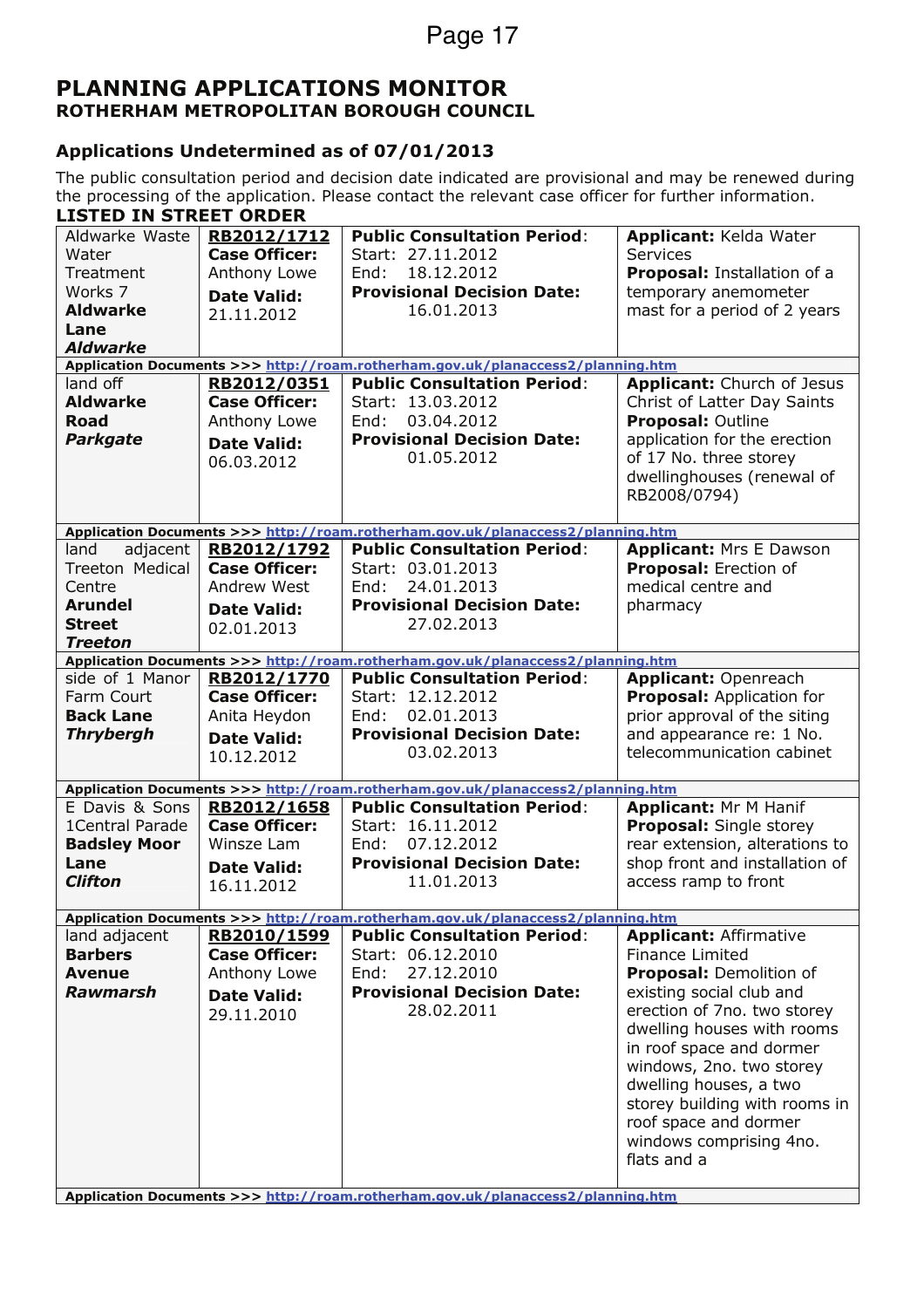## **PLANNING APPLICATIONS MONITOR ROTHERHAM METROPOLITAN BOROUGH COUNCIL**

## **Applications Undetermined as of 07/01/2013**

The public consultation period and decision date indicated are provisional and may be renewed during the processing of the application. Please contact the relevant case officer for further information.

| LISTED IN STREET ORDER   |                      |                                                                                                                       |                                |
|--------------------------|----------------------|-----------------------------------------------------------------------------------------------------------------------|--------------------------------|
| Aldwarke Waste           | RB2012/1712          | <b>Public Consultation Period:</b>                                                                                    | Applicant: Kelda Water         |
| Water                    | <b>Case Officer:</b> | Start: 27.11.2012                                                                                                     | Services                       |
| Treatment                | Anthony Lowe         | 18.12.2012<br>End:                                                                                                    | Proposal: Installation of a    |
| Works 7                  | <b>Date Valid:</b>   | <b>Provisional Decision Date:</b>                                                                                     | temporary anemometer           |
| <b>Aldwarke</b>          | 21.11.2012           | 16.01.2013                                                                                                            | mast for a period of 2 years   |
| Lane                     |                      |                                                                                                                       |                                |
| <b>Aldwarke</b>          |                      |                                                                                                                       |                                |
|                          |                      | Application Documents >>> http://roam.rotherham.gov.uk/planaccess2/planning.htm                                       |                                |
| land off                 | RB2012/0351          | <b>Public Consultation Period:</b>                                                                                    | Applicant: Church of Jesus     |
| <b>Aldwarke</b>          | <b>Case Officer:</b> | Start: 13.03.2012                                                                                                     | Christ of Latter Day Saints    |
| <b>Road</b>              | Anthony Lowe         | 03.04.2012<br>End:                                                                                                    | <b>Proposal: Outline</b>       |
| <b>Parkgate</b>          | <b>Date Valid:</b>   | <b>Provisional Decision Date:</b>                                                                                     | application for the erection   |
|                          | 06.03.2012           | 01.05.2012                                                                                                            | of 17 No. three storey         |
|                          |                      |                                                                                                                       | dwellinghouses (renewal of     |
|                          |                      |                                                                                                                       | RB2008/0794)                   |
|                          |                      |                                                                                                                       |                                |
|                          |                      | Application Documents >>> http://roam.rotherham.gov.uk/planaccess2/planning.htm                                       |                                |
| land<br>adjacent         | RB2012/1792          | <b>Public Consultation Period:</b>                                                                                    | <b>Applicant: Mrs E Dawson</b> |
| Treeton Medical          | <b>Case Officer:</b> | Start: 03.01.2013                                                                                                     | Proposal: Erection of          |
| Centre                   | Andrew West          | 24.01.2013<br>End:                                                                                                    | medical centre and             |
| <b>Arundel</b>           | <b>Date Valid:</b>   | <b>Provisional Decision Date:</b>                                                                                     | pharmacy                       |
| <b>Street</b>            | 02.01.2013           | 27.02.2013                                                                                                            |                                |
| <b>Treeton</b>           |                      |                                                                                                                       |                                |
|                          |                      | Application Documents >>> http://roam.rotherham.gov.uk/planaccess2/planning.htm                                       |                                |
| side of 1 Manor          | RB2012/1770          | <b>Public Consultation Period:</b>                                                                                    | <b>Applicant: Openreach</b>    |
| Farm Court               | <b>Case Officer:</b> | Start: 12.12.2012                                                                                                     | Proposal: Application for      |
| <b>Back Lane</b>         | Anita Heydon         | 02.01.2013<br>End:                                                                                                    | prior approval of the siting   |
| <b>Thrybergh</b>         | <b>Date Valid:</b>   | <b>Provisional Decision Date:</b>                                                                                     | and appearance re: 1 No.       |
|                          | 10.12.2012           | 03.02.2013                                                                                                            | telecommunication cabinet      |
|                          |                      |                                                                                                                       |                                |
| E Davis & Sons           | RB2012/1658          | Application Documents >>> http://roam.rotherham.gov.uk/planaccess2/planning.htm<br><b>Public Consultation Period:</b> | <b>Applicant: Mr M Hanif</b>   |
| 1Central Parade          | <b>Case Officer:</b> | Start: 16.11.2012                                                                                                     | Proposal: Single storey        |
| <b>Badsley Moor</b>      | Winsze Lam           | End:<br>07.12.2012                                                                                                    | rear extension, alterations to |
| Lane                     |                      | <b>Provisional Decision Date:</b>                                                                                     | shop front and installation of |
| <b>Clifton</b>           | <b>Date Valid:</b>   | 11.01.2013                                                                                                            | access ramp to front           |
|                          | 16.11.2012           |                                                                                                                       |                                |
|                          |                      | Application Documents >>> http://roam.rotherham.gov.uk/planaccess2/planning.htm                                       |                                |
| land adjacent            | RB2010/1599          | <b>Public Consultation Period:</b>                                                                                    | <b>Applicant: Affirmative</b>  |
| <b>Barbers</b>           | <b>Case Officer:</b> | Start: 06.12.2010                                                                                                     | <b>Finance Limited</b>         |
| <b>Avenue</b>            | Anthony Lowe         | 27.12.2010<br>End:                                                                                                    | Proposal: Demolition of        |
| Rawmarsh                 | <b>Date Valid:</b>   | <b>Provisional Decision Date:</b>                                                                                     | existing social club and       |
|                          |                      | 28.02.2011                                                                                                            | erection of 7no. two storey    |
|                          | 29.11.2010           |                                                                                                                       | dwelling houses with rooms     |
|                          |                      |                                                                                                                       | in roof space and dormer       |
|                          |                      |                                                                                                                       | windows, 2no. two storey       |
|                          |                      |                                                                                                                       | dwelling houses, a two         |
|                          |                      |                                                                                                                       | storey building with rooms in  |
|                          |                      |                                                                                                                       | roof space and dormer          |
|                          |                      |                                                                                                                       | windows comprising 4no.        |
|                          |                      |                                                                                                                       | flats and a                    |
|                          |                      |                                                                                                                       |                                |
| Application Decuments << |                      | http://wanna.wathauhanna.gov.uk/planaceoeco?/planning.ht                                                              |                                |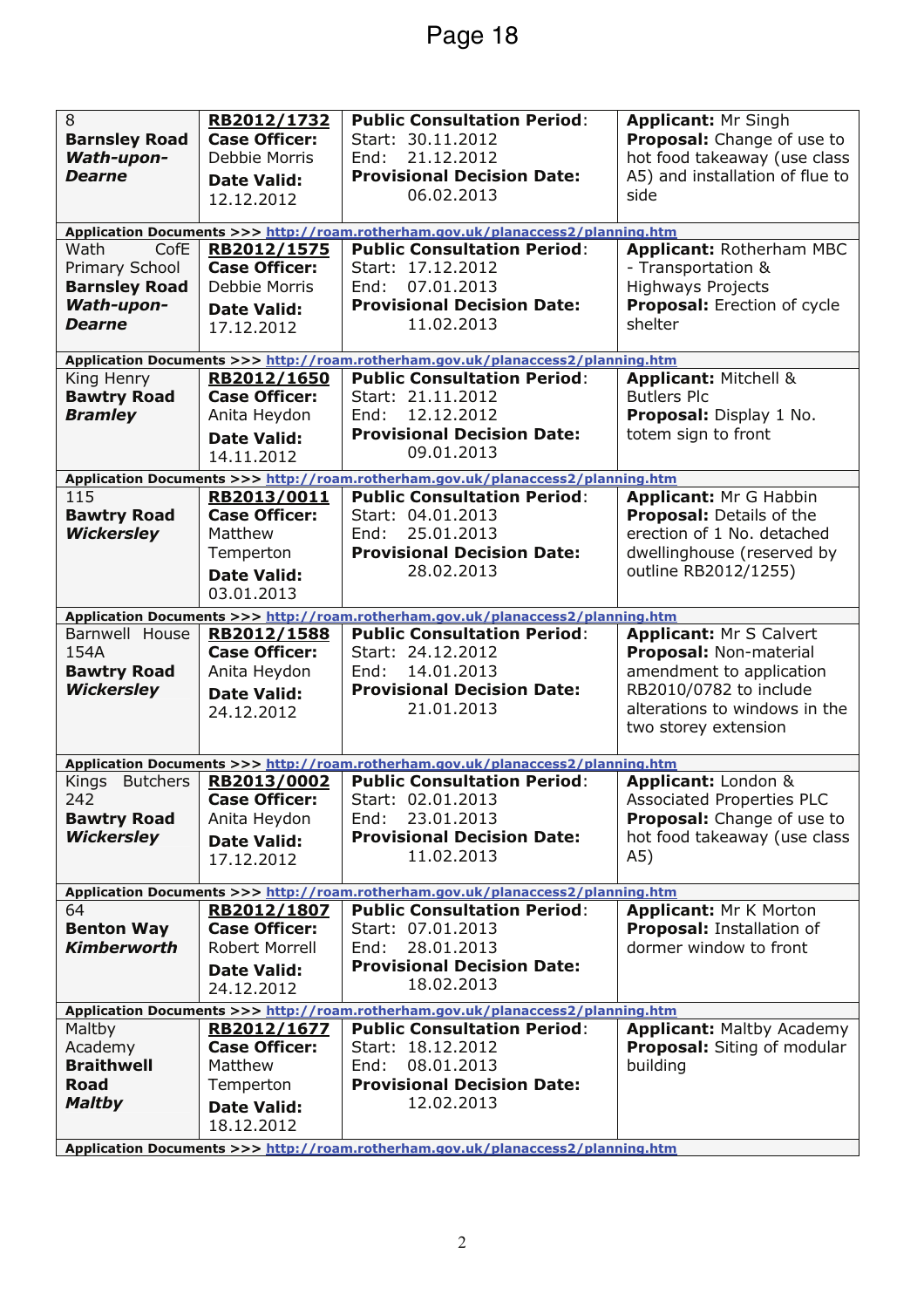| 8                        | RB2012/1732                      | <b>Public Consultation Period:</b>                                              | <b>Applicant: Mr Singh</b>        |
|--------------------------|----------------------------------|---------------------------------------------------------------------------------|-----------------------------------|
|                          |                                  |                                                                                 |                                   |
| <b>Barnsley Road</b>     | <b>Case Officer:</b>             | Start: 30.11.2012                                                               | Proposal: Change of use to        |
| <b>Wath-upon-</b>        | Debbie Morris                    | 21.12.2012<br>End:                                                              | hot food takeaway (use class      |
| <b>Dearne</b>            | <b>Date Valid:</b>               | <b>Provisional Decision Date:</b>                                               | A5) and installation of flue to   |
|                          | 12.12.2012                       | 06.02.2013                                                                      | side                              |
|                          |                                  |                                                                                 |                                   |
|                          |                                  | Application Documents >>> http://roam.rotherham.gov.uk/planaccess2/planning.htm |                                   |
| Wath<br>CofE             | RB2012/1575                      | <b>Public Consultation Period:</b>                                              | Applicant: Rotherham MBC          |
| Primary School           | <b>Case Officer:</b>             | Start: 17.12.2012                                                               | - Transportation &                |
| <b>Barnsley Road</b>     | Debbie Morris                    | 07.01.2013<br>End:                                                              | <b>Highways Projects</b>          |
| <b>Wath-upon-</b>        |                                  | <b>Provisional Decision Date:</b>                                               | Proposal: Erection of cycle       |
|                          | <b>Date Valid:</b>               | 11.02.2013                                                                      | shelter                           |
| <b>Dearne</b>            | 17.12.2012                       |                                                                                 |                                   |
|                          |                                  |                                                                                 |                                   |
|                          |                                  | Application Documents >>> http://roam.rotherham.gov.uk/planaccess2/planning.htm |                                   |
| King Henry               | RB2012/1650                      | <b>Public Consultation Period:</b>                                              | Applicant: Mitchell &             |
| <b>Bawtry Road</b>       | <b>Case Officer:</b>             | Start: 21.11.2012                                                               | <b>Butlers Plc</b>                |
| <b>Bramley</b>           | Anita Heydon                     | 12.12.2012<br>End:                                                              | Proposal: Display 1 No.           |
|                          | <b>Date Valid:</b>               | <b>Provisional Decision Date:</b>                                               | totem sign to front               |
|                          | 14.11.2012                       | 09.01.2013                                                                      |                                   |
|                          |                                  | Application Documents >>> http://roam.rotherham.gov.uk/planaccess2/planning.htm |                                   |
| 115                      | RB2013/0011                      | <b>Public Consultation Period:</b>                                              | <b>Applicant: Mr G Habbin</b>     |
| <b>Bawtry Road</b>       | <b>Case Officer:</b>             | Start: 04.01.2013                                                               | Proposal: Details of the          |
|                          | Matthew                          | 25.01.2013                                                                      | erection of 1 No. detached        |
| <b>Wickersley</b>        |                                  | End:                                                                            |                                   |
|                          | Temperton                        | <b>Provisional Decision Date:</b>                                               | dwellinghouse (reserved by        |
|                          | <b>Date Valid:</b>               | 28.02.2013                                                                      | outline RB2012/1255)              |
|                          | 03.01.2013                       |                                                                                 |                                   |
|                          |                                  | Application Documents >>> http://roam.rotherham.gov.uk/planaccess2/planning.htm |                                   |
|                          |                                  |                                                                                 |                                   |
| Barnwell House           | RB2012/1588                      | <b>Public Consultation Period:</b>                                              | <b>Applicant: Mr S Calvert</b>    |
| 154A                     | <b>Case Officer:</b>             | Start: 24.12.2012                                                               | Proposal: Non-material            |
| <b>Bawtry Road</b>       | Anita Heydon                     | End:<br>14.01.2013                                                              | amendment to application          |
|                          |                                  | <b>Provisional Decision Date:</b>                                               | RB2010/0782 to include            |
| <b>Wickersley</b>        | <b>Date Valid:</b>               |                                                                                 |                                   |
|                          | 24.12.2012                       | 21.01.2013                                                                      | alterations to windows in the     |
|                          |                                  |                                                                                 | two storey extension              |
|                          |                                  |                                                                                 |                                   |
|                          |                                  | Application Documents >>> http://roam.rotherham.gov.uk/planaccess2/planning.htm |                                   |
| <b>Butchers</b><br>Kings | RB2013/0002                      | <b>Public Consultation Period:</b>                                              | Applicant: London &               |
| 242                      | <b>Case Officer:</b>             | Start: 02.01.2013                                                               | Associated Properties PLC         |
| <b>Bawtry Road</b>       | Anita Heydon                     | End:<br>23.01.2013                                                              | <b>Proposal:</b> Change of use to |
| <b>Wickersley</b>        | <b>Date Valid:</b>               | <b>Provisional Decision Date:</b>                                               | hot food takeaway (use class      |
|                          | 17.12.2012                       | 11.02.2013                                                                      | A5)                               |
|                          |                                  |                                                                                 |                                   |
|                          |                                  | Application Documents >>> http://roam.rotherham.gov.uk/planaccess2/planning.htm |                                   |
| 64                       | RB2012/1807                      | <b>Public Consultation Period:</b>                                              | <b>Applicant: Mr K Morton</b>     |
| <b>Benton Way</b>        | <b>Case Officer:</b>             | Start: 07.01.2013                                                               | Proposal: Installation of         |
| <b>Kimberworth</b>       | Robert Morrell                   | 28.01.2013<br>End:                                                              | dormer window to front            |
|                          | <b>Date Valid:</b>               | <b>Provisional Decision Date:</b>                                               |                                   |
|                          | 24.12.2012                       | 18.02.2013                                                                      |                                   |
|                          |                                  | Application Documents >>> http://roam.rotherham.gov.uk/planaccess2/planning.htm |                                   |
| Maltby                   | RB2012/1677                      | <b>Public Consultation Period:</b>                                              | <b>Applicant: Maltby Academy</b>  |
| Academy                  | <b>Case Officer:</b>             | Start: 18.12.2012                                                               | Proposal: Siting of modular       |
| <b>Braithwell</b>        | Matthew                          | 08.01.2013<br>End:                                                              | building                          |
| <b>Road</b>              |                                  | <b>Provisional Decision Date:</b>                                               |                                   |
|                          | Temperton                        |                                                                                 |                                   |
| <b>Maltby</b>            | <b>Date Valid:</b><br>18.12.2012 | 12.02.2013                                                                      |                                   |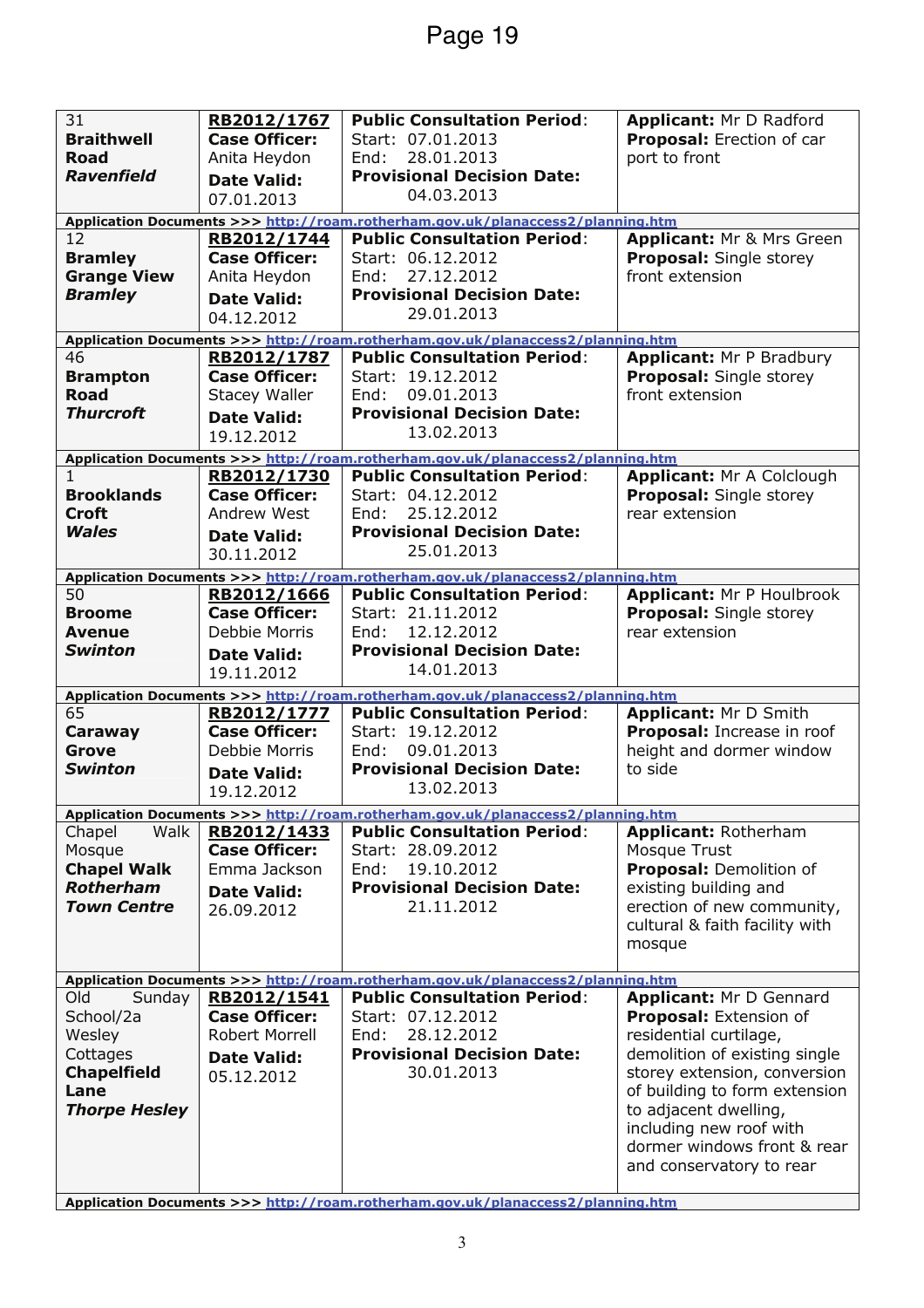| 31                   | RB2012/1767          | <b>Public Consultation Period:</b>                                              | Applicant: Mr D Radford          |
|----------------------|----------------------|---------------------------------------------------------------------------------|----------------------------------|
| <b>Braithwell</b>    | <b>Case Officer:</b> | Start: 07.01.2013                                                               | Proposal: Erection of car        |
| <b>Road</b>          | Anita Heydon         | 28.01.2013<br>End:                                                              | port to front                    |
| <b>Ravenfield</b>    |                      | <b>Provisional Decision Date:</b>                                               |                                  |
|                      | <b>Date Valid:</b>   |                                                                                 |                                  |
|                      | 07.01.2013           | 04.03.2013                                                                      |                                  |
|                      |                      | Application Documents >>> http://roam.rotherham.gov.uk/planaccess2/planning.htm |                                  |
| 12                   | RB2012/1744          | <b>Public Consultation Period:</b>                                              | Applicant: Mr & Mrs Green        |
|                      | <b>Case Officer:</b> | Start: 06.12.2012                                                               |                                  |
| <b>Bramley</b>       |                      |                                                                                 | <b>Proposal:</b> Single storey   |
| <b>Grange View</b>   | Anita Heydon         | 27.12.2012<br>End:                                                              | front extension                  |
| <b>Bramley</b>       | <b>Date Valid:</b>   | <b>Provisional Decision Date:</b>                                               |                                  |
|                      | 04.12.2012           | 29.01.2013                                                                      |                                  |
|                      |                      |                                                                                 |                                  |
|                      |                      | Application Documents >>> http://roam.rotherham.gov.uk/planaccess2/planning.htm |                                  |
| 46                   | RB2012/1787          | <b>Public Consultation Period:</b>                                              | <b>Applicant: Mr P Bradbury</b>  |
| <b>Brampton</b>      | <b>Case Officer:</b> | Start: 19.12.2012                                                               | <b>Proposal:</b> Single storey   |
| <b>Road</b>          | <b>Stacey Waller</b> | 09.01.2013<br>End:                                                              | front extension                  |
| <b>Thurcroft</b>     | <b>Date Valid:</b>   | <b>Provisional Decision Date:</b>                                               |                                  |
|                      |                      | 13.02.2013                                                                      |                                  |
|                      | 19.12.2012           |                                                                                 |                                  |
|                      |                      | Application Documents >>> http://roam.rotherham.gov.uk/planaccess2/planning.htm |                                  |
| $\mathbf{1}$         | RB2012/1730          | <b>Public Consultation Period:</b>                                              | Applicant: Mr A Colclough        |
| <b>Brooklands</b>    | <b>Case Officer:</b> | Start: 04.12.2012                                                               | <b>Proposal:</b> Single storey   |
| <b>Croft</b>         | Andrew West          | 25.12.2012<br>End:                                                              | rear extension                   |
| <b>Wales</b>         |                      | <b>Provisional Decision Date:</b>                                               |                                  |
|                      | <b>Date Valid:</b>   | 25.01.2013                                                                      |                                  |
|                      | 30.11.2012           |                                                                                 |                                  |
|                      |                      | Application Documents >>> http://roam.rotherham.gov.uk/planaccess2/planning.htm |                                  |
| 50                   | RB2012/1666          | <b>Public Consultation Period:</b>                                              | <b>Applicant: Mr P Houlbrook</b> |
| <b>Broome</b>        | <b>Case Officer:</b> | Start: 21.11.2012                                                               | Proposal: Single storey          |
| <b>Avenue</b>        | Debbie Morris        | 12.12.2012<br>End:                                                              | rear extension                   |
|                      |                      |                                                                                 |                                  |
| <b>Swinton</b>       | <b>Date Valid:</b>   | <b>Provisional Decision Date:</b>                                               |                                  |
|                      | 19.11.2012           | 14.01.2013                                                                      |                                  |
|                      |                      | Application Documents >>> http://roam.rotherham.gov.uk/planaccess2/planning.htm |                                  |
| 65                   | RB2012/1777          | <b>Public Consultation Period:</b>                                              | <b>Applicant: Mr D Smith</b>     |
| Caraway              | <b>Case Officer:</b> | Start: 19.12.2012                                                               | Proposal: Increase in roof       |
| <b>Grove</b>         | Debbie Morris        | 09.01.2013<br>End:                                                              | height and dormer window         |
|                      |                      |                                                                                 |                                  |
| <b>Swinton</b>       | <b>Date Valid:</b>   | <b>Provisional Decision Date:</b>                                               | to side                          |
|                      | 19.12.2012           | 13.02.2013                                                                      |                                  |
|                      |                      | Application Documents >>> http://roam.rotherham.gov.uk/planaccess2/planning.htm |                                  |
| Walk<br>Chapel       | RB2012/1433          | <b>Public Consultation Period:</b>                                              | <b>Applicant: Rotherham</b>      |
|                      | <b>Case Officer:</b> | Start: 28.09.2012                                                               | Mosque Trust                     |
| Mosque               |                      |                                                                                 |                                  |
| <b>Chapel Walk</b>   | Emma Jackson         | 19.10.2012<br>End:                                                              | Proposal: Demolition of          |
| <b>Rotherham</b>     | <b>Date Valid:</b>   | <b>Provisional Decision Date:</b>                                               | existing building and            |
| <b>Town Centre</b>   | 26.09.2012           | 21.11.2012                                                                      | erection of new community,       |
|                      |                      |                                                                                 | cultural & faith facility with   |
|                      |                      |                                                                                 | mosque                           |
|                      |                      |                                                                                 |                                  |
|                      |                      | Application Documents >>> http://roam.rotherham.gov.uk/planaccess2/planning.htm |                                  |
| Old<br>Sunday        | RB2012/1541          | <b>Public Consultation Period:</b>                                              | <b>Applicant: Mr D Gennard</b>   |
| School/2a            |                      | Start: 07.12.2012                                                               | Proposal: Extension of           |
|                      |                      |                                                                                 |                                  |
|                      | <b>Case Officer:</b> |                                                                                 |                                  |
| Wesley               | Robert Morrell       | 28.12.2012<br>End:                                                              | residential curtilage,           |
| Cottages             | <b>Date Valid:</b>   | <b>Provisional Decision Date:</b>                                               | demolition of existing single    |
| <b>Chapelfield</b>   | 05.12.2012           | 30.01.2013                                                                      | storey extension, conversion     |
| Lane                 |                      |                                                                                 | of building to form extension    |
|                      |                      |                                                                                 |                                  |
| <b>Thorpe Hesley</b> |                      |                                                                                 | to adjacent dwelling,            |
|                      |                      |                                                                                 | including new roof with          |
|                      |                      |                                                                                 | dormer windows front & rear      |
|                      |                      |                                                                                 | and conservatory to rear         |
|                      |                      | Application Documents >>> http://roam.rotherham.gov.uk/planaccess2/planning.htm |                                  |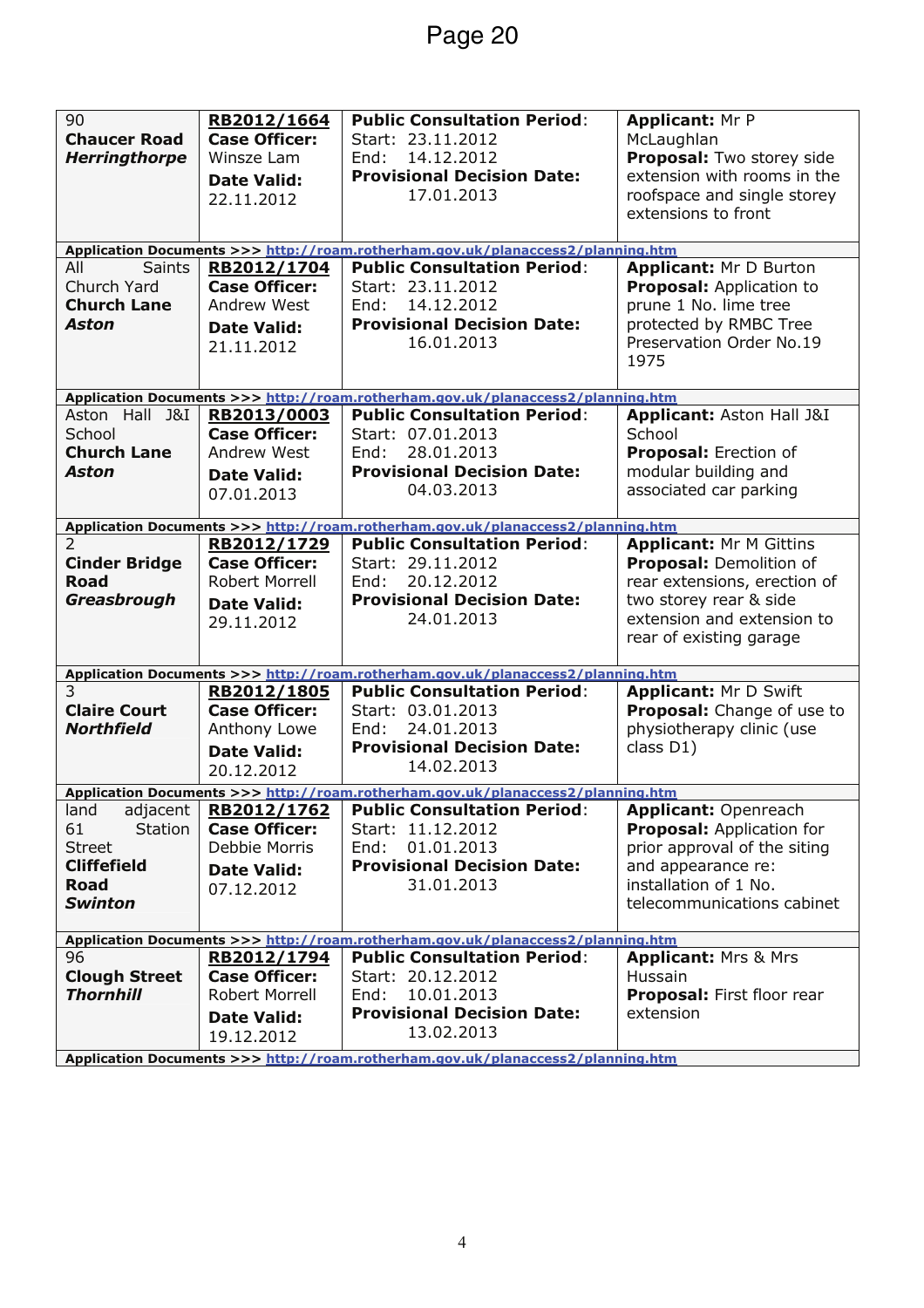| 90                   | RB2012/1664           | <b>Public Consultation Period:</b>                                                                                    | <b>Applicant: Mr P</b>          |
|----------------------|-----------------------|-----------------------------------------------------------------------------------------------------------------------|---------------------------------|
| <b>Chaucer Road</b>  | <b>Case Officer:</b>  | Start: 23.11.2012                                                                                                     | McLaughlan                      |
| <b>Herringthorpe</b> | Winsze Lam            | 14.12.2012<br>End:                                                                                                    | Proposal: Two storey side       |
|                      | <b>Date Valid:</b>    | <b>Provisional Decision Date:</b>                                                                                     | extension with rooms in the     |
|                      | 22.11.2012            | 17.01.2013                                                                                                            | roofspace and single storey     |
|                      |                       |                                                                                                                       | extensions to front             |
|                      |                       |                                                                                                                       |                                 |
|                      |                       | Application Documents >>> http://roam.rotherham.gov.uk/planaccess2/planning.htm                                       |                                 |
| All<br><b>Saints</b> | RB2012/1704           | <b>Public Consultation Period:</b>                                                                                    | <b>Applicant: Mr D Burton</b>   |
| Church Yard          | <b>Case Officer:</b>  | Start: 23.11.2012                                                                                                     | <b>Proposal: Application to</b> |
| <b>Church Lane</b>   | Andrew West           | 14.12.2012<br>End:                                                                                                    | prune 1 No. lime tree           |
| <b>Aston</b>         | <b>Date Valid:</b>    | <b>Provisional Decision Date:</b>                                                                                     | protected by RMBC Tree          |
|                      | 21.11.2012            | 16.01.2013                                                                                                            | Preservation Order No.19        |
|                      |                       |                                                                                                                       | 1975                            |
|                      |                       |                                                                                                                       |                                 |
|                      |                       | Application Documents >>> http://roam.rotherham.gov.uk/planaccess2/planning.htm                                       |                                 |
| Aston Hall J&I       | RB2013/0003           | <b>Public Consultation Period:</b>                                                                                    | Applicant: Aston Hall J&I       |
| School               | <b>Case Officer:</b>  | Start: 07.01.2013                                                                                                     | School                          |
| <b>Church Lane</b>   | Andrew West           | 28.01.2013<br>End:                                                                                                    | <b>Proposal:</b> Erection of    |
| <b>Aston</b>         | <b>Date Valid:</b>    | <b>Provisional Decision Date:</b>                                                                                     | modular building and            |
|                      | 07.01.2013            | 04.03.2013                                                                                                            | associated car parking          |
|                      |                       | Application Documents >>> http://roam.rotherham.gov.uk/planaccess2/planning.htm                                       |                                 |
| $\mathcal{P}$        | RB2012/1729           | <b>Public Consultation Period:</b>                                                                                    | <b>Applicant: Mr M Gittins</b>  |
| <b>Cinder Bridge</b> | <b>Case Officer:</b>  | Start: 29.11.2012                                                                                                     | Proposal: Demolition of         |
| <b>Road</b>          | <b>Robert Morrell</b> | 20.12.2012<br>End:                                                                                                    | rear extensions, erection of    |
| Greasbrough          | <b>Date Valid:</b>    | <b>Provisional Decision Date:</b>                                                                                     | two storey rear & side          |
|                      | 29.11.2012            | 24.01.2013                                                                                                            | extension and extension to      |
|                      |                       |                                                                                                                       | rear of existing garage         |
|                      |                       |                                                                                                                       |                                 |
|                      |                       | Application Documents >>> http://roam.rotherham.gov.uk/planaccess2/planning.htm                                       |                                 |
| 3                    | RB2012/1805           | <b>Public Consultation Period:</b>                                                                                    | <b>Applicant: Mr D Swift</b>    |
| <b>Claire Court</b>  | <b>Case Officer:</b>  | Start: 03.01.2013                                                                                                     | Proposal: Change of use to      |
| <b>Northfield</b>    | Anthony Lowe          | 24.01.2013<br>End:                                                                                                    | physiotherapy clinic (use       |
|                      | <b>Date Valid:</b>    | <b>Provisional Decision Date:</b>                                                                                     | class D1)                       |
|                      | 20.12.2012            | 14.02.2013                                                                                                            |                                 |
|                      |                       | Application Documents >>> http://roam.rotherham.gov.uk/planaccess2/planning.htm                                       |                                 |
| adjacent<br>land     | RB2012/1762           | <b>Public Consultation Period:</b>                                                                                    | <b>Applicant: Openreach</b>     |
| 61<br>Station        | <b>Case Officer:</b>  | Start: 11.12.2012                                                                                                     | Proposal: Application for       |
| <b>Street</b>        | Debbie Morris         | 01.01.2013<br>End:                                                                                                    | prior approval of the siting    |
| <b>Cliffefield</b>   | <b>Date Valid:</b>    | <b>Provisional Decision Date:</b>                                                                                     | and appearance re:              |
| Road                 | 07.12.2012            | 31.01.2013                                                                                                            | installation of 1 No.           |
| <b>Swinton</b>       |                       |                                                                                                                       | telecommunications cabinet      |
|                      |                       |                                                                                                                       |                                 |
| 96                   | RB2012/1794           | Application Documents >>> http://roam.rotherham.gov.uk/planaccess2/planning.htm<br><b>Public Consultation Period:</b> | <b>Applicant: Mrs &amp; Mrs</b> |
| <b>Clough Street</b> | <b>Case Officer:</b>  | Start: 20.12.2012                                                                                                     | Hussain                         |
| <b>Thornhill</b>     | Robert Morrell        | 10.01.2013<br>End:                                                                                                    | Proposal: First floor rear      |
|                      |                       | <b>Provisional Decision Date:</b>                                                                                     | extension                       |
|                      | <b>Date Valid:</b>    | 13.02.2013                                                                                                            |                                 |
|                      | 19.12.2012            |                                                                                                                       |                                 |
|                      |                       | Application Documents >>> http://roam.rotherham.gov.uk/planaccess2/planning.htm                                       |                                 |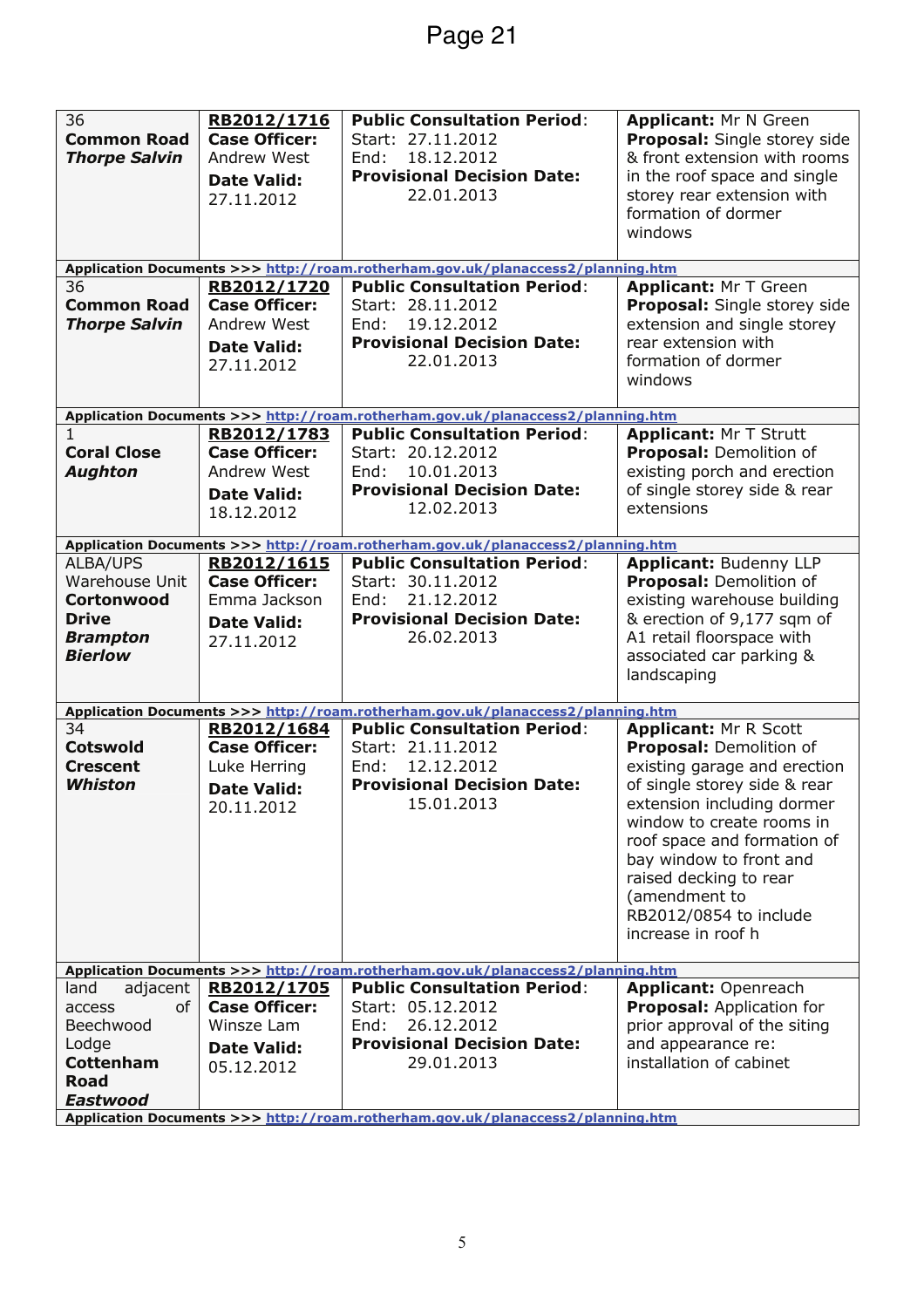| 36<br><b>Common Road</b><br><b>Thorpe Salvin</b> | RB2012/1716<br><b>Case Officer:</b><br>Andrew West<br><b>Date Valid:</b><br>27.11.2012 | <b>Public Consultation Period:</b><br>Start: 27.11.2012<br>18.12.2012<br>End:<br><b>Provisional Decision Date:</b><br>22.01.2013 | <b>Applicant: Mr N Green</b><br>Proposal: Single storey side<br>& front extension with rooms<br>in the roof space and single<br>storey rear extension with<br>formation of dormer<br>windows |
|--------------------------------------------------|----------------------------------------------------------------------------------------|----------------------------------------------------------------------------------------------------------------------------------|----------------------------------------------------------------------------------------------------------------------------------------------------------------------------------------------|
|                                                  |                                                                                        |                                                                                                                                  |                                                                                                                                                                                              |
|                                                  |                                                                                        | Application Documents >>> http://roam.rotherham.gov.uk/planaccess2/planning.htm                                                  |                                                                                                                                                                                              |
| 36                                               | RB2012/1720                                                                            | <b>Public Consultation Period:</b>                                                                                               | Applicant: Mr T Green                                                                                                                                                                        |
| <b>Common Road</b>                               | <b>Case Officer:</b>                                                                   | Start: 28.11.2012                                                                                                                | Proposal: Single storey side                                                                                                                                                                 |
| <b>Thorpe Salvin</b>                             | Andrew West                                                                            | 19.12.2012<br>End:                                                                                                               | extension and single storey<br>rear extension with                                                                                                                                           |
|                                                  | <b>Date Valid:</b>                                                                     | <b>Provisional Decision Date:</b><br>22.01.2013                                                                                  | formation of dormer                                                                                                                                                                          |
|                                                  | 27.11.2012                                                                             |                                                                                                                                  | windows                                                                                                                                                                                      |
|                                                  |                                                                                        |                                                                                                                                  |                                                                                                                                                                                              |
|                                                  |                                                                                        | Application Documents >>> http://roam.rotherham.gov.uk/planaccess2/planning.htm                                                  |                                                                                                                                                                                              |
| 1                                                | RB2012/1783                                                                            | <b>Public Consultation Period:</b>                                                                                               | Applicant: Mr T Strutt                                                                                                                                                                       |
| <b>Coral Close</b>                               | <b>Case Officer:</b>                                                                   | Start: 20.12.2012                                                                                                                | Proposal: Demolition of                                                                                                                                                                      |
| <b>Aughton</b>                                   | Andrew West                                                                            | 10.01.2013<br>End:                                                                                                               | existing porch and erection                                                                                                                                                                  |
|                                                  | <b>Date Valid:</b>                                                                     | <b>Provisional Decision Date:</b>                                                                                                | of single storey side & rear                                                                                                                                                                 |
|                                                  | 18.12.2012                                                                             | 12.02.2013                                                                                                                       | extensions                                                                                                                                                                                   |
|                                                  |                                                                                        | Application Documents >>> http://roam.rotherham.gov.uk/planaccess2/planning.htm                                                  |                                                                                                                                                                                              |
| ALBA/UPS                                         | RB2012/1615                                                                            | <b>Public Consultation Period:</b>                                                                                               | <b>Applicant: Budenny LLP</b>                                                                                                                                                                |
| Warehouse Unit                                   | <b>Case Officer:</b>                                                                   | Start: 30.11.2012                                                                                                                | Proposal: Demolition of                                                                                                                                                                      |
| Cortonwood                                       | Emma Jackson                                                                           | 21.12.2012<br>End:                                                                                                               | existing warehouse building                                                                                                                                                                  |
| <b>Drive</b>                                     | <b>Date Valid:</b>                                                                     | <b>Provisional Decision Date:</b>                                                                                                | & erection of 9,177 sqm of                                                                                                                                                                   |
| <b>Brampton</b>                                  | 27.11.2012                                                                             | 26.02.2013                                                                                                                       | A1 retail floorspace with                                                                                                                                                                    |
| <b>Bierlow</b>                                   |                                                                                        |                                                                                                                                  | associated car parking &                                                                                                                                                                     |
|                                                  |                                                                                        |                                                                                                                                  | landscaping                                                                                                                                                                                  |
|                                                  |                                                                                        | Application Documents >>> http://roam.rotherham.gov.uk/planaccess2/planning.htm                                                  |                                                                                                                                                                                              |
| 34                                               | RB2012/1684                                                                            | <b>Public Consultation Period:</b>                                                                                               | <b>Applicant: Mr R Scott</b>                                                                                                                                                                 |
| <b>Cotswold</b>                                  | <b>Case Officer:</b>                                                                   | Start: 21.11.2012                                                                                                                | Proposal: Demolition of                                                                                                                                                                      |
| <b>Crescent</b>                                  | Luke Herring                                                                           | 12.12.2012<br>End:                                                                                                               | existing garage and erection                                                                                                                                                                 |
| <b>Whiston</b>                                   | <b>Date Valid:</b>                                                                     | <b>Provisional Decision Date:</b>                                                                                                | of single storey side & rear                                                                                                                                                                 |
|                                                  | 20.11.2012                                                                             | 15.01.2013                                                                                                                       | extension including dormer                                                                                                                                                                   |
|                                                  |                                                                                        |                                                                                                                                  | window to create rooms in<br>roof space and formation of                                                                                                                                     |
|                                                  |                                                                                        |                                                                                                                                  | bay window to front and                                                                                                                                                                      |
|                                                  |                                                                                        |                                                                                                                                  | raised decking to rear                                                                                                                                                                       |
|                                                  |                                                                                        |                                                                                                                                  | (amendment to                                                                                                                                                                                |
|                                                  |                                                                                        |                                                                                                                                  | RB2012/0854 to include                                                                                                                                                                       |
|                                                  |                                                                                        |                                                                                                                                  | increase in roof h                                                                                                                                                                           |
|                                                  |                                                                                        |                                                                                                                                  |                                                                                                                                                                                              |
| land                                             |                                                                                        | Application Documents >>> http://roam.rotherham.gov.uk/planaccess2/planning.htm<br><b>Public Consultation Period:</b>            |                                                                                                                                                                                              |
| adjacent<br>0f<br>access                         | RB2012/1705<br><b>Case Officer:</b>                                                    | Start: 05.12.2012                                                                                                                | <b>Applicant: Openreach</b><br><b>Proposal: Application for</b>                                                                                                                              |
| Beechwood                                        | Winsze Lam                                                                             | 26.12.2012<br>End:                                                                                                               | prior approval of the siting                                                                                                                                                                 |
| Lodge                                            | <b>Date Valid:</b>                                                                     | <b>Provisional Decision Date:</b>                                                                                                | and appearance re:                                                                                                                                                                           |
| <b>Cottenham</b>                                 | 05.12.2012                                                                             | 29.01.2013                                                                                                                       | installation of cabinet                                                                                                                                                                      |
| <b>Road</b>                                      |                                                                                        |                                                                                                                                  |                                                                                                                                                                                              |
| Eastwood                                         |                                                                                        |                                                                                                                                  |                                                                                                                                                                                              |
|                                                  |                                                                                        | Application Documents >>> http://roam.rotherham.gov.uk/planaccess2/planning.htm                                                  |                                                                                                                                                                                              |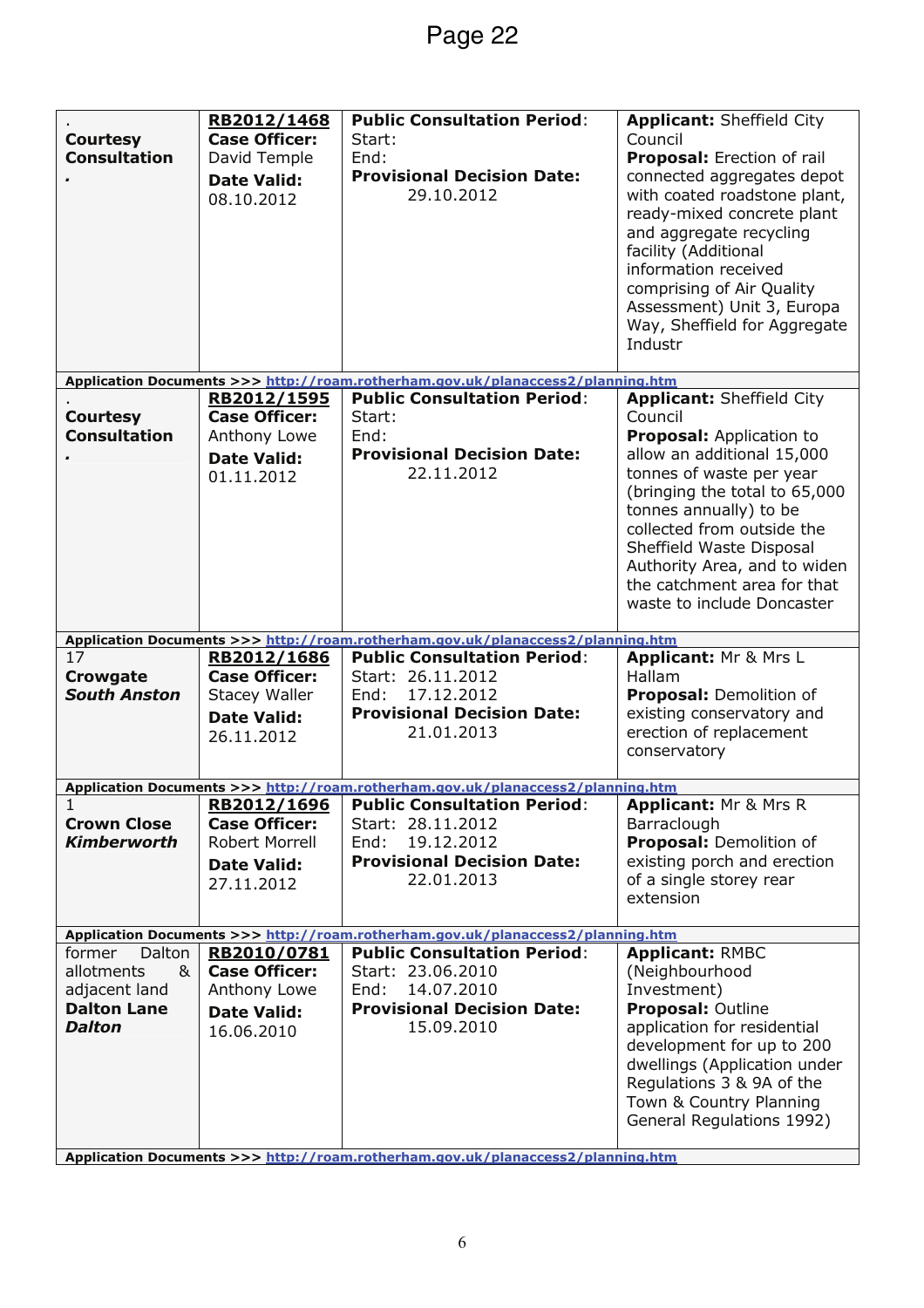| <b>Courtesy</b><br><b>Consultation</b>                                                      | RB2012/1468<br><b>Case Officer:</b><br>David Temple<br><b>Date Valid:</b><br>08.10.2012         | <b>Public Consultation Period:</b><br>Start:<br>End:<br><b>Provisional Decision Date:</b><br>29.10.2012                               | <b>Applicant: Sheffield City</b><br>Council<br>Proposal: Erection of rail<br>connected aggregates depot<br>with coated roadstone plant,<br>ready-mixed concrete plant<br>and aggregate recycling<br>facility (Additional<br>information received<br>comprising of Air Quality<br>Assessment) Unit 3, Europa<br>Way, Sheffield for Aggregate<br>Industr |
|---------------------------------------------------------------------------------------------|-------------------------------------------------------------------------------------------------|---------------------------------------------------------------------------------------------------------------------------------------|--------------------------------------------------------------------------------------------------------------------------------------------------------------------------------------------------------------------------------------------------------------------------------------------------------------------------------------------------------|
|                                                                                             |                                                                                                 | Application Documents >>> http://roam.rotherham.gov.uk/planaccess2/planning.htm                                                       |                                                                                                                                                                                                                                                                                                                                                        |
| <b>Courtesy</b><br><b>Consultation</b>                                                      | RB2012/1595<br><b>Case Officer:</b><br>Anthony Lowe<br><b>Date Valid:</b><br>01.11.2012         | <b>Public Consultation Period:</b><br>Start:<br>End:<br><b>Provisional Decision Date:</b><br>22.11.2012                               | Applicant: Sheffield City<br>Council<br><b>Proposal:</b> Application to<br>allow an additional 15,000<br>tonnes of waste per year<br>(bringing the total to 65,000<br>tonnes annually) to be<br>collected from outside the<br>Sheffield Waste Disposal<br>Authority Area, and to widen<br>the catchment area for that<br>waste to include Doncaster    |
|                                                                                             |                                                                                                 | Application Documents >>> http://roam.rotherham.gov.uk/planaccess2/planning.htm                                                       |                                                                                                                                                                                                                                                                                                                                                        |
| 17<br><b>Crowgate</b><br><b>South Anston</b>                                                | RB2012/1686<br><b>Case Officer:</b><br><b>Stacey Waller</b><br><b>Date Valid:</b><br>26.11.2012 | <b>Public Consultation Period:</b><br>Start: 26.11.2012<br>17.12.2012<br>End:<br><b>Provisional Decision Date:</b><br>21.01.2013      | Applicant: Mr & Mrs L<br>Hallam<br>Proposal: Demolition of<br>existing conservatory and<br>erection of replacement<br>conservatory                                                                                                                                                                                                                     |
|                                                                                             |                                                                                                 | Application Documents >>> http://roam.rotherham.gov.uk/planaccess2/planning.htm                                                       |                                                                                                                                                                                                                                                                                                                                                        |
| 1<br><b>Crown Close</b><br><b>Kimberworth</b>                                               | <b>Case Officer:</b><br>Robert Morrell<br><b>Date Valid:</b><br>27.11.2012                      | RB2012/1696 Public Consultation Period:<br>Start: 28.11.2012<br>End:<br>19.12.2012<br><b>Provisional Decision Date:</b><br>22.01.2013 | <b>Applicant:</b> Mr & Mrs R<br>Barraclough<br>Proposal: Demolition of<br>existing porch and erection<br>of a single storey rear<br>extension                                                                                                                                                                                                          |
|                                                                                             |                                                                                                 | Application Documents >>> http://roam.rotherham.gov.uk/planaccess2/planning.htm                                                       |                                                                                                                                                                                                                                                                                                                                                        |
| former<br>Dalton<br>allotments<br>&<br>adjacent land<br><b>Dalton Lane</b><br><b>Dalton</b> | RB2010/0781<br><b>Case Officer:</b><br>Anthony Lowe<br><b>Date Valid:</b><br>16.06.2010         | <b>Public Consultation Period:</b><br>Start: 23.06.2010<br>14.07.2010<br>End:<br><b>Provisional Decision Date:</b><br>15.09.2010      | <b>Applicant: RMBC</b><br>(Neighbourhood<br>Investment)<br><b>Proposal: Outline</b><br>application for residential<br>development for up to 200<br>dwellings (Application under<br>Regulations 3 & 9A of the<br>Town & Country Planning<br>General Regulations 1992)                                                                                   |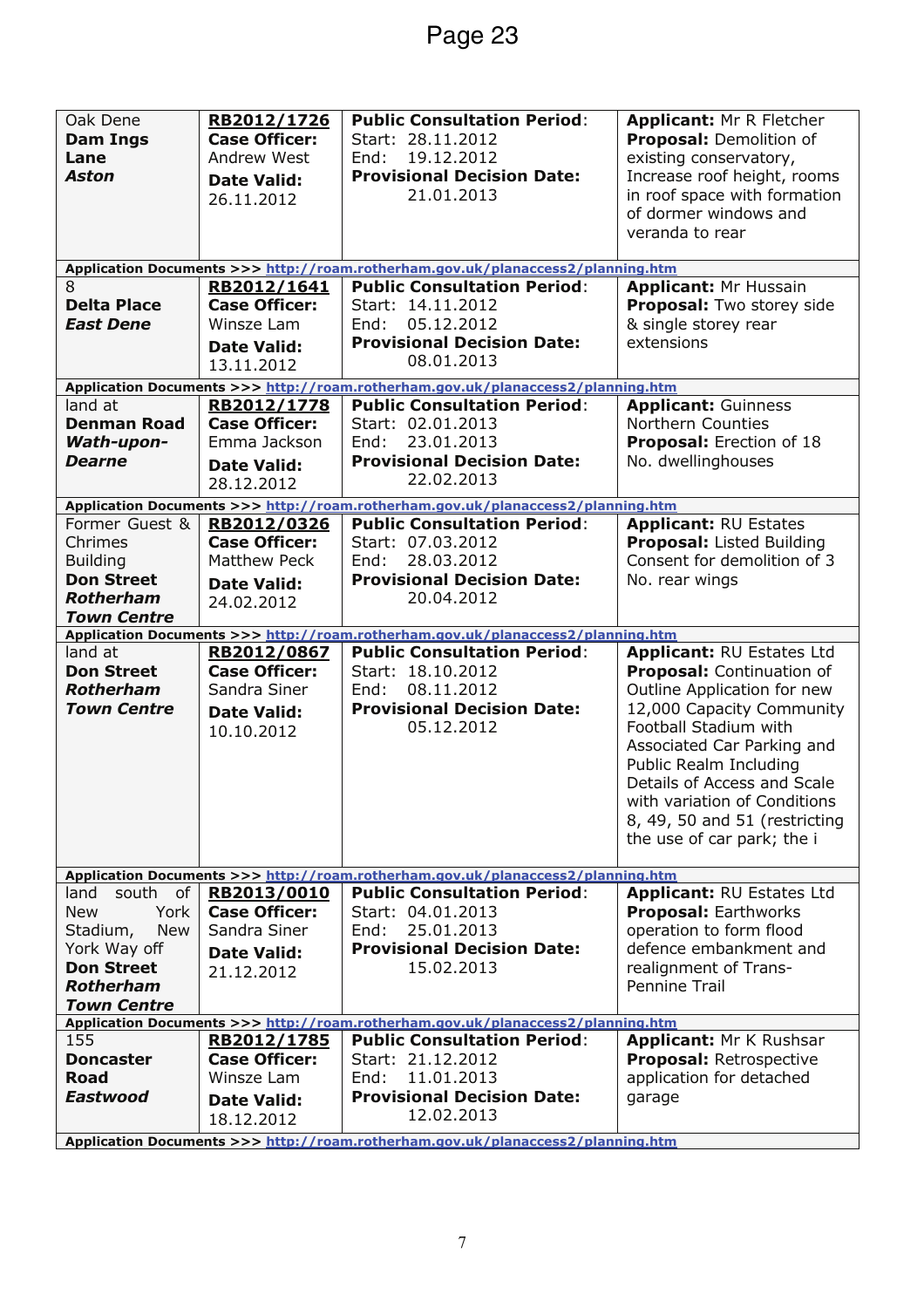| Oak Dene<br><b>Dam Ings</b><br>Lane<br><b>Aston</b>                                                                         | RB2012/1726<br><b>Case Officer:</b><br>Andrew West<br><b>Date Valid:</b><br>26.11.2012  | <b>Public Consultation Period:</b><br>Start: 28.11.2012<br>End:<br>19.12.2012<br><b>Provisional Decision Date:</b><br>21.01.2013                                                                                    | <b>Applicant: Mr R Fletcher</b><br>Proposal: Demolition of<br>existing conservatory,<br>Increase roof height, rooms<br>in roof space with formation<br>of dormer windows and<br>veranda to rear                                                                                                                                   |
|-----------------------------------------------------------------------------------------------------------------------------|-----------------------------------------------------------------------------------------|---------------------------------------------------------------------------------------------------------------------------------------------------------------------------------------------------------------------|-----------------------------------------------------------------------------------------------------------------------------------------------------------------------------------------------------------------------------------------------------------------------------------------------------------------------------------|
| 8<br><b>Delta Place</b><br><b>East Dene</b>                                                                                 | RB2012/1641<br><b>Case Officer:</b><br>Winsze Lam<br><b>Date Valid:</b><br>13.11.2012   | Application Documents >>> http://roam.rotherham.gov.uk/planaccess2/planning.htm<br><b>Public Consultation Period:</b><br>Start: 14.11.2012<br>05.12.2012<br>End:<br><b>Provisional Decision Date:</b><br>08.01.2013 | <b>Applicant: Mr Hussain</b><br>Proposal: Two storey side<br>& single storey rear<br>extensions                                                                                                                                                                                                                                   |
|                                                                                                                             |                                                                                         | Application Documents >>> http://roam.rotherham.gov.uk/planaccess2/planning.htm                                                                                                                                     |                                                                                                                                                                                                                                                                                                                                   |
| land at<br><b>Denman Road</b><br>Wath-upon-<br><b>Dearne</b>                                                                | RB2012/1778<br><b>Case Officer:</b><br>Emma Jackson<br><b>Date Valid:</b><br>28.12.2012 | <b>Public Consultation Period:</b><br>Start: 02.01.2013<br>23.01.2013<br>End:<br><b>Provisional Decision Date:</b><br>22.02.2013                                                                                    | <b>Applicant: Guinness</b><br><b>Northern Counties</b><br>Proposal: Erection of 18<br>No. dwellinghouses                                                                                                                                                                                                                          |
|                                                                                                                             |                                                                                         | Application Documents >>> http://roam.rotherham.gov.uk/planaccess2/planning.htm                                                                                                                                     |                                                                                                                                                                                                                                                                                                                                   |
| Former Guest &<br>Chrimes<br><b>Building</b><br><b>Don Street</b><br><b>Rotherham</b><br><b>Town Centre</b>                 | RB2012/0326<br><b>Case Officer:</b><br>Matthew Peck<br><b>Date Valid:</b><br>24.02.2012 | <b>Public Consultation Period:</b><br>Start: 07.03.2012<br>28.03.2012<br>End:<br><b>Provisional Decision Date:</b><br>20.04.2012                                                                                    | <b>Applicant: RU Estates</b><br><b>Proposal: Listed Building</b><br>Consent for demolition of 3<br>No. rear wings                                                                                                                                                                                                                 |
|                                                                                                                             |                                                                                         | Application Documents >>> http://roam.rotherham.gov.uk/planaccess2/planning.htm                                                                                                                                     |                                                                                                                                                                                                                                                                                                                                   |
| land at<br><b>Don Street</b><br><b>Rotherham</b><br><b>Town Centre</b>                                                      | RB2012/0867<br><b>Case Officer:</b><br>Sandra Siner<br><b>Date Valid:</b><br>10.10.2012 | <b>Public Consultation Period:</b><br>Start: 18.10.2012<br>08.11.2012<br>End:<br><b>Provisional Decision Date:</b><br>05.12.2012<br>Application Documents >>> http://roam.rotherham.gov.uk/planaccess2/planning.htm | Applicant: RU Estates Ltd<br>Proposal: Continuation of<br>Outline Application for new<br>12,000 Capacity Community<br>Football Stadium with<br>Associated Car Parking and<br>Public Realm Including<br>Details of Access and Scale<br>with variation of Conditions<br>8, 49, 50 and 51 (restricting<br>the use of car park; the i |
| south of<br>land                                                                                                            | RB2013/0010                                                                             | <b>Public Consultation Period:</b>                                                                                                                                                                                  | Applicant: RU Estates Ltd                                                                                                                                                                                                                                                                                                         |
| <b>New</b><br>York<br>Stadium,<br><b>New</b><br>York Way off<br><b>Don Street</b><br><b>Rotherham</b><br><b>Town Centre</b> | <b>Case Officer:</b><br>Sandra Siner<br><b>Date Valid:</b><br>21.12.2012                | Start: 04.01.2013<br>25.01.2013<br>End:<br><b>Provisional Decision Date:</b><br>15.02.2013                                                                                                                          | <b>Proposal: Earthworks</b><br>operation to form flood<br>defence embankment and<br>realignment of Trans-<br>Pennine Trail                                                                                                                                                                                                        |
|                                                                                                                             |                                                                                         | Application Documents >>> http://roam.rotherham.gov.uk/planaccess2/planning.htm                                                                                                                                     |                                                                                                                                                                                                                                                                                                                                   |
| 155<br><b>Doncaster</b><br><b>Road</b><br>Eastwood                                                                          | RB2012/1785<br><b>Case Officer:</b><br>Winsze Lam<br><b>Date Valid:</b><br>18.12.2012   | <b>Public Consultation Period:</b><br>Start: 21.12.2012<br>11.01.2013<br>End:<br><b>Provisional Decision Date:</b><br>12.02.2013<br>Application Documents >>> http://roam.rotherham.gov.uk/planaccess2/planning.htm | <b>Applicant: Mr K Rushsar</b><br><b>Proposal: Retrospective</b><br>application for detached<br>garage                                                                                                                                                                                                                            |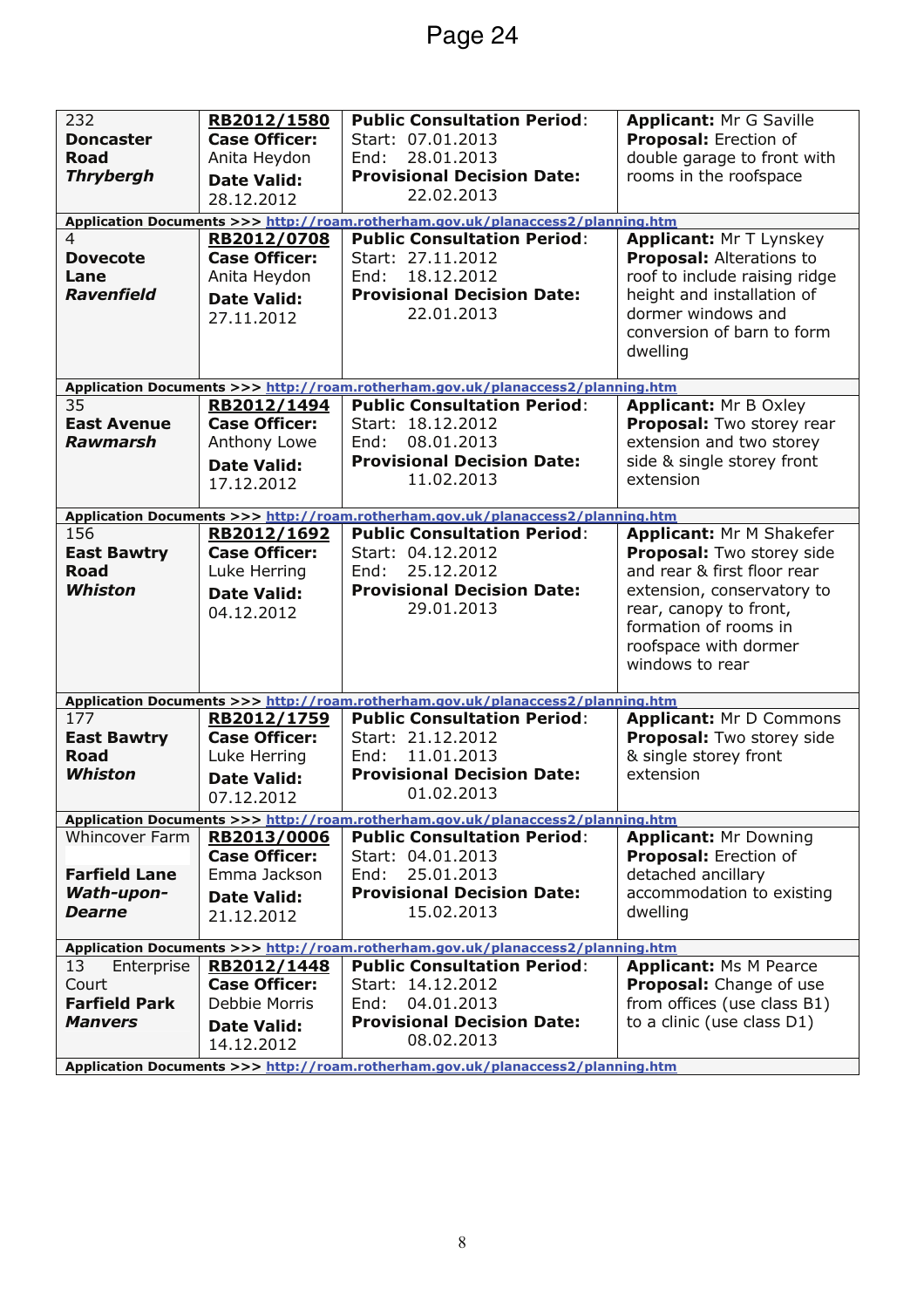| 232                  | RB2012/1580          | <b>Public Consultation Period:</b>                                              | <b>Applicant: Mr G Saville</b>   |  |
|----------------------|----------------------|---------------------------------------------------------------------------------|----------------------------------|--|
| <b>Doncaster</b>     | <b>Case Officer:</b> | Start: 07.01.2013                                                               | Proposal: Erection of            |  |
| <b>Road</b>          | Anita Heydon         | 28.01.2013<br>End:                                                              | double garage to front with      |  |
| <b>Thrybergh</b>     | <b>Date Valid:</b>   | <b>Provisional Decision Date:</b>                                               | rooms in the roofspace           |  |
|                      | 28.12.2012           | 22.02.2013                                                                      |                                  |  |
|                      |                      | Application Documents >>> http://roam.rotherham.gov.uk/planaccess2/planning.htm |                                  |  |
|                      |                      |                                                                                 |                                  |  |
| 4                    | RB2012/0708          | <b>Public Consultation Period:</b>                                              | Applicant: Mr T Lynskey          |  |
| <b>Dovecote</b>      | <b>Case Officer:</b> | Start: 27.11.2012                                                               | Proposal: Alterations to         |  |
| Lane                 | Anita Heydon         | 18.12.2012<br>End:                                                              | roof to include raising ridge    |  |
| <b>Ravenfield</b>    | <b>Date Valid:</b>   | <b>Provisional Decision Date:</b>                                               | height and installation of       |  |
|                      | 27.11.2012           | 22.01.2013                                                                      | dormer windows and               |  |
|                      |                      |                                                                                 | conversion of barn to form       |  |
|                      |                      |                                                                                 | dwelling                         |  |
|                      |                      |                                                                                 |                                  |  |
|                      |                      | Application Documents >>> http://roam.rotherham.gov.uk/planaccess2/planning.htm |                                  |  |
| 35                   | RB2012/1494          | <b>Public Consultation Period:</b>                                              | <b>Applicant: Mr B Oxley</b>     |  |
| <b>East Avenue</b>   | <b>Case Officer:</b> | Start: 18.12.2012                                                               | Proposal: Two storey rear        |  |
| <b>Rawmarsh</b>      | Anthony Lowe         | 08.01.2013<br>End:                                                              | extension and two storey         |  |
|                      | <b>Date Valid:</b>   | <b>Provisional Decision Date:</b>                                               | side & single storey front       |  |
|                      | 17.12.2012           | 11.02.2013                                                                      | extension                        |  |
|                      |                      |                                                                                 |                                  |  |
|                      |                      | Application Documents >>> http://roam.rotherham.gov.uk/planaccess2/planning.htm |                                  |  |
| 156                  | RB2012/1692          | <b>Public Consultation Period:</b>                                              | Applicant: Mr M Shakefer         |  |
| <b>East Bawtry</b>   | <b>Case Officer:</b> | Start: 04.12.2012                                                               | <b>Proposal:</b> Two storey side |  |
| <b>Road</b>          | Luke Herring         | 25.12.2012<br>End:                                                              | and rear & first floor rear      |  |
| Whiston              |                      | <b>Provisional Decision Date:</b>                                               | extension, conservatory to       |  |
|                      | <b>Date Valid:</b>   | 29.01.2013                                                                      | rear, canopy to front,           |  |
|                      | 04.12.2012           |                                                                                 | formation of rooms in            |  |
|                      |                      |                                                                                 | roofspace with dormer            |  |
|                      |                      |                                                                                 | windows to rear                  |  |
|                      |                      |                                                                                 |                                  |  |
|                      |                      | Application Documents >>> http://roam.rotherham.gov.uk/planaccess2/planning.htm |                                  |  |
| 177                  | RB2012/1759          | <b>Public Consultation Period:</b>                                              | <b>Applicant: Mr D Commons</b>   |  |
| <b>East Bawtry</b>   | <b>Case Officer:</b> | Start: 21.12.2012                                                               | Proposal: Two storey side        |  |
| <b>Road</b>          | Luke Herring         | 11.01.2013<br>End:                                                              | & single storey front            |  |
| Whiston              |                      | <b>Provisional Decision Date:</b>                                               | extension                        |  |
|                      | <b>Date Valid:</b>   | 01.02.2013                                                                      |                                  |  |
|                      | 07.12.2012           |                                                                                 |                                  |  |
|                      |                      | Application Documents >>> http://roam.rotherham.gov.uk/planaccess2/planning.htm |                                  |  |
| Whincover Farm       | RB2013/0006          | <b>Public Consultation Period:</b>                                              | <b>Applicant: Mr Downing</b>     |  |
|                      | <b>Case Officer:</b> | Start: 04.01.2013                                                               | Proposal: Erection of            |  |
| <b>Farfield Lane</b> | Emma Jackson         | 25.01.2013<br>End:                                                              | detached ancillary               |  |
| Wath-upon-           | <b>Date Valid:</b>   | <b>Provisional Decision Date:</b>                                               | accommodation to existing        |  |
| <b>Dearne</b>        | 21.12.2012           | 15.02.2013                                                                      | dwelling                         |  |
|                      |                      |                                                                                 |                                  |  |
|                      |                      | Application Documents >>> http://roam.rotherham.gov.uk/planaccess2/planning.htm |                                  |  |
| Enterprise<br>13     | RB2012/1448          | <b>Public Consultation Period:</b>                                              | <b>Applicant: Ms M Pearce</b>    |  |
| Court                | <b>Case Officer:</b> | Start: 14.12.2012                                                               | Proposal: Change of use          |  |
| <b>Farfield Park</b> | Debbie Morris        | 04.01.2013<br>End:                                                              | from offices (use class B1)      |  |
| <b>Manvers</b>       | <b>Date Valid:</b>   | <b>Provisional Decision Date:</b>                                               | to a clinic (use class D1)       |  |
|                      | 14.12.2012           | 08.02.2013                                                                      |                                  |  |
|                      |                      | Application Documents >>> http://roam.rotherham.gov.uk/planaccess2/planning.htm |                                  |  |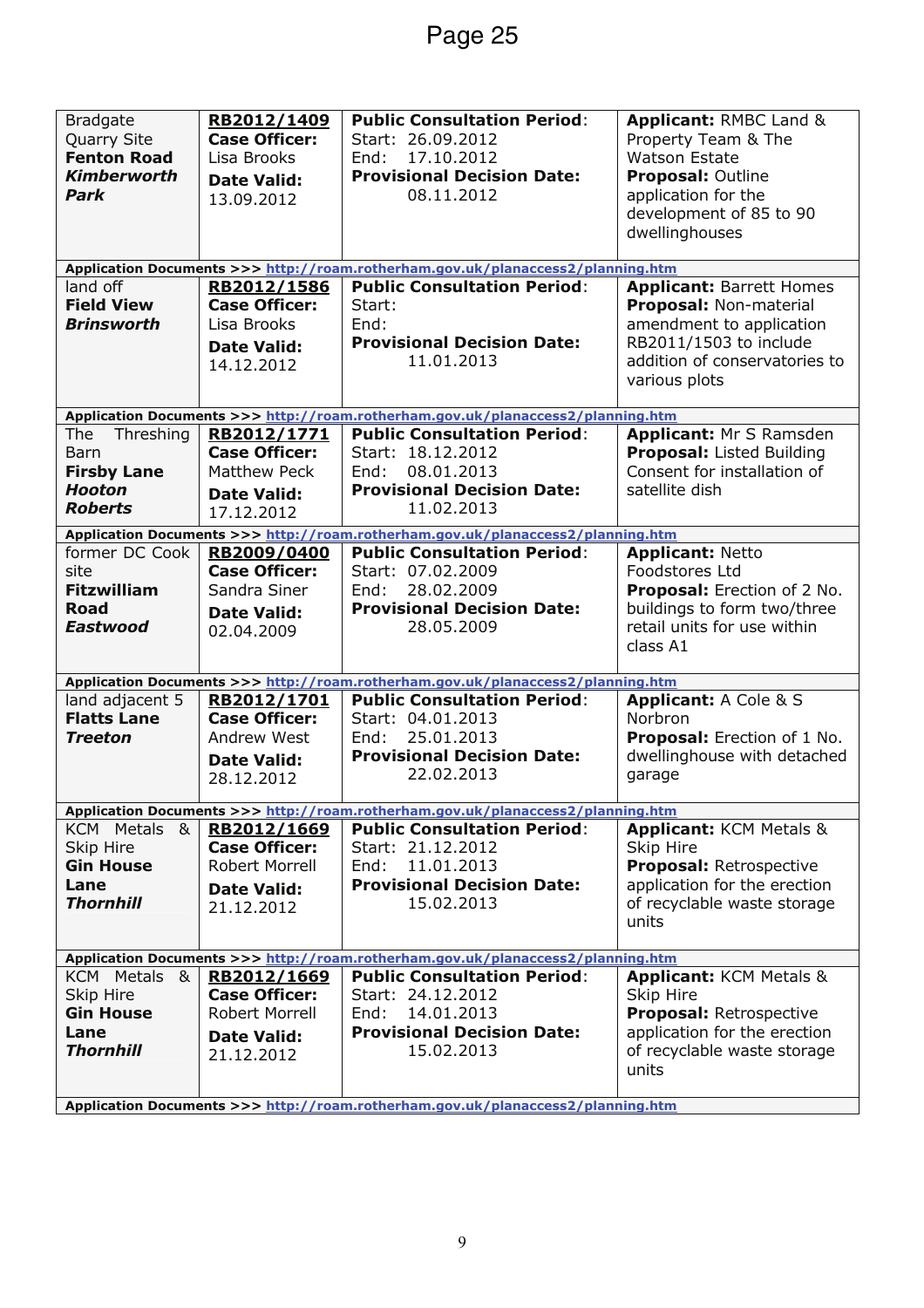| <b>Bradgate</b><br>Quarry Site<br><b>Fenton Road</b><br><b>Kimberworth</b><br>Park | RB2012/1409<br><b>Case Officer:</b><br>Lisa Brooks<br><b>Date Valid:</b><br>13.09.2012 | <b>Public Consultation Period:</b><br>Start: 26.09.2012<br>End:<br>17.10.2012<br><b>Provisional Decision Date:</b><br>08.11.2012 | <b>Applicant: RMBC Land &amp;</b><br>Property Team & The<br><b>Watson Estate</b><br><b>Proposal: Outline</b><br>application for the<br>development of 85 to 90<br>dwellinghouses |
|------------------------------------------------------------------------------------|----------------------------------------------------------------------------------------|----------------------------------------------------------------------------------------------------------------------------------|----------------------------------------------------------------------------------------------------------------------------------------------------------------------------------|
|                                                                                    |                                                                                        |                                                                                                                                  |                                                                                                                                                                                  |
| land off                                                                           | RB2012/1586                                                                            | Application Documents >>> http://roam.rotherham.gov.uk/planaccess2/planning.htm<br><b>Public Consultation Period:</b>            | <b>Applicant: Barrett Homes</b>                                                                                                                                                  |
| <b>Field View</b>                                                                  | <b>Case Officer:</b>                                                                   | Start:                                                                                                                           | <b>Proposal: Non-material</b>                                                                                                                                                    |
| <b>Brinsworth</b>                                                                  | Lisa Brooks                                                                            | End:                                                                                                                             | amendment to application                                                                                                                                                         |
|                                                                                    | <b>Date Valid:</b>                                                                     | <b>Provisional Decision Date:</b>                                                                                                | RB2011/1503 to include                                                                                                                                                           |
|                                                                                    | 14.12.2012                                                                             | 11.01.2013                                                                                                                       | addition of conservatories to                                                                                                                                                    |
|                                                                                    |                                                                                        |                                                                                                                                  | various plots                                                                                                                                                                    |
|                                                                                    |                                                                                        |                                                                                                                                  |                                                                                                                                                                                  |
|                                                                                    |                                                                                        | Application Documents >>> http://roam.rotherham.gov.uk/planaccess2/planning.htm                                                  |                                                                                                                                                                                  |
| Threshing<br>The<br><b>Barn</b>                                                    | RB2012/1771<br><b>Case Officer:</b>                                                    | <b>Public Consultation Period:</b><br>Start: 18.12.2012                                                                          | Applicant: Mr S Ramsden<br><b>Proposal: Listed Building</b>                                                                                                                      |
| <b>Firsby Lane</b>                                                                 | <b>Matthew Peck</b>                                                                    | 08.01.2013<br>End:                                                                                                               | Consent for installation of                                                                                                                                                      |
| <b>Hooton</b>                                                                      |                                                                                        | <b>Provisional Decision Date:</b>                                                                                                | satellite dish                                                                                                                                                                   |
| <b>Roberts</b>                                                                     | <b>Date Valid:</b><br>17.12.2012                                                       | 11.02.2013                                                                                                                       |                                                                                                                                                                                  |
|                                                                                    |                                                                                        |                                                                                                                                  |                                                                                                                                                                                  |
| former DC Cook                                                                     | RB2009/0400                                                                            | Application Documents >>> http://roam.rotherham.gov.uk/planaccess2/planning.htm<br><b>Public Consultation Period:</b>            | <b>Applicant: Netto</b>                                                                                                                                                          |
| site                                                                               | <b>Case Officer:</b>                                                                   | Start: 07.02.2009                                                                                                                | <b>Foodstores Ltd</b>                                                                                                                                                            |
| <b>Fitzwilliam</b>                                                                 | Sandra Siner                                                                           | 28.02.2009<br>End:                                                                                                               | Proposal: Erection of 2 No.                                                                                                                                                      |
| <b>Road</b>                                                                        | <b>Date Valid:</b>                                                                     | <b>Provisional Decision Date:</b>                                                                                                | buildings to form two/three                                                                                                                                                      |
| Eastwood                                                                           | 02.04.2009                                                                             | 28.05.2009                                                                                                                       | retail units for use within                                                                                                                                                      |
|                                                                                    |                                                                                        |                                                                                                                                  | class A1                                                                                                                                                                         |
|                                                                                    |                                                                                        |                                                                                                                                  |                                                                                                                                                                                  |
|                                                                                    |                                                                                        | Application Documents >>> http://roam.rotherham.gov.uk/planaccess2/planning.htm<br><b>Public Consultation Period:</b>            |                                                                                                                                                                                  |
| land adjacent 5<br><b>Flatts Lane</b>                                              | RB2012/1701<br><b>Case Officer:</b>                                                    | Start: 04.01.2013                                                                                                                | Applicant: A Cole & S<br>Norbron                                                                                                                                                 |
| <b>Treeton</b>                                                                     | <b>Andrew West</b>                                                                     | 25.01.2013<br>End:                                                                                                               | Proposal: Erection of 1 No.                                                                                                                                                      |
|                                                                                    | <b>Date Valid:</b>                                                                     | <b>Provisional Decision Date:</b>                                                                                                | dwellinghouse with detached                                                                                                                                                      |
|                                                                                    | 28.12.2012                                                                             | 22.02.2013                                                                                                                       | garage                                                                                                                                                                           |
|                                                                                    |                                                                                        |                                                                                                                                  |                                                                                                                                                                                  |
|                                                                                    |                                                                                        | Application Documents >>> http://roam.rotherham.gov.uk/planaccess2/planning.htm                                                  |                                                                                                                                                                                  |
| KCM Metals &                                                                       | RB2012/1669                                                                            | <b>Public Consultation Period:</b>                                                                                               | <b>Applicant: KCM Metals &amp;</b>                                                                                                                                               |
| Skip Hire                                                                          | <b>Case Officer:</b>                                                                   | Start: 21.12.2012                                                                                                                | Skip Hire                                                                                                                                                                        |
| <b>Gin House</b>                                                                   | Robert Morrell                                                                         | 11.01.2013<br>End:<br><b>Provisional Decision Date:</b>                                                                          | Proposal: Retrospective                                                                                                                                                          |
| Lane<br><b>Thornhill</b>                                                           | <b>Date Valid:</b>                                                                     | 15.02.2013                                                                                                                       | application for the erection<br>of recyclable waste storage                                                                                                                      |
|                                                                                    | 21.12.2012                                                                             |                                                                                                                                  | units                                                                                                                                                                            |
|                                                                                    |                                                                                        |                                                                                                                                  |                                                                                                                                                                                  |
|                                                                                    |                                                                                        | Application Documents >>> http://roam.rotherham.gov.uk/planaccess2/planning.htm                                                  |                                                                                                                                                                                  |
| KCM Metals &                                                                       | RB2012/1669                                                                            | <b>Public Consultation Period:</b>                                                                                               | <b>Applicant: KCM Metals &amp;</b>                                                                                                                                               |
| <b>Skip Hire</b>                                                                   | <b>Case Officer:</b>                                                                   | Start: 24.12.2012                                                                                                                | Skip Hire                                                                                                                                                                        |
| <b>Gin House</b>                                                                   | Robert Morrell                                                                         | 14.01.2013<br>End:                                                                                                               | Proposal: Retrospective                                                                                                                                                          |
| Lane                                                                               | <b>Date Valid:</b>                                                                     | <b>Provisional Decision Date:</b>                                                                                                | application for the erection                                                                                                                                                     |
| <b>Thornhill</b>                                                                   | 21.12.2012                                                                             | 15.02.2013                                                                                                                       | of recyclable waste storage                                                                                                                                                      |
|                                                                                    |                                                                                        |                                                                                                                                  | units                                                                                                                                                                            |
|                                                                                    |                                                                                        | Application Documents >>> http://roam.rotherham.gov.uk/planaccess2/planning.htm                                                  |                                                                                                                                                                                  |

**Application I**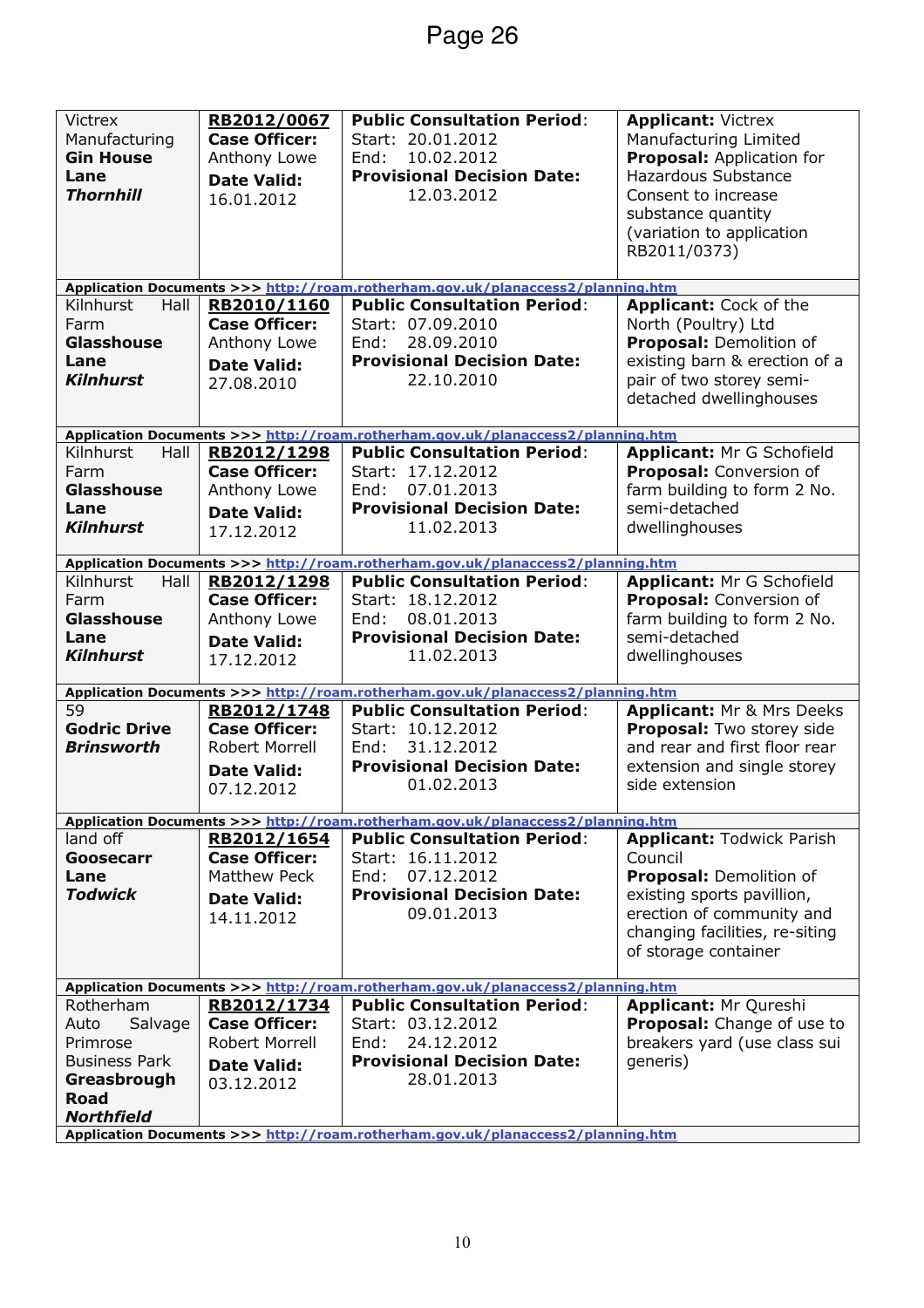| <b>Victrex</b>       | RB2012/0067           | <b>Public Consultation Period:</b>                                                                                    | <b>Applicant: Victrex</b>            |
|----------------------|-----------------------|-----------------------------------------------------------------------------------------------------------------------|--------------------------------------|
|                      | <b>Case Officer:</b>  | Start: 20.01.2012                                                                                                     |                                      |
| Manufacturing        |                       | 10.02.2012                                                                                                            | Manufacturing Limited                |
| <b>Gin House</b>     | Anthony Lowe          | End:                                                                                                                  | Proposal: Application for            |
| Lane                 | <b>Date Valid:</b>    | <b>Provisional Decision Date:</b>                                                                                     | <b>Hazardous Substance</b>           |
| <b>Thornhill</b>     | 16.01.2012            | 12.03.2012                                                                                                            | Consent to increase                  |
|                      |                       |                                                                                                                       | substance quantity                   |
|                      |                       |                                                                                                                       | (variation to application            |
|                      |                       |                                                                                                                       | RB2011/0373)                         |
|                      |                       |                                                                                                                       |                                      |
| Kilnhurst<br>Hall    | RB2010/1160           | Application Documents >>> http://roam.rotherham.gov.uk/planaccess2/planning.htm<br><b>Public Consultation Period:</b> | Applicant: Cock of the               |
| Farm                 | <b>Case Officer:</b>  | Start: 07.09.2010                                                                                                     | North (Poultry) Ltd                  |
| <b>Glasshouse</b>    |                       | 28.09.2010<br>End:                                                                                                    |                                      |
|                      | Anthony Lowe          | <b>Provisional Decision Date:</b>                                                                                     | Proposal: Demolition of              |
| Lane                 | <b>Date Valid:</b>    |                                                                                                                       | existing barn & erection of a        |
| <b>Kilnhurst</b>     | 27.08.2010            | 22.10.2010                                                                                                            | pair of two storey semi-             |
|                      |                       |                                                                                                                       | detached dwellinghouses              |
|                      |                       | Application Documents >>> http://roam.rotherham.gov.uk/planaccess2/planning.htm                                       |                                      |
| Kilnhurst<br>Hall    | RB2012/1298           | <b>Public Consultation Period:</b>                                                                                    | Applicant: Mr G Schofield            |
| Farm                 | <b>Case Officer:</b>  | Start: 17.12.2012                                                                                                     | Proposal: Conversion of              |
| <b>Glasshouse</b>    | Anthony Lowe          | 07.01.2013<br>End:                                                                                                    | farm building to form 2 No.          |
| Lane                 |                       | <b>Provisional Decision Date:</b>                                                                                     | semi-detached                        |
| <b>Kilnhurst</b>     | <b>Date Valid:</b>    | 11.02.2013                                                                                                            | dwellinghouses                       |
|                      | 17.12.2012            |                                                                                                                       |                                      |
|                      |                       | Application Documents >>> http://roam.rotherham.gov.uk/planaccess2/planning.htm                                       |                                      |
| Kilnhurst<br>Hall    | RB2012/1298           | <b>Public Consultation Period:</b>                                                                                    | Applicant: Mr G Schofield            |
| Farm                 | <b>Case Officer:</b>  | Start: 18.12.2012                                                                                                     | Proposal: Conversion of              |
| <b>Glasshouse</b>    | Anthony Lowe          | 08.01.2013<br>End:                                                                                                    | farm building to form 2 No.          |
| Lane                 | <b>Date Valid:</b>    | <b>Provisional Decision Date:</b>                                                                                     | semi-detached                        |
| <b>Kilnhurst</b>     | 17.12.2012            | 11.02.2013                                                                                                            | dwellinghouses                       |
|                      |                       |                                                                                                                       |                                      |
|                      |                       | Application Documents >>> http://roam.rotherham.gov.uk/planaccess2/planning.htm                                       |                                      |
| 59                   | RB2012/1748           | <b>Public Consultation Period:</b>                                                                                    | <b>Applicant: Mr &amp; Mrs Deeks</b> |
| <b>Godric Drive</b>  | <b>Case Officer:</b>  | Start: 10.12.2012                                                                                                     | Proposal: Two storey side            |
| <b>Brinsworth</b>    | <b>Robert Morrell</b> | 31.12.2012<br>End:                                                                                                    | and rear and first floor rear        |
|                      | <b>Date Valid:</b>    | <b>Provisional Decision Date:</b>                                                                                     | extension and single storey          |
|                      | 07.12.2012            | 01.02.2013                                                                                                            | side extension                       |
|                      |                       |                                                                                                                       |                                      |
| land off             | RB2012/1654           | Application Documents >>> http://roam.rotherham.gov.uk/planaccess2/planning.htm<br><b>Public Consultation Period:</b> | <b>Applicant: Todwick Parish</b>     |
| <b>Goosecarr</b>     | <b>Case Officer:</b>  | Start: 16.11.2012                                                                                                     | Council                              |
| Lane                 | Matthew Peck          | 07.12.2012<br>End:                                                                                                    | Proposal: Demolition of              |
| <b>Todwick</b>       |                       | <b>Provisional Decision Date:</b>                                                                                     | existing sports pavillion,           |
|                      | <b>Date Valid:</b>    | 09.01.2013                                                                                                            | erection of community and            |
|                      | 14.11.2012            |                                                                                                                       | changing facilities, re-siting       |
|                      |                       |                                                                                                                       |                                      |
|                      |                       |                                                                                                                       | of storage container                 |
|                      |                       | Application Documents >>> http://roam.rotherham.gov.uk/planaccess2/planning.htm                                       |                                      |
| Rotherham            | RB2012/1734           | <b>Public Consultation Period:</b>                                                                                    | <b>Applicant: Mr Qureshi</b>         |
| Auto<br>Salvage      | <b>Case Officer:</b>  | Start: 03.12.2012                                                                                                     | <b>Proposal:</b> Change of use to    |
| Primrose             | Robert Morrell        | 24.12.2012<br>End:                                                                                                    | breakers yard (use class sui         |
| <b>Business Park</b> | <b>Date Valid:</b>    | <b>Provisional Decision Date:</b>                                                                                     | generis)                             |
| Greasbrough          | 03.12.2012            | 28.01.2013                                                                                                            |                                      |
| <b>Road</b>          |                       |                                                                                                                       |                                      |
| <b>Northfield</b>    |                       |                                                                                                                       |                                      |
|                      |                       | Application Documents >>> http://roam.rotherham.gov.uk/planaccess2/planning.htm                                       |                                      |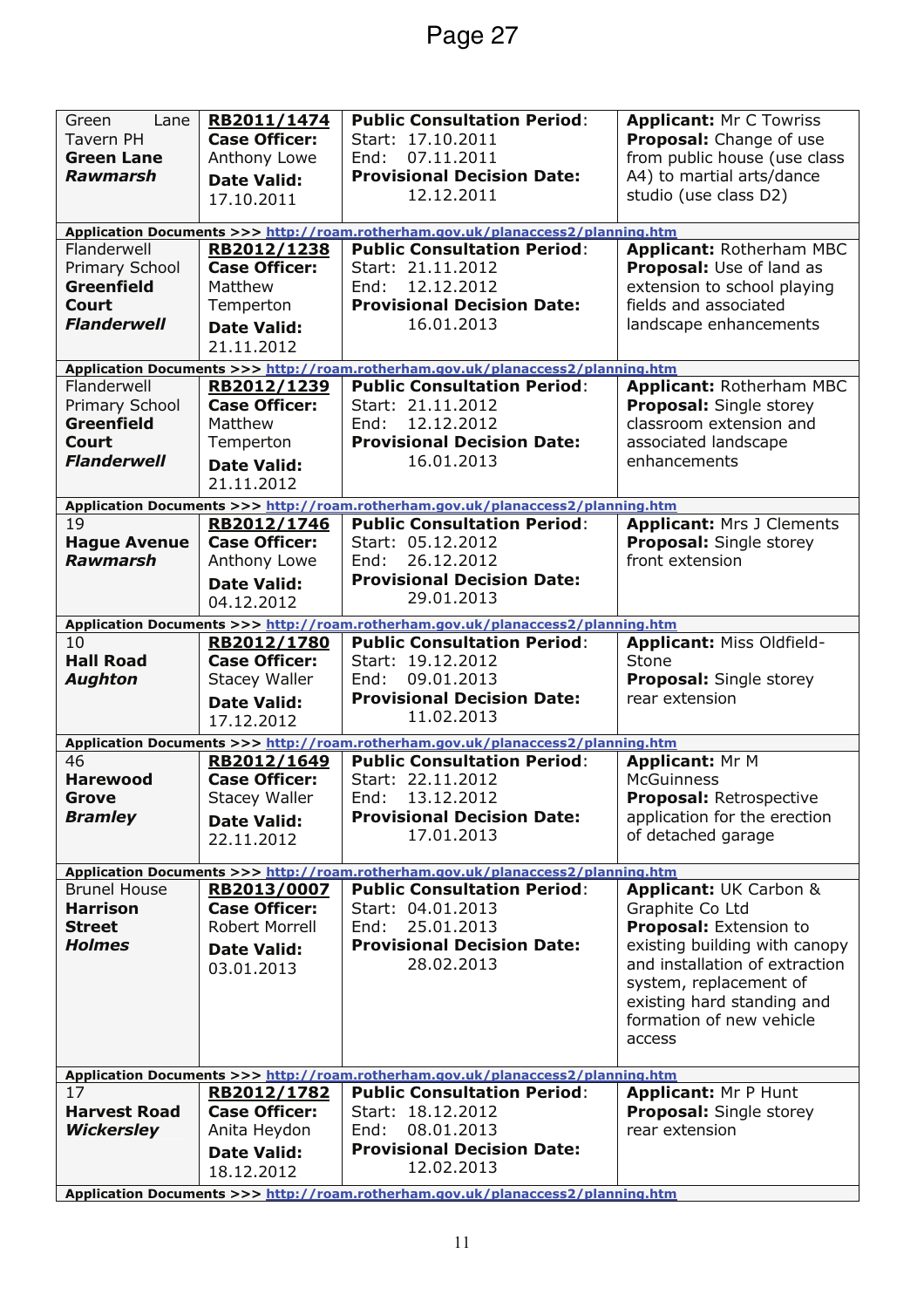| Green<br>Lane<br><b>Tavern PH</b>  | RB2011/1474<br><b>Case Officer:</b> | <b>Public Consultation Period:</b><br>Start: 17.10.2011                                                               | <b>Applicant: Mr C Towriss</b><br>Proposal: Change of use      |
|------------------------------------|-------------------------------------|-----------------------------------------------------------------------------------------------------------------------|----------------------------------------------------------------|
| <b>Green Lane</b>                  | Anthony Lowe                        | 07.11.2011<br>End:                                                                                                    | from public house (use class                                   |
| Rawmarsh                           | <b>Date Valid:</b>                  | <b>Provisional Decision Date:</b>                                                                                     | A4) to martial arts/dance                                      |
|                                    | 17.10.2011                          | 12.12.2011                                                                                                            | studio (use class D2)                                          |
|                                    |                                     |                                                                                                                       |                                                                |
|                                    |                                     | Application Documents >>> http://roam.rotherham.gov.uk/planaccess2/planning.htm                                       |                                                                |
| Flanderwell                        | RB2012/1238                         | <b>Public Consultation Period:</b>                                                                                    | Applicant: Rotherham MBC                                       |
| Primary School                     | <b>Case Officer:</b>                | Start: 21.11.2012                                                                                                     | <b>Proposal:</b> Use of land as                                |
| <b>Greenfield</b>                  | Matthew                             | 12.12.2012<br>End:                                                                                                    | extension to school playing                                    |
| <b>Court</b>                       | Temperton                           | <b>Provisional Decision Date:</b>                                                                                     | fields and associated                                          |
| <b>Flanderwell</b>                 | <b>Date Valid:</b>                  | 16.01.2013                                                                                                            | landscape enhancements                                         |
|                                    | 21.11.2012                          |                                                                                                                       |                                                                |
|                                    |                                     | Application Documents >>> http://roam.rotherham.gov.uk/planaccess2/planning.htm                                       |                                                                |
| Flanderwell                        | RB2012/1239                         | <b>Public Consultation Period:</b>                                                                                    | Applicant: Rotherham MBC                                       |
| Primary School                     | <b>Case Officer:</b>                | Start: 21.11.2012                                                                                                     | <b>Proposal:</b> Single storey                                 |
| <b>Greenfield</b>                  | Matthew                             | 12.12.2012<br>End:                                                                                                    | classroom extension and                                        |
| <b>Court</b><br><b>Flanderwell</b> | Temperton                           | <b>Provisional Decision Date:</b><br>16.01.2013                                                                       | associated landscape<br>enhancements                           |
|                                    | <b>Date Valid:</b>                  |                                                                                                                       |                                                                |
|                                    | 21.11.2012                          |                                                                                                                       |                                                                |
| 19                                 | RB2012/1746                         | Application Documents >>> http://roam.rotherham.gov.uk/planaccess2/planning.htm<br><b>Public Consultation Period:</b> | <b>Applicant: Mrs J Clements</b>                               |
| <b>Hague Avenue</b>                | <b>Case Officer:</b>                | Start: 05.12.2012                                                                                                     | Proposal: Single storey                                        |
| <b>Rawmarsh</b>                    | Anthony Lowe                        | 26.12.2012<br>End:                                                                                                    | front extension                                                |
|                                    |                                     | <b>Provisional Decision Date:</b>                                                                                     |                                                                |
|                                    | <b>Date Valid:</b><br>04.12.2012    | 29.01.2013                                                                                                            |                                                                |
|                                    |                                     |                                                                                                                       |                                                                |
| 10                                 | RB2012/1780                         | Application Documents >>> http://roam.rotherham.gov.uk/planaccess2/planning.htm<br><b>Public Consultation Period:</b> | Applicant: Miss Oldfield-                                      |
| <b>Hall Road</b>                   | <b>Case Officer:</b>                | Start: 19.12.2012                                                                                                     | Stone                                                          |
| <b>Aughton</b>                     | <b>Stacey Waller</b>                | 09.01.2013<br>End:                                                                                                    | <b>Proposal:</b> Single storey                                 |
|                                    |                                     |                                                                                                                       |                                                                |
|                                    |                                     |                                                                                                                       |                                                                |
|                                    | <b>Date Valid:</b>                  | <b>Provisional Decision Date:</b><br>11.02.2013                                                                       | rear extension                                                 |
|                                    | 17.12.2012                          |                                                                                                                       |                                                                |
|                                    |                                     | Application Documents >>> http://roam.rotherham.gov.uk/planaccess2/planning.htm                                       |                                                                |
| 46<br><b>Harewood</b>              | RB2012/1649<br><b>Case Officer:</b> | <b>Public Consultation Period:</b>                                                                                    | <b>Applicant: Mr M</b><br><b>McGuinness</b>                    |
|                                    |                                     | Start: 22.11.2012                                                                                                     |                                                                |
| Grove<br><b>Bramley</b>            | Stacey Waller                       | End:<br>13.12.2012<br><b>Provisional Decision Date:</b>                                                               | <b>Proposal: Retrospective</b><br>application for the erection |
|                                    | <b>Date Valid:</b><br>22.11.2012    | 17.01.2013                                                                                                            | of detached garage                                             |
|                                    |                                     |                                                                                                                       |                                                                |
|                                    |                                     | Application Documents >>> http://roam.rotherham.gov.uk/planaccess2/planning.htm                                       |                                                                |
| <b>Brunel House</b>                | RB2013/0007                         | <b>Public Consultation Period:</b>                                                                                    | Applicant: UK Carbon &                                         |
| <b>Harrison</b>                    | <b>Case Officer:</b>                | Start: 04.01.2013                                                                                                     | Graphite Co Ltd                                                |
| <b>Street</b>                      | Robert Morrell                      | 25.01.2013<br>End:                                                                                                    | Proposal: Extension to                                         |
| <b>Holmes</b>                      | <b>Date Valid:</b>                  | <b>Provisional Decision Date:</b>                                                                                     | existing building with canopy                                  |
|                                    | 03.01.2013                          | 28.02.2013                                                                                                            | and installation of extraction                                 |
|                                    |                                     |                                                                                                                       | system, replacement of                                         |
|                                    |                                     |                                                                                                                       | existing hard standing and                                     |
|                                    |                                     |                                                                                                                       | formation of new vehicle<br>access                             |
|                                    |                                     |                                                                                                                       |                                                                |
|                                    |                                     | Application Documents >>> http://roam.rotherham.gov.uk/planaccess2/planning.htm                                       |                                                                |
| 17                                 | RB2012/1782                         | <b>Public Consultation Period:</b>                                                                                    | <b>Applicant: Mr P Hunt</b>                                    |
| <b>Harvest Road</b>                | <b>Case Officer:</b>                | Start: 18.12.2012                                                                                                     | <b>Proposal:</b> Single storey                                 |
| <b>Wickersley</b>                  | Anita Heydon                        | 08.01.2013<br>End:                                                                                                    | rear extension                                                 |
|                                    | <b>Date Valid:</b>                  | <b>Provisional Decision Date:</b>                                                                                     |                                                                |
|                                    | 18.12.2012                          | 12.02.2013<br>Application Documents >>> http://roam.rotherham.gov.uk/planaccess2/planning.htm                         |                                                                |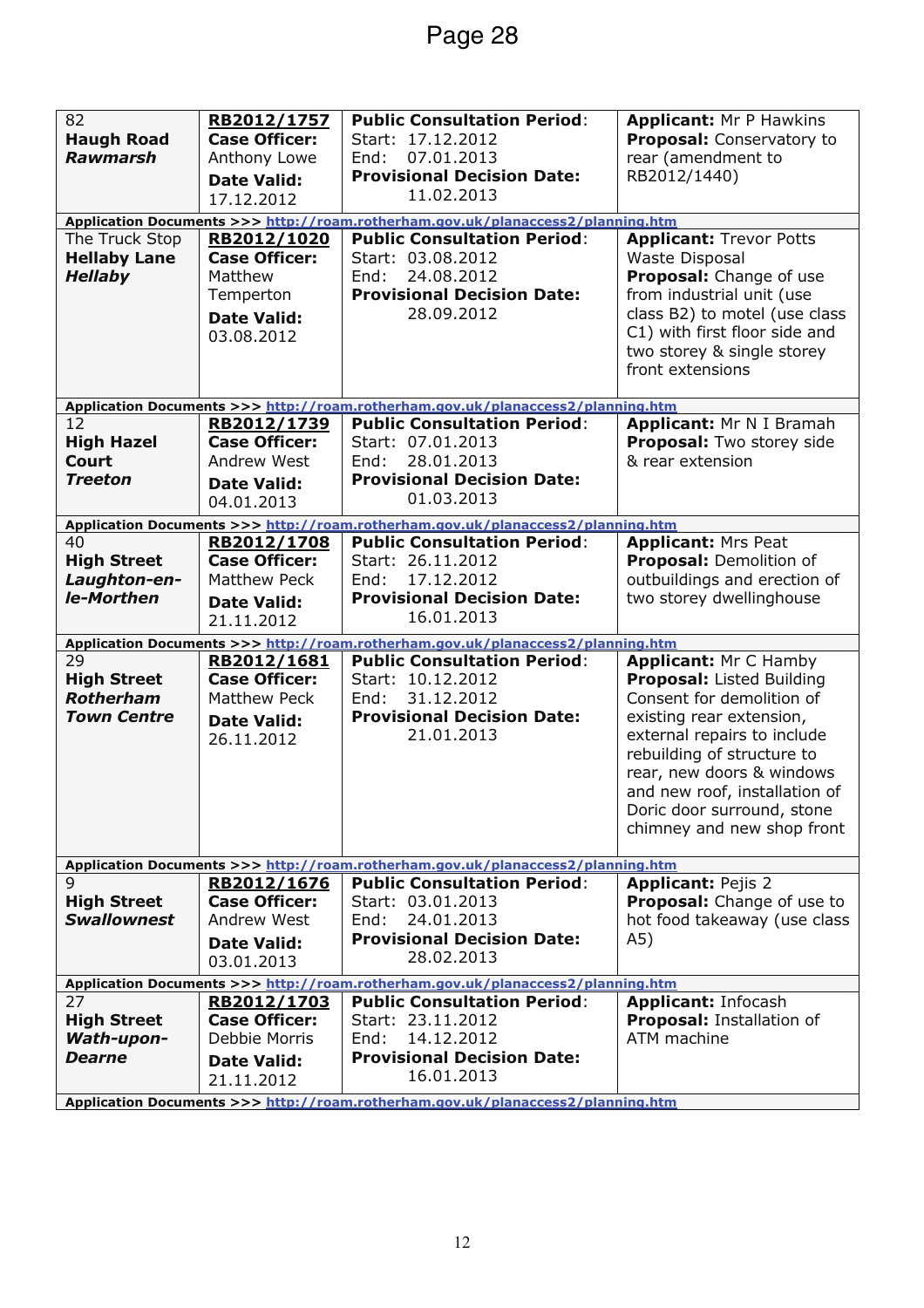| 82<br><b>Haugh Road</b><br><b>Rawmarsh</b><br>The Truck Stop<br><b>Hellaby Lane</b><br><b>Hellaby</b> | RB2012/1757<br><b>Case Officer:</b><br>Anthony Lowe<br><b>Date Valid:</b><br>17.12.2012<br>RB2012/1020<br><b>Case Officer:</b><br>Matthew<br>Temperton<br><b>Date Valid:</b><br>03.08.2012 | <b>Public Consultation Period:</b><br>Start: 17.12.2012<br>07.01.2013<br>End:<br><b>Provisional Decision Date:</b><br>11.02.2013<br>Application Documents >>> http://roam.rotherham.gov.uk/planaccess2/planning.htm<br><b>Public Consultation Period:</b><br>Start: 03.08.2012<br>24.08.2012<br>End:<br><b>Provisional Decision Date:</b><br>28.09.2012 | <b>Applicant: Mr P Hawkins</b><br>Proposal: Conservatory to<br>rear (amendment to<br>RB2012/1440)<br><b>Applicant: Trevor Potts</b><br>Waste Disposal<br>Proposal: Change of use<br>from industrial unit (use<br>class B2) to motel (use class<br>C1) with first floor side and<br>two storey & single storey<br>front extensions |
|-------------------------------------------------------------------------------------------------------|--------------------------------------------------------------------------------------------------------------------------------------------------------------------------------------------|---------------------------------------------------------------------------------------------------------------------------------------------------------------------------------------------------------------------------------------------------------------------------------------------------------------------------------------------------------|-----------------------------------------------------------------------------------------------------------------------------------------------------------------------------------------------------------------------------------------------------------------------------------------------------------------------------------|
|                                                                                                       |                                                                                                                                                                                            | Application Documents >>> http://roam.rotherham.gov.uk/planaccess2/planning.htm                                                                                                                                                                                                                                                                         |                                                                                                                                                                                                                                                                                                                                   |
| 12<br><b>High Hazel</b><br><b>Court</b><br><b>Treeton</b>                                             | RB2012/1739<br><b>Case Officer:</b><br>Andrew West<br><b>Date Valid:</b><br>04.01.2013                                                                                                     | <b>Public Consultation Period:</b><br>Start: 07.01.2013<br>End:<br>28.01.2013<br><b>Provisional Decision Date:</b><br>01.03.2013                                                                                                                                                                                                                        | <b>Applicant: Mr N I Bramah</b><br>Proposal: Two storey side<br>& rear extension                                                                                                                                                                                                                                                  |
|                                                                                                       |                                                                                                                                                                                            | Application Documents >>> http://roam.rotherham.gov.uk/planaccess2/planning.htm                                                                                                                                                                                                                                                                         |                                                                                                                                                                                                                                                                                                                                   |
| 40<br><b>High Street</b><br>Laughton-en-<br>le-Morthen                                                | RB2012/1708<br><b>Case Officer:</b><br>Matthew Peck<br><b>Date Valid:</b><br>21.11.2012                                                                                                    | <b>Public Consultation Period:</b><br>Start: 26.11.2012<br>17.12.2012<br>End:<br><b>Provisional Decision Date:</b><br>16.01.2013                                                                                                                                                                                                                        | <b>Applicant: Mrs Peat</b><br>Proposal: Demolition of<br>outbuildings and erection of<br>two storey dwellinghouse                                                                                                                                                                                                                 |
|                                                                                                       |                                                                                                                                                                                            |                                                                                                                                                                                                                                                                                                                                                         |                                                                                                                                                                                                                                                                                                                                   |
| 29<br><b>High Street</b><br><b>Rotherham</b><br><b>Town Centre</b>                                    | RB2012/1681<br><b>Case Officer:</b><br>Matthew Peck<br><b>Date Valid:</b><br>26.11.2012                                                                                                    | Application Documents >>> http://roam.rotherham.gov.uk/planaccess2/planning.htm<br><b>Public Consultation Period:</b><br>Start: 10.12.2012<br>31.12.2012<br>End:<br><b>Provisional Decision Date:</b><br>21.01.2013                                                                                                                                     | <b>Applicant: Mr C Hamby</b><br><b>Proposal: Listed Building</b><br>Consent for demolition of<br>existing rear extension,<br>external repairs to include<br>rebuilding of structure to<br>rear, new doors & windows<br>and new roof, installation of<br>Doric door surround, stone<br>chimney and new shop front                  |
|                                                                                                       |                                                                                                                                                                                            | Application Documents >>> http://roam.rotherham.gov.uk/planaccess2/planning.htm                                                                                                                                                                                                                                                                         |                                                                                                                                                                                                                                                                                                                                   |
| 9<br><b>High Street</b><br><b>Swallownest</b>                                                         | RB2012/1676<br><b>Case Officer:</b><br>Andrew West<br><b>Date Valid:</b><br>03.01.2013                                                                                                     | <b>Public Consultation Period:</b><br>Start: 03.01.2013<br>24.01.2013<br>End:<br><b>Provisional Decision Date:</b><br>28.02.2013                                                                                                                                                                                                                        | <b>Applicant: Pejis 2</b><br>Proposal: Change of use to<br>hot food takeaway (use class<br>A5)                                                                                                                                                                                                                                    |
|                                                                                                       |                                                                                                                                                                                            | Application Documents >>> http://roam.rotherham.gov.uk/planaccess2/planning.htm                                                                                                                                                                                                                                                                         |                                                                                                                                                                                                                                                                                                                                   |
| 27<br><b>High Street</b><br>Wath-upon-<br><b>Dearne</b>                                               | RB2012/1703<br><b>Case Officer:</b><br>Debbie Morris<br><b>Date Valid:</b><br>21.11.2012                                                                                                   | <b>Public Consultation Period:</b><br>Start: 23.11.2012<br>14.12.2012<br>End:<br><b>Provisional Decision Date:</b><br>16.01.2013                                                                                                                                                                                                                        | <b>Applicant: Infocash</b><br>Proposal: Installation of<br>ATM machine                                                                                                                                                                                                                                                            |
|                                                                                                       |                                                                                                                                                                                            | Application Documents >>> http://roam.rotherham.gov.uk/planaccess2/planning.htm                                                                                                                                                                                                                                                                         |                                                                                                                                                                                                                                                                                                                                   |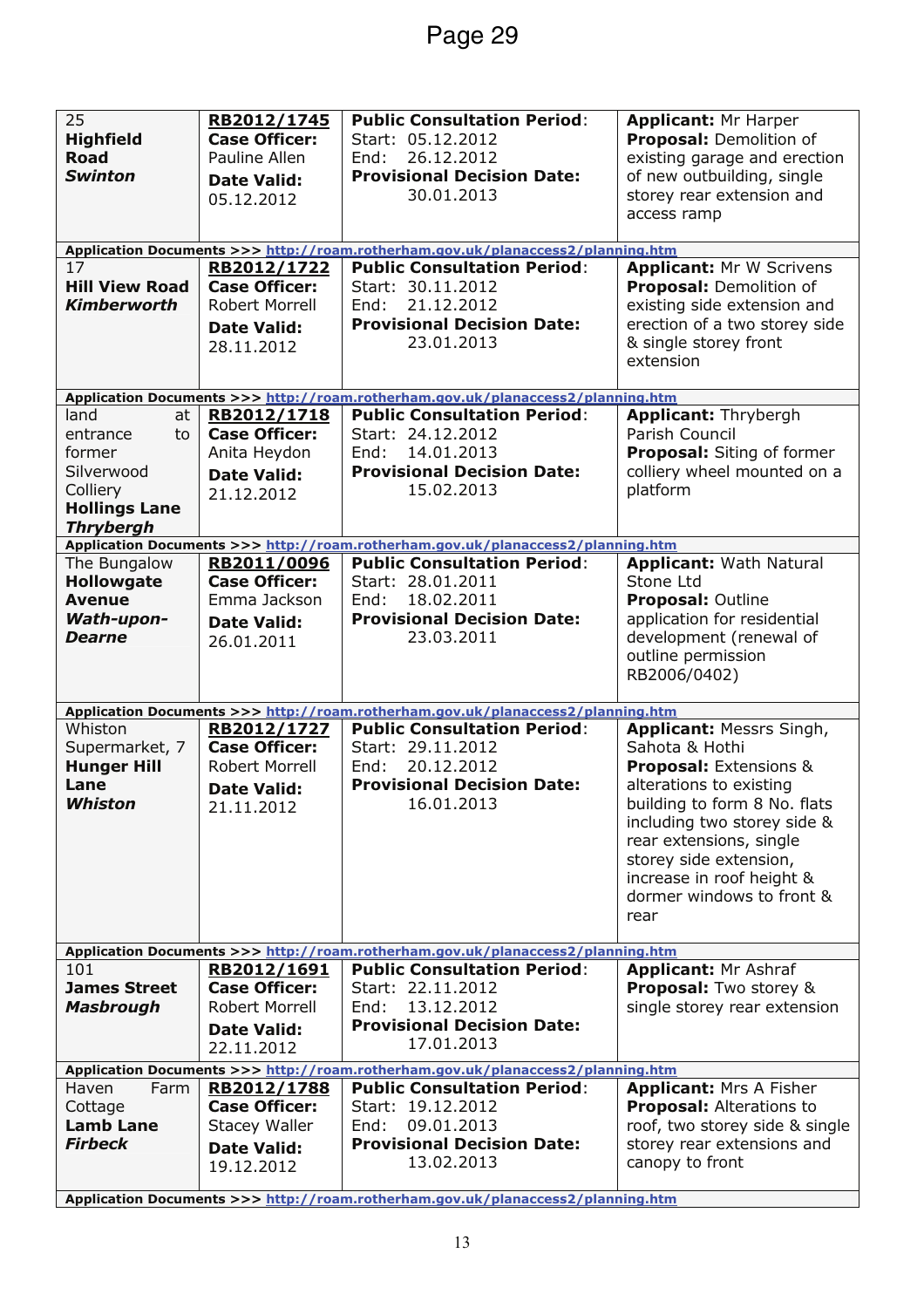| 25<br><b>Highfield</b><br><b>Road</b><br><b>Swinton</b> | RB2012/1745<br><b>Case Officer:</b><br>Pauline Allen<br><b>Date Valid:</b><br>05.12.2012 | <b>Public Consultation Period:</b><br>Start: 05.12.2012<br>26.12.2012<br>End:<br><b>Provisional Decision Date:</b><br>30.01.2013<br>Application Documents >>> http://roam.rotherham.gov.uk/planaccess2/planning.htm | <b>Applicant: Mr Harper</b><br>Proposal: Demolition of<br>existing garage and erection<br>of new outbuilding, single<br>storey rear extension and<br>access ramp |
|---------------------------------------------------------|------------------------------------------------------------------------------------------|---------------------------------------------------------------------------------------------------------------------------------------------------------------------------------------------------------------------|------------------------------------------------------------------------------------------------------------------------------------------------------------------|
| 17                                                      | RB2012/1722                                                                              | <b>Public Consultation Period:</b>                                                                                                                                                                                  | <b>Applicant: Mr W Scrivens</b>                                                                                                                                  |
| <b>Hill View Road</b>                                   | <b>Case Officer:</b>                                                                     | Start: 30.11.2012                                                                                                                                                                                                   | Proposal: Demolition of                                                                                                                                          |
| <b>Kimberworth</b>                                      | Robert Morrell                                                                           | 21.12.2012<br>End:                                                                                                                                                                                                  | existing side extension and                                                                                                                                      |
|                                                         | <b>Date Valid:</b>                                                                       | <b>Provisional Decision Date:</b>                                                                                                                                                                                   | erection of a two storey side                                                                                                                                    |
|                                                         | 28.11.2012                                                                               | 23.01.2013                                                                                                                                                                                                          | & single storey front<br>extension                                                                                                                               |
|                                                         |                                                                                          |                                                                                                                                                                                                                     |                                                                                                                                                                  |
|                                                         |                                                                                          | Application Documents >>> http://roam.rotherham.gov.uk/planaccess2/planning.htm                                                                                                                                     |                                                                                                                                                                  |
| land<br>at                                              | RB2012/1718                                                                              | <b>Public Consultation Period:</b>                                                                                                                                                                                  | <b>Applicant: Thrybergh</b>                                                                                                                                      |
| entrance<br>to<br>former                                | <b>Case Officer:</b><br>Anita Heydon                                                     | Start: 24.12.2012<br>14.01.2013<br>End:                                                                                                                                                                             | Parish Council<br>Proposal: Siting of former                                                                                                                     |
| Silverwood                                              | <b>Date Valid:</b>                                                                       | <b>Provisional Decision Date:</b>                                                                                                                                                                                   | colliery wheel mounted on a                                                                                                                                      |
| Colliery                                                | 21.12.2012                                                                               | 15.02.2013                                                                                                                                                                                                          | platform                                                                                                                                                         |
| <b>Hollings Lane</b>                                    |                                                                                          |                                                                                                                                                                                                                     |                                                                                                                                                                  |
| <b>Thrybergh</b>                                        |                                                                                          | Application Documents >>> http://roam.rotherham.gov.uk/planaccess2/planning.htm                                                                                                                                     |                                                                                                                                                                  |
| The Bungalow                                            | RB2011/0096                                                                              | <b>Public Consultation Period:</b>                                                                                                                                                                                  | <b>Applicant: Wath Natural</b>                                                                                                                                   |
| <b>Hollowgate</b>                                       | <b>Case Officer:</b>                                                                     | Start: 28.01.2011                                                                                                                                                                                                   | Stone Ltd                                                                                                                                                        |
| <b>Avenue</b>                                           | Emma Jackson                                                                             | 18.02.2011<br>End:                                                                                                                                                                                                  | <b>Proposal: Outline</b>                                                                                                                                         |
| Wath-upon-                                              | <b>Date Valid:</b>                                                                       | <b>Provisional Decision Date:</b>                                                                                                                                                                                   | application for residential                                                                                                                                      |
| <b>Dearne</b>                                           | 26.01.2011                                                                               | 23.03.2011                                                                                                                                                                                                          | development (renewal of<br>outline permission                                                                                                                    |
|                                                         |                                                                                          |                                                                                                                                                                                                                     | RB2006/0402)                                                                                                                                                     |
|                                                         |                                                                                          |                                                                                                                                                                                                                     |                                                                                                                                                                  |
| Whiston                                                 |                                                                                          | Application Documents >>> http://roam.rotherham.gov.uk/planaccess2/planning.htm<br><b>Public Consultation Period:</b>                                                                                               |                                                                                                                                                                  |
| Supermarket, 7                                          | RB2012/1727<br><b>Case Officer:</b>                                                      | Start: 29.11.2012                                                                                                                                                                                                   | <b>Applicant: Messrs Singh,</b><br>Sahota & Hothi                                                                                                                |
| <b>Hunger Hill</b>                                      | Robert Morrell                                                                           | 20.12.2012<br>End:                                                                                                                                                                                                  | <b>Proposal:</b> Extensions &                                                                                                                                    |
| Lane                                                    | <b>Date Valid:</b>                                                                       | <b>Provisional Decision Date:</b>                                                                                                                                                                                   | alterations to existing                                                                                                                                          |
| Whiston                                                 | 21.11.2012                                                                               | 16.01.2013                                                                                                                                                                                                          | building to form 8 No. flats                                                                                                                                     |
|                                                         |                                                                                          |                                                                                                                                                                                                                     | including two storey side &                                                                                                                                      |
|                                                         |                                                                                          |                                                                                                                                                                                                                     | rear extensions, single<br>storey side extension,                                                                                                                |
|                                                         |                                                                                          |                                                                                                                                                                                                                     | increase in roof height &                                                                                                                                        |
|                                                         |                                                                                          |                                                                                                                                                                                                                     | dormer windows to front &                                                                                                                                        |
|                                                         |                                                                                          |                                                                                                                                                                                                                     | rear                                                                                                                                                             |
|                                                         |                                                                                          | Application Documents >>> http://roam.rotherham.gov.uk/planaccess2/planning.htm                                                                                                                                     |                                                                                                                                                                  |
| 101                                                     | RB2012/1691                                                                              | <b>Public Consultation Period:</b>                                                                                                                                                                                  | <b>Applicant: Mr Ashraf</b>                                                                                                                                      |
| <b>James Street</b>                                     | <b>Case Officer:</b>                                                                     | Start: 22.11.2012                                                                                                                                                                                                   | <b>Proposal:</b> Two storey &                                                                                                                                    |
| <b>Masbrough</b>                                        | Robert Morrell                                                                           | 13.12.2012<br>End:                                                                                                                                                                                                  | single storey rear extension                                                                                                                                     |
|                                                         | <b>Date Valid:</b>                                                                       | <b>Provisional Decision Date:</b><br>17.01.2013                                                                                                                                                                     |                                                                                                                                                                  |
|                                                         | 22.11.2012                                                                               |                                                                                                                                                                                                                     |                                                                                                                                                                  |
| Haven<br>Farm                                           | RB2012/1788                                                                              | Application Documents >>> http://roam.rotherham.gov.uk/planaccess2/planning.htm<br><b>Public Consultation Period:</b>                                                                                               | <b>Applicant: Mrs A Fisher</b>                                                                                                                                   |
| Cottage                                                 | <b>Case Officer:</b>                                                                     | Start: 19.12.2012                                                                                                                                                                                                   | <b>Proposal: Alterations to</b>                                                                                                                                  |
| <b>Lamb Lane</b>                                        | <b>Stacey Waller</b>                                                                     | 09.01.2013<br>End:                                                                                                                                                                                                  | roof, two storey side & single                                                                                                                                   |
| <b>Firbeck</b>                                          | <b>Date Valid:</b>                                                                       | <b>Provisional Decision Date:</b>                                                                                                                                                                                   | storey rear extensions and                                                                                                                                       |
|                                                         | 19.12.2012                                                                               | 13.02.2013                                                                                                                                                                                                          | canopy to front                                                                                                                                                  |
|                                                         |                                                                                          | Application Documents >>> http://roam.rotherham.gov.uk/planaccess2/planning.htm                                                                                                                                     |                                                                                                                                                                  |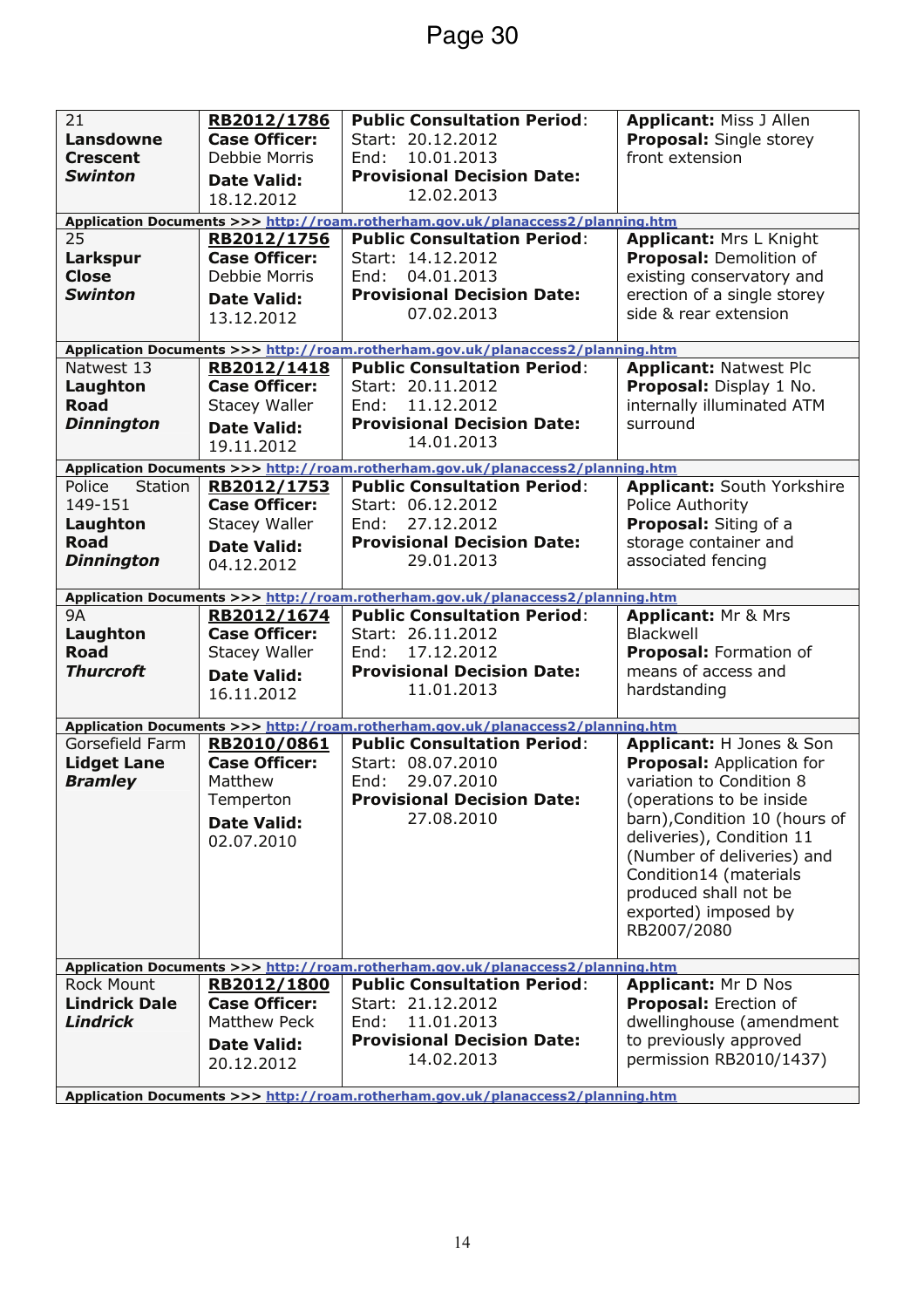| 21                   | RB2012/1786          | <b>Public Consultation Period:</b>                                                                    | <b>Applicant: Miss J Allen</b> |
|----------------------|----------------------|-------------------------------------------------------------------------------------------------------|--------------------------------|
| <b>Lansdowne</b>     | <b>Case Officer:</b> | Start: 20.12.2012                                                                                     | <b>Proposal:</b> Single storey |
| <b>Crescent</b>      | Debbie Morris        | 10.01.2013<br>End:                                                                                    | front extension                |
| <b>Swinton</b>       |                      | <b>Provisional Decision Date:</b>                                                                     |                                |
|                      | <b>Date Valid:</b>   | 12.02.2013                                                                                            |                                |
|                      | 18.12.2012           |                                                                                                       |                                |
|                      |                      | Application Documents >>> http://roam.rotherham.gov.uk/planaccess2/planning.htm                       |                                |
| 25                   | RB2012/1756          | <b>Public Consultation Period:</b>                                                                    | <b>Applicant: Mrs L Knight</b> |
| <b>Larkspur</b>      | <b>Case Officer:</b> | Start: 14.12.2012                                                                                     | Proposal: Demolition of        |
| <b>Close</b>         | Debbie Morris        | 04.01.2013<br>End:                                                                                    | existing conservatory and      |
| <b>Swinton</b>       |                      | <b>Provisional Decision Date:</b>                                                                     | erection of a single storey    |
|                      | <b>Date Valid:</b>   | 07.02.2013                                                                                            | side & rear extension          |
|                      | 13.12.2012           |                                                                                                       |                                |
|                      |                      |                                                                                                       |                                |
|                      |                      | Application Documents >>> http://roam.rotherham.gov.uk/planaccess2/planning.htm                       |                                |
| Natwest 13           | RB2012/1418          | <b>Public Consultation Period:</b>                                                                    | <b>Applicant: Natwest Plc</b>  |
| Laughton             | <b>Case Officer:</b> | Start: 20.11.2012                                                                                     | Proposal: Display 1 No.        |
| <b>Road</b>          | <b>Stacey Waller</b> | 11.12.2012<br>End:                                                                                    | internally illuminated ATM     |
| <b>Dinnington</b>    | <b>Date Valid:</b>   | <b>Provisional Decision Date:</b>                                                                     | surround                       |
|                      | 19.11.2012           | 14.01.2013                                                                                            |                                |
|                      |                      |                                                                                                       |                                |
|                      |                      | Application Documents >>> http://roam.rotherham.gov.uk/planaccess2/planning.htm                       |                                |
| Police<br>Station    | RB2012/1753          | <b>Public Consultation Period:</b>                                                                    | Applicant: South Yorkshire     |
| 149-151              | <b>Case Officer:</b> | Start: 06.12.2012                                                                                     | Police Authority               |
| Laughton             | <b>Stacey Waller</b> | 27.12.2012<br>End:                                                                                    | Proposal: Siting of a          |
| <b>Road</b>          | <b>Date Valid:</b>   | <b>Provisional Decision Date:</b>                                                                     | storage container and          |
| <b>Dinnington</b>    | 04.12.2012           | 29.01.2013                                                                                            | associated fencing             |
|                      |                      |                                                                                                       |                                |
|                      |                      | Application Documents >>> http://roam.rotherham.gov.uk/planaccess2/planning.htm                       |                                |
|                      |                      |                                                                                                       |                                |
| <b>9A</b>            |                      |                                                                                                       |                                |
|                      | RB2012/1674          | <b>Public Consultation Period:</b>                                                                    | <b>Applicant: Mr &amp; Mrs</b> |
| Laughton             | <b>Case Officer:</b> | Start: 26.11.2012                                                                                     | Blackwell                      |
| <b>Road</b>          | Stacey Waller        | 17.12.2012<br>End:                                                                                    | <b>Proposal: Formation of</b>  |
| <b>Thurcroft</b>     | <b>Date Valid:</b>   | <b>Provisional Decision Date:</b>                                                                     | means of access and            |
|                      | 16.11.2012           | 11.01.2013                                                                                            | hardstanding                   |
|                      |                      |                                                                                                       |                                |
|                      |                      | Application Documents >>> http://roam.rotherham.gov.uk/planaccess2/planning.htm                       |                                |
| Gorsefield Farm      | RB2010/0861          | <b>Public Consultation Period:</b>                                                                    | Applicant: H Jones & Son       |
| <b>Lidget Lane</b>   | <b>Case Officer:</b> | Start: 08.07.2010                                                                                     | Proposal: Application for      |
| <b>Bramley</b>       | Matthew              | End:<br>29.07.2010                                                                                    | variation to Condition 8       |
|                      | Temperton            | <b>Provisional Decision Date:</b>                                                                     | (operations to be inside       |
|                      | <b>Date Valid:</b>   | 27.08.2010                                                                                            | barn), Condition 10 (hours of  |
|                      |                      |                                                                                                       | deliveries), Condition 11      |
|                      | 02.07.2010           |                                                                                                       | (Number of deliveries) and     |
|                      |                      |                                                                                                       |                                |
|                      |                      |                                                                                                       | Condition14 (materials         |
|                      |                      |                                                                                                       | produced shall not be          |
|                      |                      |                                                                                                       | exported) imposed by           |
|                      |                      |                                                                                                       | RB2007/2080                    |
|                      |                      |                                                                                                       |                                |
|                      |                      | Application Documents >>> http://roam.rotherham.gov.uk/planaccess2/planning.htm                       |                                |
| <b>Rock Mount</b>    | RB2012/1800          | <b>Public Consultation Period:</b>                                                                    | <b>Applicant: Mr D Nos</b>     |
| <b>Lindrick Dale</b> | <b>Case Officer:</b> | Start: 21.12.2012                                                                                     | <b>Proposal:</b> Erection of   |
| <b>Lindrick</b>      | Matthew Peck         | 11.01.2013<br>End:                                                                                    | dwellinghouse (amendment       |
|                      | <b>Date Valid:</b>   | <b>Provisional Decision Date:</b>                                                                     | to previously approved         |
|                      | 20.12.2012           | 14.02.2013                                                                                            | permission RB2010/1437)        |
|                      |                      | Application Documents $\rightarrow \rightarrow$ http://roam.rotherham.gov.uk/planacesca//planning.htm |                                |

**Application Documents**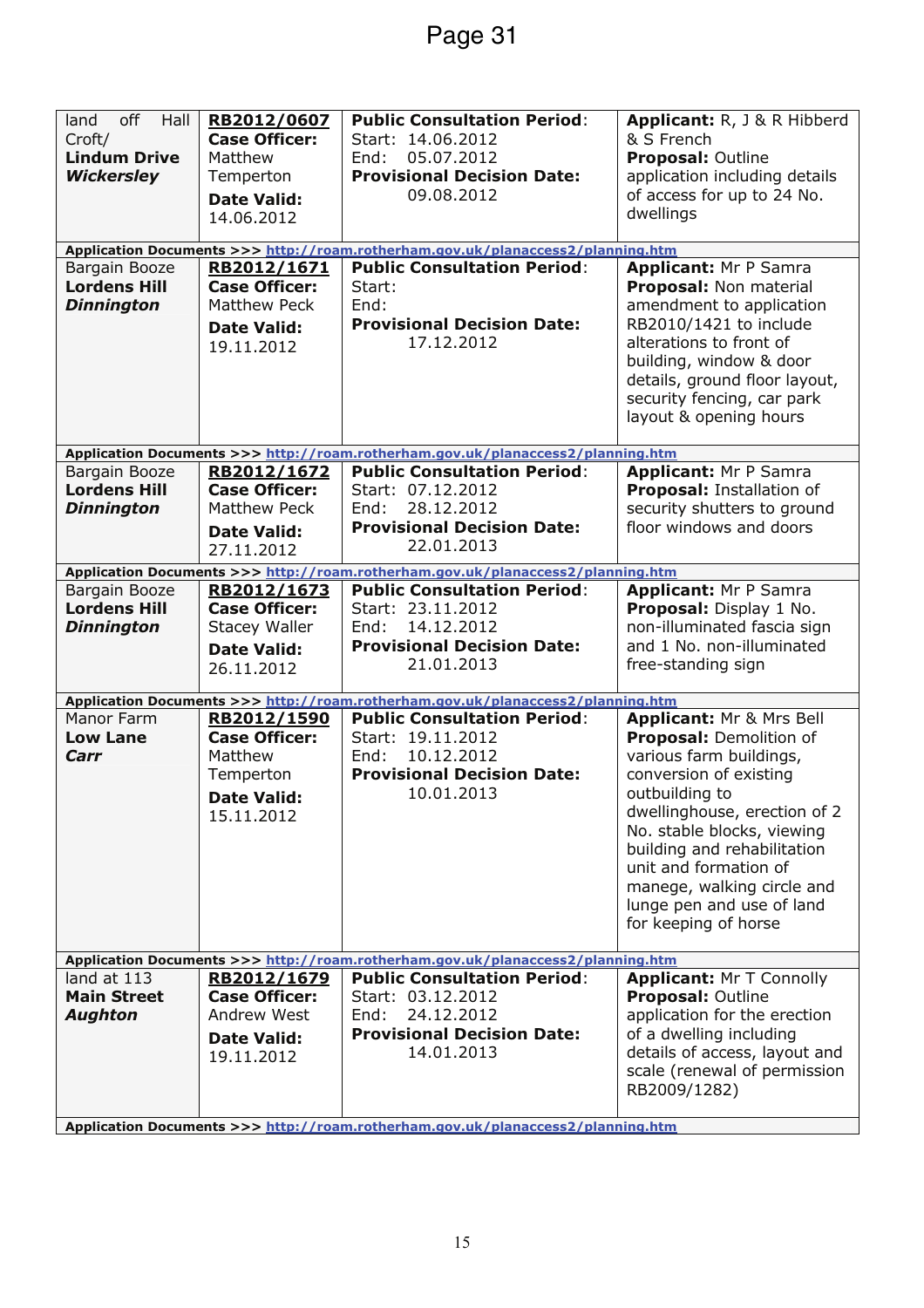| off<br>Hall<br>land<br>Croft/<br><b>Lindum Drive</b><br><b>Wickersley</b> | RB2012/0607<br><b>Case Officer:</b><br>Matthew<br>Temperton<br><b>Date Valid:</b><br>14.06.2012 | <b>Public Consultation Period:</b><br>Start: 14.06.2012<br>05.07.2012<br>End:<br><b>Provisional Decision Date:</b><br>09.08.2012 | Applicant: R, J & R Hibberd<br>& S French<br><b>Proposal: Outline</b><br>application including details<br>of access for up to 24 No.<br>dwellings                                                                                                                                                                                   |
|---------------------------------------------------------------------------|-------------------------------------------------------------------------------------------------|----------------------------------------------------------------------------------------------------------------------------------|-------------------------------------------------------------------------------------------------------------------------------------------------------------------------------------------------------------------------------------------------------------------------------------------------------------------------------------|
|                                                                           |                                                                                                 | Application Documents >>> http://roam.rotherham.gov.uk/planaccess2/planning.htm                                                  |                                                                                                                                                                                                                                                                                                                                     |
| Bargain Booze<br><b>Lordens Hill</b><br><b>Dinnington</b>                 | RB2012/1671<br><b>Case Officer:</b><br>Matthew Peck<br><b>Date Valid:</b><br>19.11.2012         | <b>Public Consultation Period:</b><br>Start:<br>End:<br><b>Provisional Decision Date:</b><br>17.12.2012                          | <b>Applicant: Mr P Samra</b><br><b>Proposal: Non material</b><br>amendment to application<br>RB2010/1421 to include<br>alterations to front of<br>building, window & door<br>details, ground floor layout,<br>security fencing, car park<br>layout & opening hours                                                                  |
|                                                                           |                                                                                                 | Application Documents >>> http://roam.rotherham.gov.uk/planaccess2/planning.htm                                                  |                                                                                                                                                                                                                                                                                                                                     |
| Bargain Booze<br><b>Lordens Hill</b><br><b>Dinnington</b>                 | RB2012/1672<br><b>Case Officer:</b><br>Matthew Peck<br><b>Date Valid:</b><br>27.11.2012         | <b>Public Consultation Period:</b><br>Start: 07.12.2012<br>End:<br>28.12.2012<br><b>Provisional Decision Date:</b><br>22.01.2013 | <b>Applicant: Mr P Samra</b><br>Proposal: Installation of<br>security shutters to ground<br>floor windows and doors                                                                                                                                                                                                                 |
|                                                                           |                                                                                                 | Application Documents >>> http://roam.rotherham.gov.uk/planaccess2/planning.htm                                                  |                                                                                                                                                                                                                                                                                                                                     |
| Bargain Booze<br><b>Lordens Hill</b><br><b>Dinnington</b>                 | RB2012/1673<br><b>Case Officer:</b><br><b>Stacey Waller</b><br><b>Date Valid:</b><br>26.11.2012 | <b>Public Consultation Period:</b><br>Start: 23.11.2012<br>14.12.2012<br>End:<br><b>Provisional Decision Date:</b><br>21.01.2013 | <b>Applicant: Mr P Samra</b><br>Proposal: Display 1 No.<br>non-illuminated fascia sign<br>and 1 No. non-illuminated<br>free-standing sign                                                                                                                                                                                           |
|                                                                           |                                                                                                 | Application Documents >>> http://roam.rotherham.gov.uk/planaccess2/planning.htm                                                  |                                                                                                                                                                                                                                                                                                                                     |
| Manor Farm<br><b>Low Lane</b><br>Carr                                     | RB2012/1590<br><b>Case Officer:</b><br>Matthew<br>Temperton<br><b>Date Valid:</b><br>15.11.2012 | <b>Public Consultation Period:</b><br>Start: 19.11.2012<br>10.12.2012<br>End:<br><b>Provisional Decision Date:</b><br>10.01.2013 | Applicant: Mr & Mrs Bell<br>Proposal: Demolition of<br>various farm buildings,<br>conversion of existing<br>outbuilding to<br>dwellinghouse, erection of 2<br>No. stable blocks, viewing<br>building and rehabilitation<br>unit and formation of<br>manege, walking circle and<br>lunge pen and use of land<br>for keeping of horse |
|                                                                           |                                                                                                 | Application Documents >>> http://roam.rotherham.gov.uk/planaccess2/planning.htm                                                  |                                                                                                                                                                                                                                                                                                                                     |
| land at 113<br><b>Main Street</b><br><b>Aughton</b>                       | RB2012/1679<br><b>Case Officer:</b><br>Andrew West<br><b>Date Valid:</b><br>19.11.2012          | <b>Public Consultation Period:</b><br>Start: 03.12.2012<br>24.12.2012<br>End:<br><b>Provisional Decision Date:</b><br>14.01.2013 | <b>Applicant: Mr T Connolly</b><br><b>Proposal: Outline</b><br>application for the erection<br>of a dwelling including<br>details of access, layout and<br>scale (renewal of permission<br>RB2009/1282)                                                                                                                             |
|                                                                           |                                                                                                 | Application Documents >>> http://roam.rotherham.gov.uk/planaccess2/planning.htm                                                  |                                                                                                                                                                                                                                                                                                                                     |

15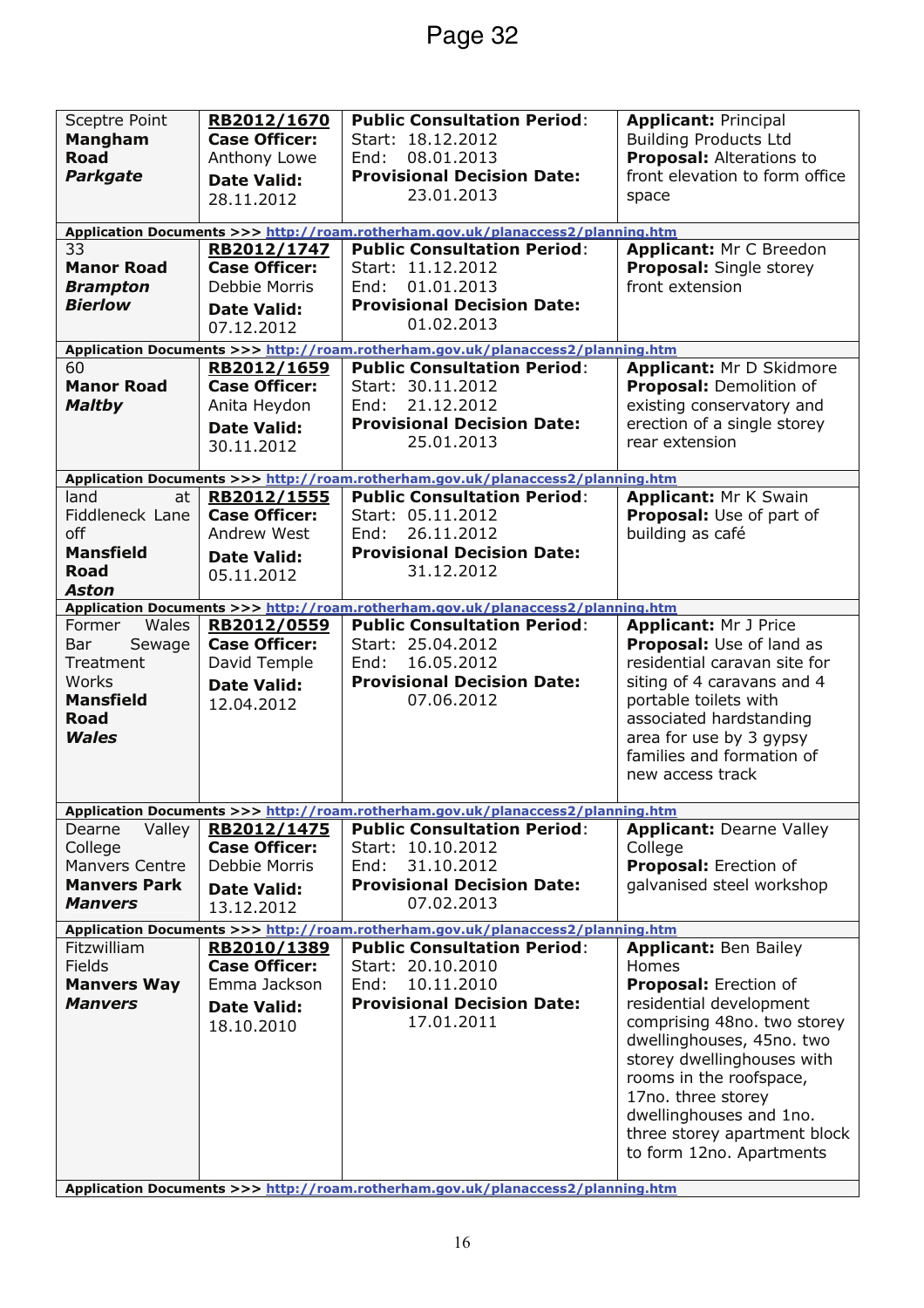| Sceptre Point<br><b>Mangham</b><br><b>Road</b><br><b>Parkgate</b> | RB2012/1670<br><b>Case Officer:</b><br>Anthony Lowe<br><b>Date Valid:</b><br>28.11.2012 | <b>Public Consultation Period:</b><br>Start: 18.12.2012<br>08.01.2013<br>End:<br><b>Provisional Decision Date:</b><br>23.01.2013 | <b>Applicant: Principal</b><br><b>Building Products Ltd</b><br><b>Proposal: Alterations to</b><br>front elevation to form office<br>space |
|-------------------------------------------------------------------|-----------------------------------------------------------------------------------------|----------------------------------------------------------------------------------------------------------------------------------|-------------------------------------------------------------------------------------------------------------------------------------------|
|                                                                   |                                                                                         |                                                                                                                                  |                                                                                                                                           |
| 33                                                                |                                                                                         | Application Documents >>> http://roam.rotherham.gov.uk/planaccess2/planning.htm                                                  |                                                                                                                                           |
| <b>Manor Road</b>                                                 | RB2012/1747<br><b>Case Officer:</b>                                                     | <b>Public Consultation Period:</b><br>Start: 11.12.2012                                                                          | Applicant: Mr C Breedon<br><b>Proposal:</b> Single storey                                                                                 |
| <b>Brampton</b>                                                   | Debbie Morris                                                                           | 01.01.2013<br>End:                                                                                                               | front extension                                                                                                                           |
| <b>Bierlow</b>                                                    | <b>Date Valid:</b>                                                                      | <b>Provisional Decision Date:</b>                                                                                                |                                                                                                                                           |
|                                                                   | 07.12.2012                                                                              | 01.02.2013                                                                                                                       |                                                                                                                                           |
|                                                                   |                                                                                         | Application Documents >>> http://roam.rotherham.gov.uk/planaccess2/planning.htm                                                  |                                                                                                                                           |
| 60                                                                | RB2012/1659                                                                             | <b>Public Consultation Period:</b>                                                                                               | Applicant: Mr D Skidmore                                                                                                                  |
| <b>Manor Road</b>                                                 | <b>Case Officer:</b>                                                                    | Start: 30.11.2012                                                                                                                | Proposal: Demolition of                                                                                                                   |
| <b>Maltby</b>                                                     | Anita Heydon                                                                            | End:<br>21.12.2012                                                                                                               | existing conservatory and                                                                                                                 |
|                                                                   | <b>Date Valid:</b>                                                                      | <b>Provisional Decision Date:</b>                                                                                                | erection of a single storey                                                                                                               |
|                                                                   | 30.11.2012                                                                              | 25.01.2013                                                                                                                       | rear extension                                                                                                                            |
|                                                                   |                                                                                         | Application Documents >>> http://roam.rotherham.gov.uk/planaccess2/planning.htm                                                  |                                                                                                                                           |
| land<br>at                                                        | RB2012/1555                                                                             | <b>Public Consultation Period:</b>                                                                                               | <b>Applicant: Mr K Swain</b>                                                                                                              |
| Fiddleneck Lane                                                   | <b>Case Officer:</b>                                                                    | Start: 05.11.2012                                                                                                                | <b>Proposal:</b> Use of part of                                                                                                           |
| off                                                               | Andrew West                                                                             | 26.11.2012<br>End:                                                                                                               | building as café                                                                                                                          |
| <b>Mansfield</b>                                                  | <b>Date Valid:</b>                                                                      | <b>Provisional Decision Date:</b>                                                                                                |                                                                                                                                           |
| <b>Road</b><br><b>Aston</b>                                       | 05.11.2012                                                                              | 31.12.2012                                                                                                                       |                                                                                                                                           |
|                                                                   |                                                                                         | Application Documents >>> http://roam.rotherham.gov.uk/planaccess2/planning.htm                                                  |                                                                                                                                           |
| Wales<br>Former                                                   | RB2012/0559                                                                             | <b>Public Consultation Period:</b>                                                                                               | <b>Applicant: Mr J Price</b>                                                                                                              |
| Sewage<br>Bar                                                     | <b>Case Officer:</b>                                                                    | Start: 25.04.2012                                                                                                                | Proposal: Use of land as                                                                                                                  |
| Treatment                                                         | David Temple                                                                            | 16.05.2012<br>End:                                                                                                               | residential caravan site for                                                                                                              |
| Works                                                             | <b>Date Valid:</b>                                                                      | <b>Provisional Decision Date:</b>                                                                                                | siting of 4 caravans and 4                                                                                                                |
| <b>Mansfield</b>                                                  | 12.04.2012                                                                              | 07.06.2012                                                                                                                       | portable toilets with                                                                                                                     |
| <b>Road</b><br>Wales                                              |                                                                                         |                                                                                                                                  | associated hardstanding<br>area for use by 3 gypsy                                                                                        |
|                                                                   |                                                                                         |                                                                                                                                  | families and formation of                                                                                                                 |
|                                                                   |                                                                                         |                                                                                                                                  | new access track                                                                                                                          |
|                                                                   |                                                                                         |                                                                                                                                  |                                                                                                                                           |
|                                                                   |                                                                                         | Application Documents >>> http://roam.rotherham.gov.uk/planaccess2/planning.htm                                                  |                                                                                                                                           |
| Valley<br>Dearne<br>College                                       | RB2012/1475<br><b>Case Officer:</b>                                                     | <b>Public Consultation Period:</b><br>Start: 10.10.2012                                                                          | <b>Applicant: Dearne Valley</b><br>College                                                                                                |
| <b>Manvers Centre</b>                                             | Debbie Morris                                                                           | 31.10.2012<br>End:                                                                                                               | Proposal: Erection of                                                                                                                     |
| <b>Manvers Park</b>                                               | <b>Date Valid:</b>                                                                      | <b>Provisional Decision Date:</b>                                                                                                | galvanised steel workshop                                                                                                                 |
| <b>Manvers</b>                                                    | 13.12.2012                                                                              | 07.02.2013                                                                                                                       |                                                                                                                                           |
|                                                                   |                                                                                         | Application Documents >>> http://roam.rotherham.gov.uk/planaccess2/planning.htm                                                  |                                                                                                                                           |
| Fitzwilliam                                                       | RB2010/1389                                                                             | <b>Public Consultation Period:</b>                                                                                               | <b>Applicant: Ben Bailey</b>                                                                                                              |
| Fields                                                            | <b>Case Officer:</b>                                                                    | Start: 20.10.2010                                                                                                                | Homes                                                                                                                                     |
| <b>Manvers Way</b>                                                | Emma Jackson                                                                            | 10.11.2010<br>End:                                                                                                               | <b>Proposal:</b> Erection of                                                                                                              |
| <b>Manvers</b>                                                    | <b>Date Valid:</b>                                                                      | <b>Provisional Decision Date:</b>                                                                                                | residential development                                                                                                                   |
|                                                                   | 18.10.2010                                                                              | 17.01.2011                                                                                                                       | comprising 48no. two storey                                                                                                               |
|                                                                   |                                                                                         |                                                                                                                                  | dwellinghouses, 45no. two<br>storey dwellinghouses with                                                                                   |
|                                                                   |                                                                                         |                                                                                                                                  | rooms in the roofspace,                                                                                                                   |
|                                                                   |                                                                                         |                                                                                                                                  | 17no. three storey                                                                                                                        |
|                                                                   |                                                                                         |                                                                                                                                  | dwellinghouses and 1no.                                                                                                                   |
|                                                                   |                                                                                         |                                                                                                                                  | three storey apartment block                                                                                                              |
|                                                                   |                                                                                         |                                                                                                                                  | to form 12no. Apartments                                                                                                                  |
|                                                                   |                                                                                         | Application Documents >>> http://roam.rotherham.gov.uk/planaccess2/planning.htm                                                  |                                                                                                                                           |
|                                                                   |                                                                                         |                                                                                                                                  |                                                                                                                                           |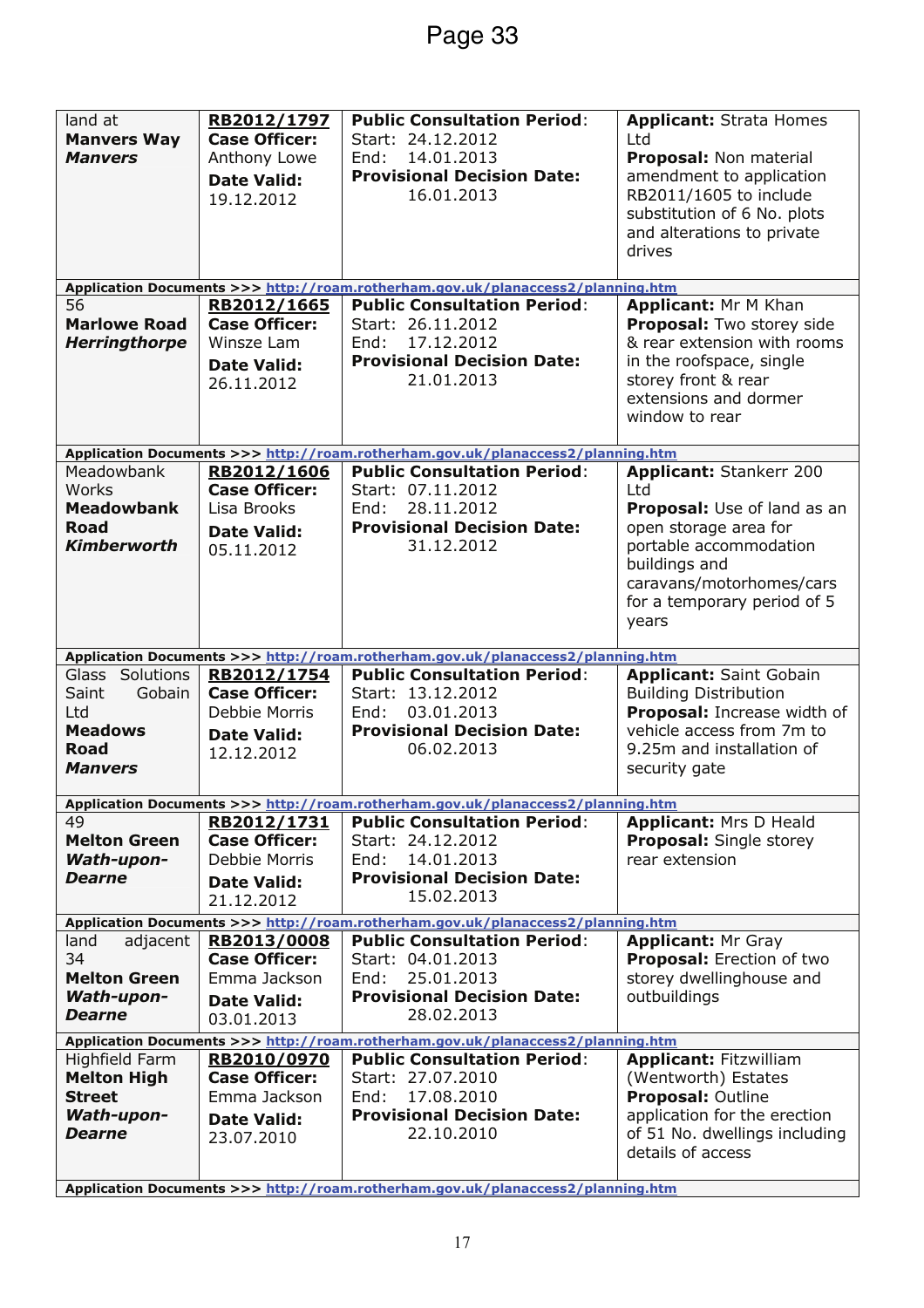| land at<br><b>Manvers Way</b><br><b>Manvers</b>   | RB2012/1797<br><b>Case Officer:</b><br>Anthony Lowe<br><b>Date Valid:</b><br>19.12.2012 | <b>Public Consultation Period:</b><br>Start: 24.12.2012<br>14.01.2013<br>End:<br><b>Provisional Decision Date:</b><br>16.01.2013 | <b>Applicant: Strata Homes</b><br>Ltd<br>Proposal: Non material<br>amendment to application<br>RB2011/1605 to include<br>substitution of 6 No. plots<br>and alterations to private<br>drives |
|---------------------------------------------------|-----------------------------------------------------------------------------------------|----------------------------------------------------------------------------------------------------------------------------------|----------------------------------------------------------------------------------------------------------------------------------------------------------------------------------------------|
|                                                   |                                                                                         | Application Documents >>> http://roam.rotherham.gov.uk/planaccess2/planning.htm                                                  |                                                                                                                                                                                              |
| 56<br><b>Marlowe Road</b><br><b>Herringthorpe</b> | RB2012/1665<br><b>Case Officer:</b><br>Winsze Lam                                       | <b>Public Consultation Period:</b><br>Start: 26.11.2012<br>17.12.2012<br>End:                                                    | Applicant: Mr M Khan<br>Proposal: Two storey side<br>& rear extension with rooms                                                                                                             |
|                                                   | <b>Date Valid:</b><br>26.11.2012                                                        | <b>Provisional Decision Date:</b><br>21.01.2013                                                                                  | in the roofspace, single<br>storey front & rear<br>extensions and dormer<br>window to rear                                                                                                   |
|                                                   |                                                                                         | Application Documents >>> http://roam.rotherham.gov.uk/planaccess2/planning.htm                                                  |                                                                                                                                                                                              |
| Meadowbank                                        | RB2012/1606                                                                             | <b>Public Consultation Period:</b>                                                                                               | <b>Applicant: Stankerr 200</b>                                                                                                                                                               |
| Works                                             | <b>Case Officer:</b>                                                                    | Start: 07.11.2012                                                                                                                | Ltd                                                                                                                                                                                          |
| <b>Meadowbank</b>                                 | Lisa Brooks                                                                             | 28.11.2012<br>End:                                                                                                               | Proposal: Use of land as an                                                                                                                                                                  |
| <b>Road</b>                                       | <b>Date Valid:</b>                                                                      | <b>Provisional Decision Date:</b>                                                                                                | open storage area for                                                                                                                                                                        |
| <b>Kimberworth</b>                                | 05.11.2012                                                                              | 31.12.2012                                                                                                                       | portable accommodation<br>buildings and<br>caravans/motorhomes/cars<br>for a temporary period of 5<br>years                                                                                  |
|                                                   |                                                                                         | Application Documents >>> http://roam.rotherham.gov.uk/planaccess2/planning.htm                                                  |                                                                                                                                                                                              |
| Glass Solutions<br>Saint<br>Gobain                | RB2012/1754<br><b>Case Officer:</b>                                                     | <b>Public Consultation Period:</b><br>Start: 13.12.2012                                                                          | <b>Applicant: Saint Gobain</b><br><b>Building Distribution</b>                                                                                                                               |
| Ltd                                               | Debbie Morris                                                                           | 03.01.2013<br>End:                                                                                                               | Proposal: Increase width of                                                                                                                                                                  |
| <b>Meadows</b>                                    |                                                                                         | <b>Provisional Decision Date:</b>                                                                                                | vehicle access from 7m to                                                                                                                                                                    |
| <b>Road</b>                                       | <b>Date Valid:</b><br>12.12.2012                                                        | 06.02.2013                                                                                                                       | 9.25m and installation of                                                                                                                                                                    |
| <b>Manvers</b>                                    |                                                                                         |                                                                                                                                  | security gate                                                                                                                                                                                |
|                                                   |                                                                                         | Application Documents >>> http://roam.rotherham.gov.uk/planaccess2/planning.htm                                                  |                                                                                                                                                                                              |
| 49                                                | RB2012/1731                                                                             | <b>Public Consultation Period:</b>                                                                                               | <b>Applicant: Mrs D Heald</b>                                                                                                                                                                |
| <b>Melton Green</b>                               | <b>Case Officer:</b>                                                                    | Start: 24.12.2012                                                                                                                | <b>Proposal:</b> Single storey                                                                                                                                                               |
| Wath-upon-                                        | Debbie Morris                                                                           | 14.01.2013<br>End:                                                                                                               | rear extension                                                                                                                                                                               |
| <b>Dearne</b>                                     | <b>Date Valid:</b>                                                                      | <b>Provisional Decision Date:</b><br>15.02.2013                                                                                  |                                                                                                                                                                                              |
|                                                   | 21.12.2012                                                                              |                                                                                                                                  |                                                                                                                                                                                              |
|                                                   |                                                                                         | Application Documents >>> http://roam.rotherham.gov.uk/planaccess2/planning.htm                                                  |                                                                                                                                                                                              |
| adjacent<br>land<br>34                            | RB2013/0008<br><b>Case Officer:</b>                                                     | <b>Public Consultation Period:</b><br>Start: 04.01.2013                                                                          | <b>Applicant: Mr Gray</b><br>Proposal: Erection of two                                                                                                                                       |
| <b>Melton Green</b>                               | Emma Jackson                                                                            | 25.01.2013<br>End:                                                                                                               | storey dwellinghouse and                                                                                                                                                                     |
| Wath-upon-                                        | <b>Date Valid:</b>                                                                      | <b>Provisional Decision Date:</b>                                                                                                | outbuildings                                                                                                                                                                                 |
| <b>Dearne</b>                                     | 03.01.2013                                                                              | 28.02.2013                                                                                                                       |                                                                                                                                                                                              |
|                                                   |                                                                                         | Application Documents >>> http://roam.rotherham.gov.uk/planaccess2/planning.htm                                                  |                                                                                                                                                                                              |
| Highfield Farm                                    | RB2010/0970<br><b>Case Officer:</b>                                                     | <b>Public Consultation Period:</b><br>Start: 27.07.2010                                                                          | <b>Applicant: Fitzwilliam</b>                                                                                                                                                                |
| <b>Melton High</b><br><b>Street</b>               | Emma Jackson                                                                            | 17.08.2010<br>End:                                                                                                               | (Wentworth) Estates<br><b>Proposal: Outline</b>                                                                                                                                              |
| <b>Wath-upon-</b>                                 |                                                                                         | <b>Provisional Decision Date:</b>                                                                                                | application for the erection                                                                                                                                                                 |
| <b>Dearne</b>                                     | <b>Date Valid:</b><br>23.07.2010                                                        | 22.10.2010                                                                                                                       | of 51 No. dwellings including<br>details of access                                                                                                                                           |
|                                                   |                                                                                         |                                                                                                                                  |                                                                                                                                                                                              |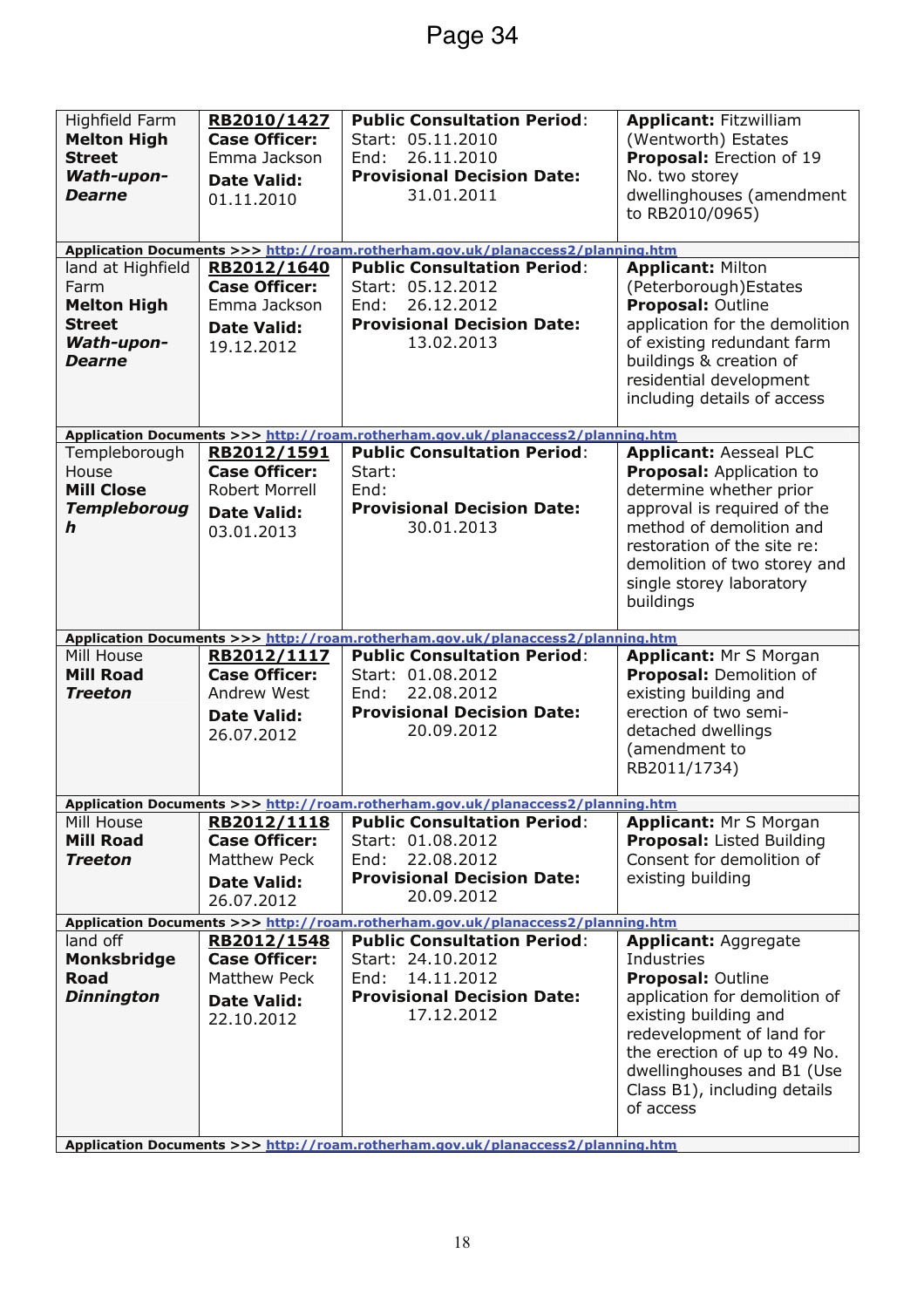| Highfield Farm<br><b>Melton High</b><br><b>Street</b><br>Wath-upon-<br><b>Dearne</b>            | RB2010/1427<br><b>Case Officer:</b><br>Emma Jackson<br><b>Date Valid:</b><br>01.11.2010          | <b>Public Consultation Period:</b><br>Start: 05.11.2010<br>26.11.2010<br>End:<br><b>Provisional Decision Date:</b><br>31.01.2011 | <b>Applicant: Fitzwilliam</b><br>(Wentworth) Estates<br>Proposal: Erection of 19<br>No. two storey<br>dwellinghouses (amendment<br>to RB2010/0965)                                                                                                                      |
|-------------------------------------------------------------------------------------------------|--------------------------------------------------------------------------------------------------|----------------------------------------------------------------------------------------------------------------------------------|-------------------------------------------------------------------------------------------------------------------------------------------------------------------------------------------------------------------------------------------------------------------------|
|                                                                                                 |                                                                                                  | Application Documents >>> http://roam.rotherham.gov.uk/planaccess2/planning.htm                                                  |                                                                                                                                                                                                                                                                         |
| land at Highfield<br>Farm<br><b>Melton High</b><br><b>Street</b><br>Wath-upon-<br><b>Dearne</b> | RB2012/1640<br><b>Case Officer:</b><br>Emma Jackson<br><b>Date Valid:</b><br>19.12.2012          | <b>Public Consultation Period:</b><br>Start: 05.12.2012<br>26.12.2012<br>End:<br><b>Provisional Decision Date:</b><br>13.02.2013 | <b>Applicant: Milton</b><br>(Peterborough) Estates<br><b>Proposal: Outline</b><br>application for the demolition<br>of existing redundant farm<br>buildings & creation of<br>residential development<br>including details of access                                     |
|                                                                                                 |                                                                                                  | Application Documents >>> http://roam.rotherham.gov.uk/planaccess2/planning.htm                                                  |                                                                                                                                                                                                                                                                         |
| Templeborough<br>House<br><b>Mill Close</b><br><b>Templeboroug</b><br>h                         | RB2012/1591<br><b>Case Officer:</b><br><b>Robert Morrell</b><br><b>Date Valid:</b><br>03.01.2013 | <b>Public Consultation Period:</b><br>Start:<br>End:<br><b>Provisional Decision Date:</b><br>30.01.2013                          | <b>Applicant: Aesseal PLC</b><br><b>Proposal:</b> Application to<br>determine whether prior<br>approval is required of the<br>method of demolition and<br>restoration of the site re:<br>demolition of two storey and<br>single storey laboratory<br>buildings          |
|                                                                                                 |                                                                                                  | Application Documents >>> http://roam.rotherham.gov.uk/planaccess2/planning.htm                                                  |                                                                                                                                                                                                                                                                         |
|                                                                                                 |                                                                                                  |                                                                                                                                  |                                                                                                                                                                                                                                                                         |
| Mill House<br><b>Mill Road</b><br><b>Treeton</b>                                                | RB2012/1117<br><b>Case Officer:</b><br>Andrew West<br><b>Date Valid:</b><br>26.07.2012           | <b>Public Consultation Period:</b><br>Start: 01.08.2012<br>22.08.2012<br>End:<br><b>Provisional Decision Date:</b><br>20.09.2012 | Applicant: Mr S Morgan<br>Proposal: Demolition of<br>existing building and<br>erection of two semi-<br>detached dwellings<br>(amendment to<br>RB2011/1734)                                                                                                              |
|                                                                                                 |                                                                                                  | Application Documents >>> http://roam.rotherham.gov.uk/planaccess2/planning.htm                                                  |                                                                                                                                                                                                                                                                         |
| Mill House<br><b>Mill Road</b><br><b>Treeton</b>                                                | RB2012/1118<br><b>Case Officer:</b><br>Matthew Peck<br><b>Date Valid:</b><br>26.07.2012          | <b>Public Consultation Period:</b><br>Start: 01.08.2012<br>22.08.2012<br>End:<br><b>Provisional Decision Date:</b><br>20.09.2012 | <b>Applicant: Mr S Morgan</b><br><b>Proposal: Listed Building</b><br>Consent for demolition of<br>existing building                                                                                                                                                     |
|                                                                                                 |                                                                                                  | Application Documents >>> http://roam.rotherham.gov.uk/planaccess2/planning.htm                                                  |                                                                                                                                                                                                                                                                         |
| land off<br><b>Monksbridge</b><br><b>Road</b><br><b>Dinnington</b>                              | RB2012/1548<br><b>Case Officer:</b><br>Matthew Peck<br><b>Date Valid:</b><br>22.10.2012          | <b>Public Consultation Period:</b><br>Start: 24.10.2012<br>14.11.2012<br>End:<br><b>Provisional Decision Date:</b><br>17.12.2012 | <b>Applicant: Aggregate</b><br>Industries<br><b>Proposal: Outline</b><br>application for demolition of<br>existing building and<br>redevelopment of land for<br>the erection of up to 49 No.<br>dwellinghouses and B1 (Use<br>Class B1), including details<br>of access |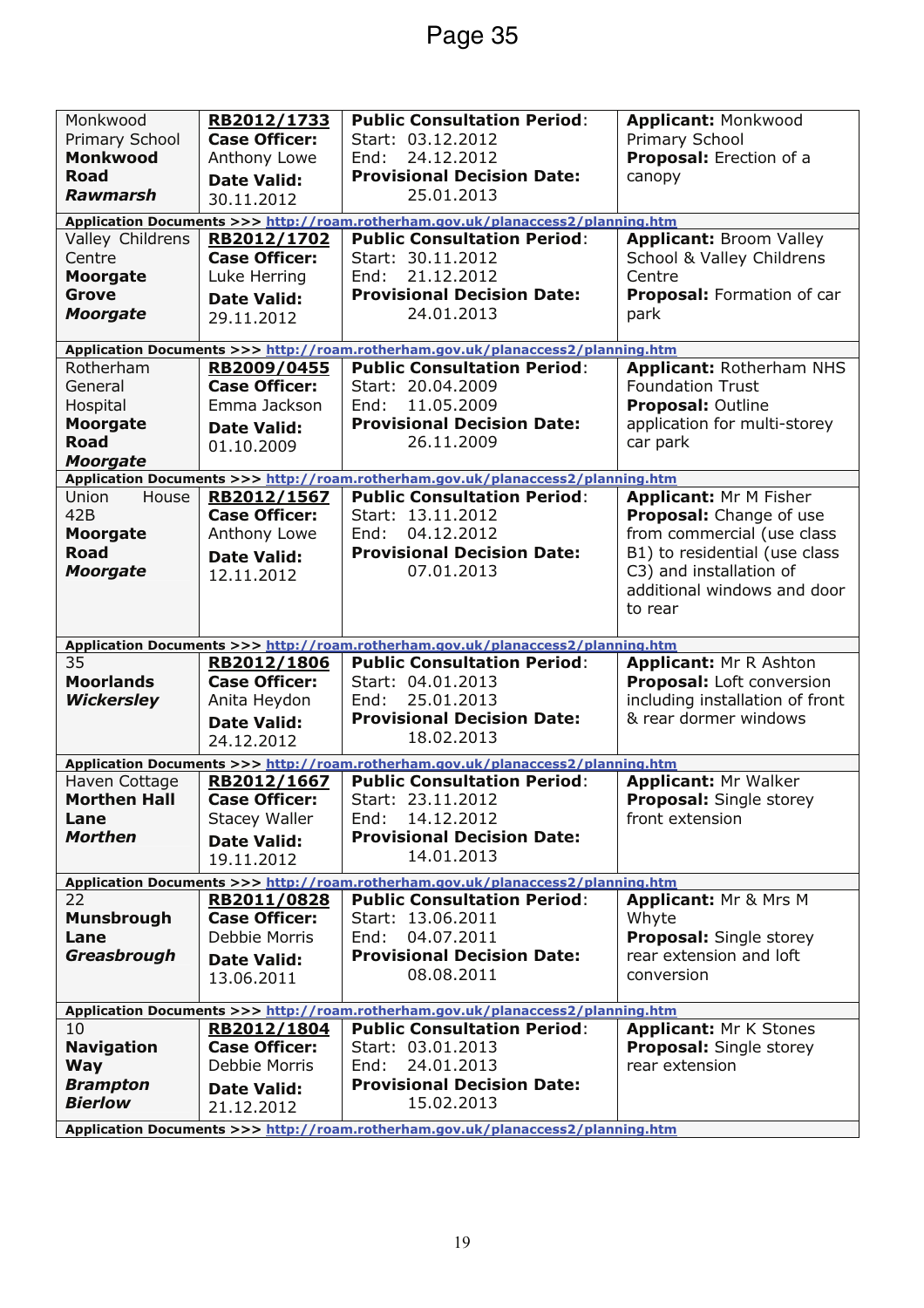| Monkwood            | RB2012/1733          | <b>Public Consultation Period:</b>                                              | <b>Applicant: Monkwood</b>      |
|---------------------|----------------------|---------------------------------------------------------------------------------|---------------------------------|
| Primary School      | <b>Case Officer:</b> | Start: 03.12.2012                                                               | Primary School                  |
| Monkwood            | Anthony Lowe         | 24.12.2012<br>End:                                                              | Proposal: Erection of a         |
| <b>Road</b>         | <b>Date Valid:</b>   | <b>Provisional Decision Date:</b>                                               | canopy                          |
| <b>Rawmarsh</b>     | 30.11.2012           | 25.01.2013                                                                      |                                 |
|                     |                      | Application Documents >>> http://roam.rotherham.gov.uk/planaccess2/planning.htm |                                 |
| Valley Childrens    | RB2012/1702          | <b>Public Consultation Period:</b>                                              | <b>Applicant: Broom Valley</b>  |
| Centre              | <b>Case Officer:</b> | Start: 30.11.2012                                                               | School & Valley Childrens       |
| <b>Moorgate</b>     | Luke Herring         | 21.12.2012<br>End:                                                              | Centre                          |
| <b>Grove</b>        | <b>Date Valid:</b>   | <b>Provisional Decision Date:</b>                                               | Proposal: Formation of car      |
| <b>Moorgate</b>     | 29.11.2012           | 24.01.2013                                                                      | park                            |
|                     |                      |                                                                                 |                                 |
|                     |                      | Application Documents >>> http://roam.rotherham.gov.uk/planaccess2/planning.htm |                                 |
| Rotherham           | RB2009/0455          | <b>Public Consultation Period:</b>                                              | <b>Applicant: Rotherham NHS</b> |
| General             | <b>Case Officer:</b> | Start: 20.04.2009                                                               | <b>Foundation Trust</b>         |
| Hospital            | Emma Jackson         | 11.05.2009<br>End:                                                              | <b>Proposal: Outline</b>        |
| <b>Moorgate</b>     | <b>Date Valid:</b>   | <b>Provisional Decision Date:</b>                                               | application for multi-storey    |
| <b>Road</b>         | 01.10.2009           | 26.11.2009                                                                      | car park                        |
| <b>Moorgate</b>     |                      |                                                                                 |                                 |
|                     |                      | Application Documents >>> http://roam.rotherham.gov.uk/planaccess2/planning.htm |                                 |
| Union<br>House      | RB2012/1567          | <b>Public Consultation Period:</b>                                              | <b>Applicant: Mr M Fisher</b>   |
| 42B                 | <b>Case Officer:</b> | Start: 13.11.2012                                                               | Proposal: Change of use         |
| <b>Moorgate</b>     | Anthony Lowe         | 04.12.2012<br>End:                                                              | from commercial (use class      |
| <b>Road</b>         | <b>Date Valid:</b>   | <b>Provisional Decision Date:</b>                                               | B1) to residential (use class   |
| <b>Moorgate</b>     | 12.11.2012           | 07.01.2013                                                                      | C3) and installation of         |
|                     |                      |                                                                                 | additional windows and door     |
|                     |                      |                                                                                 | to rear                         |
|                     |                      |                                                                                 |                                 |
|                     |                      |                                                                                 |                                 |
|                     |                      | Application Documents >>> http://roam.rotherham.gov.uk/planaccess2/planning.htm |                                 |
| 35                  | RB2012/1806          | <b>Public Consultation Period:</b>                                              | <b>Applicant: Mr R Ashton</b>   |
| <b>Moorlands</b>    | <b>Case Officer:</b> | Start: 04.01.2013<br>End:                                                       | Proposal: Loft conversion       |
| <b>Wickersley</b>   | Anita Heydon         | 25.01.2013                                                                      | including installation of front |
|                     | <b>Date Valid:</b>   | <b>Provisional Decision Date:</b><br>18.02.2013                                 | & rear dormer windows           |
|                     | 24.12.2012           |                                                                                 |                                 |
|                     |                      | Application Documents >>> http://roam.rotherham.gov.uk/planaccess2/planning.htm |                                 |
| Haven Cottage       | RB2012/1667          | <b>Public Consultation Period:</b>                                              | <b>Applicant: Mr Walker</b>     |
| <b>Morthen Hall</b> | <b>Case Officer:</b> | Start: 23.11.2012                                                               | <b>Proposal:</b> Single storey  |
| Lane                | Stacey Waller        | 14.12.2012<br>End:                                                              | front extension                 |
| <b>Morthen</b>      | <b>Date Valid:</b>   | <b>Provisional Decision Date:</b><br>14.01.2013                                 |                                 |
|                     | 19.11.2012           |                                                                                 |                                 |
|                     |                      | Application Documents >>> http://roam.rotherham.gov.uk/planaccess2/planning.htm |                                 |
| 22                  | RB2011/0828          | <b>Public Consultation Period:</b>                                              | Applicant: Mr & Mrs M           |
| <b>Munsbrough</b>   | <b>Case Officer:</b> | Start: 13.06.2011                                                               | Whyte                           |
| Lane                | Debbie Morris        | 04.07.2011<br>End:                                                              | <b>Proposal:</b> Single storey  |
| Greasbrough         | <b>Date Valid:</b>   | <b>Provisional Decision Date:</b>                                               | rear extension and loft         |
|                     | 13.06.2011           | 08.08.2011                                                                      | conversion                      |
|                     |                      | Application Documents >>> http://roam.rotherham.gov.uk/planaccess2/planning.htm |                                 |
| 10                  | RB2012/1804          | <b>Public Consultation Period:</b>                                              | <b>Applicant: Mr K Stones</b>   |
| <b>Navigation</b>   | <b>Case Officer:</b> | Start: 03.01.2013                                                               | <b>Proposal:</b> Single storey  |
| <b>Way</b>          | Debbie Morris        | 24.01.2013<br>End:                                                              | rear extension                  |
| <b>Brampton</b>     | <b>Date Valid:</b>   | <b>Provisional Decision Date:</b>                                               |                                 |
| <b>Bierlow</b>      | 21.12.2012           | 15.02.2013                                                                      |                                 |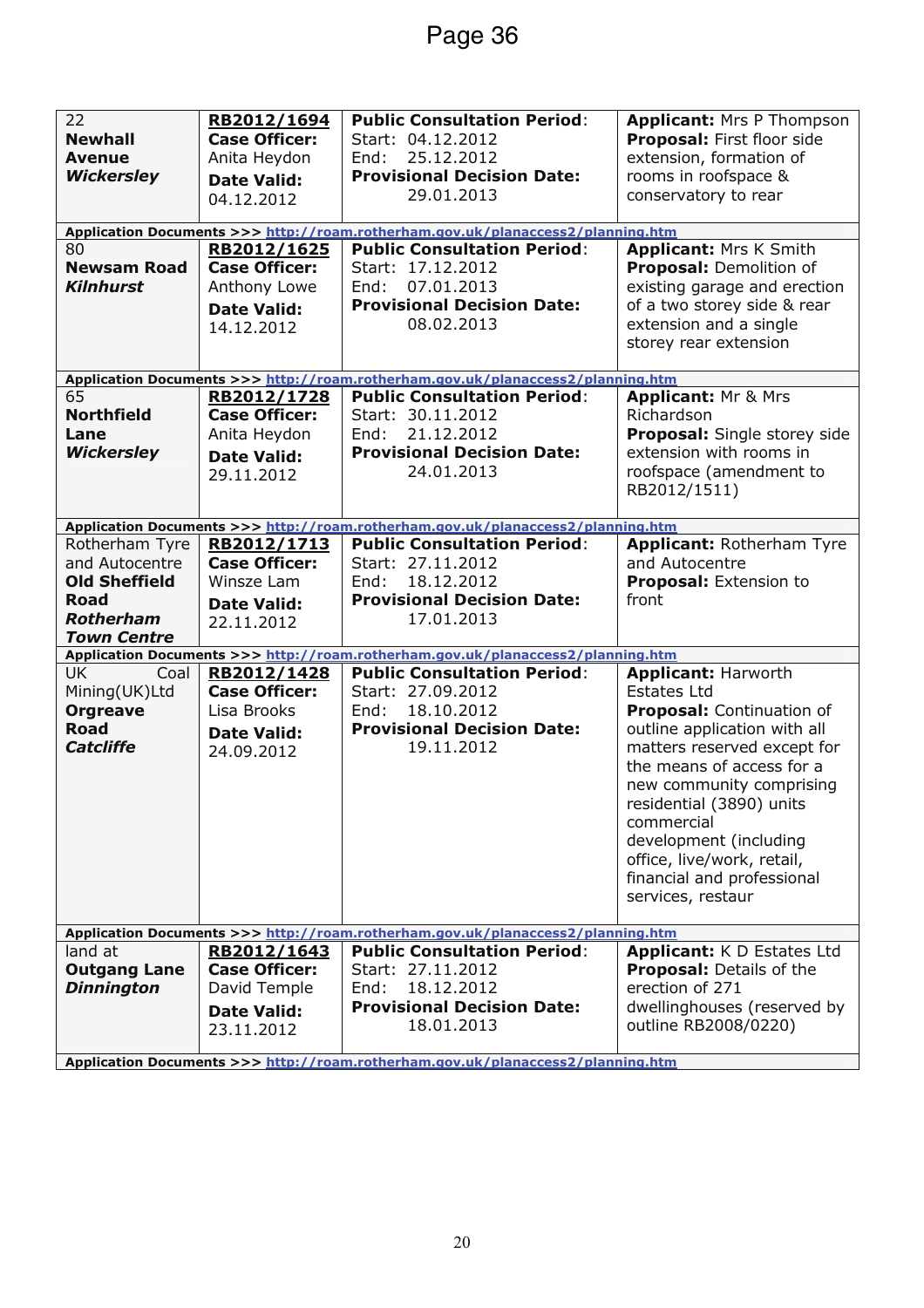| 22                   | RB2012/1694          | <b>Public Consultation Period:</b>                                              | <b>Applicant: Mrs P Thompson</b>  |
|----------------------|----------------------|---------------------------------------------------------------------------------|-----------------------------------|
| <b>Newhall</b>       | <b>Case Officer:</b> | Start: 04.12.2012                                                               | Proposal: First floor side        |
|                      |                      |                                                                                 |                                   |
| <b>Avenue</b>        | Anita Heydon         | 25.12.2012<br>End:                                                              | extension, formation of           |
| <b>Wickersley</b>    | <b>Date Valid:</b>   | <b>Provisional Decision Date:</b>                                               | rooms in roofspace &              |
|                      | 04.12.2012           | 29.01.2013                                                                      | conservatory to rear              |
|                      |                      |                                                                                 |                                   |
|                      |                      | Application Documents >>> http://roam.rotherham.gov.uk/planaccess2/planning.htm |                                   |
| 80                   | RB2012/1625          | <b>Public Consultation Period:</b>                                              | <b>Applicant: Mrs K Smith</b>     |
| <b>Newsam Road</b>   | <b>Case Officer:</b> | Start: 17.12.2012                                                               | Proposal: Demolition of           |
| <b>Kilnhurst</b>     | Anthony Lowe         | 07.01.2013<br>End:                                                              | existing garage and erection      |
|                      | <b>Date Valid:</b>   | <b>Provisional Decision Date:</b>                                               | of a two storey side & rear       |
|                      | 14.12.2012           | 08.02.2013                                                                      | extension and a single            |
|                      |                      |                                                                                 | storey rear extension             |
|                      |                      |                                                                                 |                                   |
|                      |                      | Application Documents >>> http://roam.rotherham.gov.uk/planaccess2/planning.htm |                                   |
| 65                   | RB2012/1728          | <b>Public Consultation Period:</b>                                              | Applicant: Mr & Mrs               |
| <b>Northfield</b>    | <b>Case Officer:</b> | Start: 30.11.2012                                                               | Richardson                        |
| Lane                 | Anita Heydon         | 21.12.2012<br>End:                                                              | Proposal: Single storey side      |
| <b>Wickersley</b>    | <b>Date Valid:</b>   | <b>Provisional Decision Date:</b>                                               | extension with rooms in           |
|                      | 29.11.2012           | 24.01.2013                                                                      | roofspace (amendment to           |
|                      |                      |                                                                                 | RB2012/1511)                      |
|                      |                      |                                                                                 |                                   |
|                      |                      | Application Documents >>> http://roam.rotherham.gov.uk/planaccess2/planning.htm |                                   |
| Rotherham Tyre       | RB2012/1713          | <b>Public Consultation Period:</b>                                              | <b>Applicant: Rotherham Tyre</b>  |
| and Autocentre       | <b>Case Officer:</b> | Start: 27.11.2012                                                               | and Autocentre                    |
| <b>Old Sheffield</b> | Winsze Lam           | 18.12.2012<br>End:                                                              | Proposal: Extension to            |
| <b>Road</b>          | <b>Date Valid:</b>   | <b>Provisional Decision Date:</b>                                               | front                             |
| <b>Rotherham</b>     | 22.11.2012           | 17.01.2013                                                                      |                                   |
| <b>Town Centre</b>   |                      |                                                                                 |                                   |
|                      |                      | Application Documents >>> http://roam.rotherham.gov.uk/planaccess2/planning.htm |                                   |
| UK.<br>Coal          | RB2012/1428          | <b>Public Consultation Period:</b>                                              | <b>Applicant: Harworth</b>        |
| Mining(UK)Ltd        | <b>Case Officer:</b> | Start: 27.09.2012                                                               | <b>Estates Ltd</b>                |
| <b>Orgreave</b>      | Lisa Brooks          | 18.10.2012<br>End:                                                              | <b>Proposal:</b> Continuation of  |
| <b>Road</b>          | <b>Date Valid:</b>   | <b>Provisional Decision Date:</b>                                               | outline application with all      |
| <b>Catcliffe</b>     | 24.09.2012           | 19.11.2012                                                                      | matters reserved except for       |
|                      |                      |                                                                                 | the means of access for a         |
|                      |                      |                                                                                 | new community comprising          |
|                      |                      |                                                                                 | residential (3890) units          |
|                      |                      |                                                                                 | commercial                        |
|                      |                      |                                                                                 | development (including            |
|                      |                      |                                                                                 | office, live/work, retail,        |
|                      |                      |                                                                                 | financial and professional        |
|                      |                      |                                                                                 | services, restaur                 |
|                      |                      |                                                                                 |                                   |
|                      |                      | Application Documents >>> http://roam.rotherham.gov.uk/planaccess2/planning.htm |                                   |
| land at              | RB2012/1643          | <b>Public Consultation Period:</b>                                              | <b>Applicant: K D Estates Ltd</b> |
| <b>Outgang Lane</b>  | <b>Case Officer:</b> | Start: 27.11.2012                                                               | <b>Proposal: Details of the</b>   |
| <b>Dinnington</b>    | David Temple         | 18.12.2012<br>End:                                                              | erection of 271                   |
|                      | <b>Date Valid:</b>   | <b>Provisional Decision Date:</b>                                               | dwellinghouses (reserved by       |
|                      | 23.11.2012           | 18.01.2013                                                                      | outline RB2008/0220)              |
|                      |                      |                                                                                 |                                   |
|                      |                      | Application Documents >>> http://roam.rotherham.gov.uk/planaccess2/planning.htm |                                   |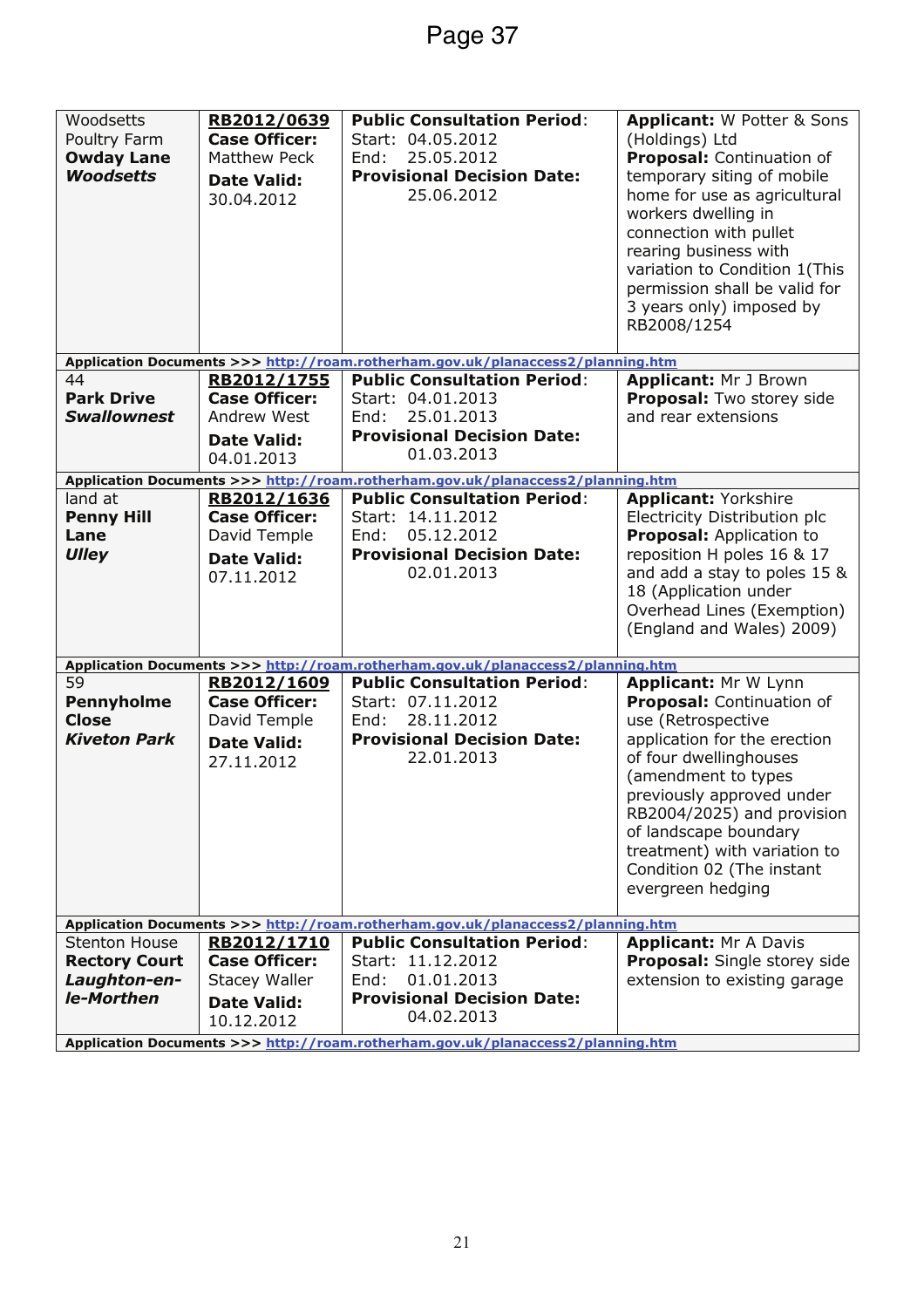| Woodsetts<br>Poultry Farm<br><b>Owday Lane</b><br><b>Woodsetts</b> | RB2012/0639<br><b>Case Officer:</b><br>Matthew Peck<br><b>Date Valid:</b><br>30.04.2012 | <b>Public Consultation Period:</b><br>Start: 04.05.2012<br>25.05.2012<br>End:<br><b>Provisional Decision Date:</b><br>25.06.2012 | <b>Applicant: W Potter &amp; Sons</b><br>(Holdings) Ltd<br>Proposal: Continuation of<br>temporary siting of mobile<br>home for use as agricultural<br>workers dwelling in<br>connection with pullet<br>rearing business with<br>variation to Condition 1(This<br>permission shall be valid for<br>3 years only) imposed by<br>RB2008/1254 |
|--------------------------------------------------------------------|-----------------------------------------------------------------------------------------|----------------------------------------------------------------------------------------------------------------------------------|-------------------------------------------------------------------------------------------------------------------------------------------------------------------------------------------------------------------------------------------------------------------------------------------------------------------------------------------|
|                                                                    |                                                                                         | Application Documents >>> http://roam.rotherham.gov.uk/planaccess2/planning.htm                                                  |                                                                                                                                                                                                                                                                                                                                           |
| 44                                                                 | RB2012/1755                                                                             | <b>Public Consultation Period:</b>                                                                                               | <b>Applicant: Mr J Brown</b>                                                                                                                                                                                                                                                                                                              |
| <b>Park Drive</b>                                                  | <b>Case Officer:</b>                                                                    | Start: 04.01.2013                                                                                                                | Proposal: Two storey side                                                                                                                                                                                                                                                                                                                 |
| <b>Swallownest</b>                                                 | Andrew West                                                                             | 25.01.2013<br>End:                                                                                                               | and rear extensions                                                                                                                                                                                                                                                                                                                       |
|                                                                    | <b>Date Valid:</b>                                                                      | <b>Provisional Decision Date:</b>                                                                                                |                                                                                                                                                                                                                                                                                                                                           |
|                                                                    | 04.01.2013                                                                              | 01.03.2013                                                                                                                       |                                                                                                                                                                                                                                                                                                                                           |
|                                                                    |                                                                                         | Application Documents >>> http://roam.rotherham.gov.uk/planaccess2/planning.htm                                                  |                                                                                                                                                                                                                                                                                                                                           |
| land at                                                            | RB2012/1636                                                                             | <b>Public Consultation Period:</b>                                                                                               | <b>Applicant: Yorkshire</b>                                                                                                                                                                                                                                                                                                               |
| <b>Penny Hill</b>                                                  | <b>Case Officer:</b>                                                                    | Start: 14.11.2012                                                                                                                | Electricity Distribution plc                                                                                                                                                                                                                                                                                                              |
| Lane                                                               | David Temple                                                                            | 05.12.2012<br>End:                                                                                                               | <b>Proposal: Application to</b>                                                                                                                                                                                                                                                                                                           |
| <b>Ulley</b>                                                       | <b>Date Valid:</b>                                                                      | <b>Provisional Decision Date:</b>                                                                                                | reposition H poles 16 & 17                                                                                                                                                                                                                                                                                                                |
|                                                                    | 07.11.2012                                                                              | 02.01.2013                                                                                                                       | and add a stay to poles 15 &                                                                                                                                                                                                                                                                                                              |
|                                                                    |                                                                                         |                                                                                                                                  | 18 (Application under                                                                                                                                                                                                                                                                                                                     |
|                                                                    |                                                                                         |                                                                                                                                  | Overhead Lines (Exemption)                                                                                                                                                                                                                                                                                                                |
|                                                                    |                                                                                         |                                                                                                                                  | (England and Wales) 2009)                                                                                                                                                                                                                                                                                                                 |
|                                                                    |                                                                                         | Application Documents >>> http://roam.rotherham.gov.uk/planaccess2/planning.htm                                                  |                                                                                                                                                                                                                                                                                                                                           |
| 59                                                                 | RB2012/1609                                                                             | <b>Public Consultation Period:</b>                                                                                               | <b>Applicant: Mr W Lynn</b>                                                                                                                                                                                                                                                                                                               |
| <b>Pennyholme</b>                                                  | <b>Case Officer:</b>                                                                    | Start: 07.11.2012                                                                                                                | Proposal: Continuation of                                                                                                                                                                                                                                                                                                                 |
| <b>Close</b>                                                       | David Temple                                                                            | End:<br>28.11.2012                                                                                                               | use (Retrospective                                                                                                                                                                                                                                                                                                                        |
| <b>Kiveton Park</b>                                                | <b>Date Valid:</b>                                                                      | <b>Provisional Decision Date:</b>                                                                                                | application for the erection                                                                                                                                                                                                                                                                                                              |
|                                                                    | 27.11.2012                                                                              | 22.01.2013                                                                                                                       | of four dwellinghouses                                                                                                                                                                                                                                                                                                                    |
|                                                                    |                                                                                         |                                                                                                                                  | (amendment to types                                                                                                                                                                                                                                                                                                                       |
|                                                                    |                                                                                         |                                                                                                                                  | previously approved under                                                                                                                                                                                                                                                                                                                 |
|                                                                    |                                                                                         |                                                                                                                                  | RB2004/2025) and provision                                                                                                                                                                                                                                                                                                                |
|                                                                    |                                                                                         |                                                                                                                                  | of landscape boundary                                                                                                                                                                                                                                                                                                                     |
|                                                                    |                                                                                         |                                                                                                                                  | treatment) with variation to                                                                                                                                                                                                                                                                                                              |
|                                                                    |                                                                                         |                                                                                                                                  | Condition 02 (The instant                                                                                                                                                                                                                                                                                                                 |
|                                                                    |                                                                                         |                                                                                                                                  | evergreen hedging                                                                                                                                                                                                                                                                                                                         |
|                                                                    |                                                                                         |                                                                                                                                  |                                                                                                                                                                                                                                                                                                                                           |
| <b>Stenton House</b>                                               | RB2012/1710                                                                             | Application Documents >>> http://roam.rotherham.gov.uk/planaccess2/planning.htm<br><b>Public Consultation Period:</b>            | <b>Applicant: Mr A Davis</b>                                                                                                                                                                                                                                                                                                              |
| <b>Rectory Court</b>                                               | <b>Case Officer:</b>                                                                    | Start: 11.12.2012                                                                                                                | Proposal: Single storey side                                                                                                                                                                                                                                                                                                              |
| Laughton-en-                                                       | Stacey Waller                                                                           | End:<br>01.01.2013                                                                                                               | extension to existing garage                                                                                                                                                                                                                                                                                                              |
| le-Morthen                                                         |                                                                                         | <b>Provisional Decision Date:</b>                                                                                                |                                                                                                                                                                                                                                                                                                                                           |
|                                                                    | <b>Date Valid:</b>                                                                      | 04.02.2013                                                                                                                       |                                                                                                                                                                                                                                                                                                                                           |
|                                                                    | 10.12.2012                                                                              |                                                                                                                                  |                                                                                                                                                                                                                                                                                                                                           |
|                                                                    |                                                                                         | Application Documents >>> http://roam.rotherham.gov.uk/planaccess2/planning.htm                                                  |                                                                                                                                                                                                                                                                                                                                           |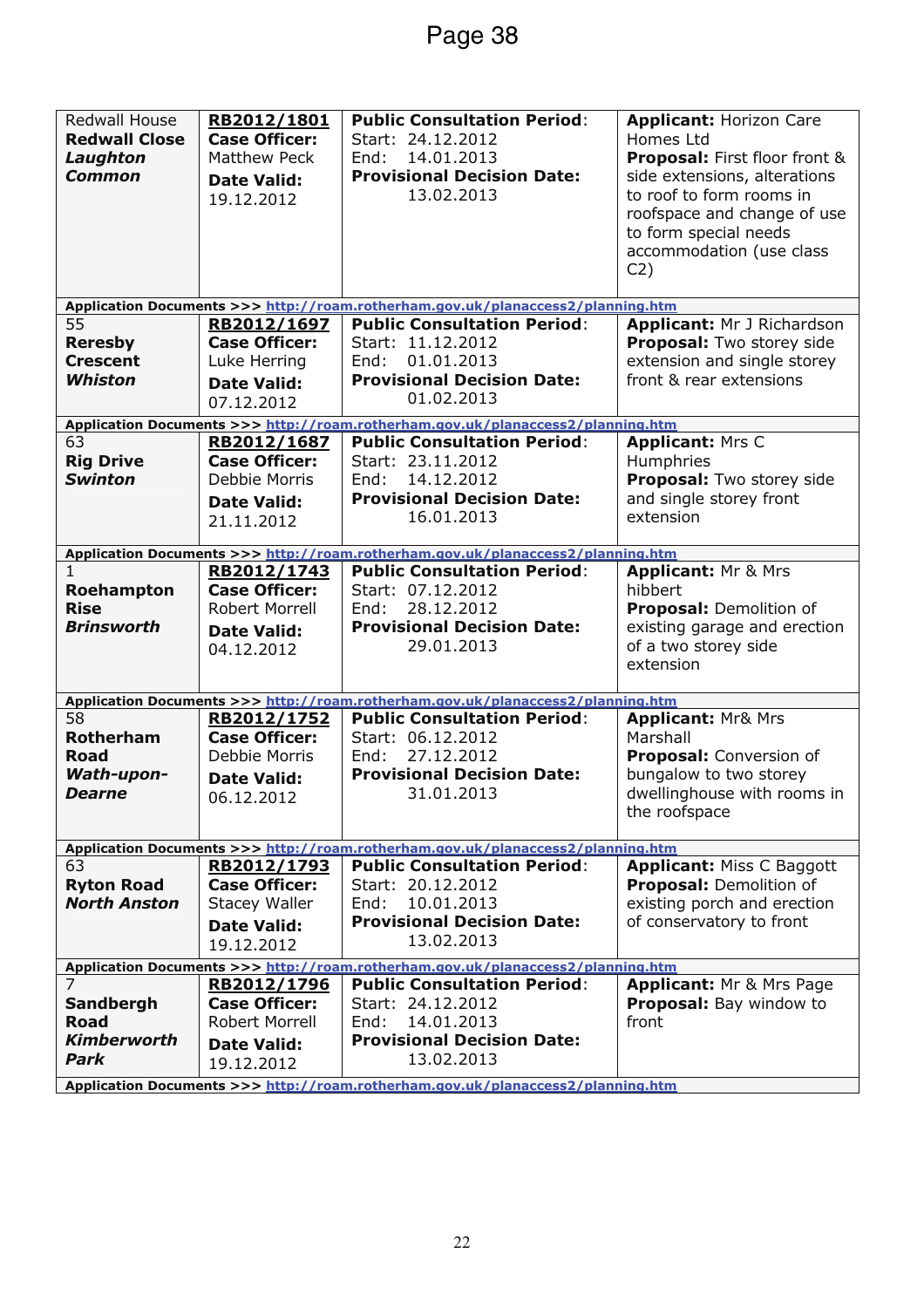| <b>Redwall House</b><br><b>Redwall Close</b><br>Laughton<br><b>Common</b> | RB2012/1801<br><b>Case Officer:</b><br>Matthew Peck<br><b>Date Valid:</b><br>19.12.2012 | <b>Public Consultation Period:</b><br>Start: 24.12.2012<br>14.01.2013<br>End:<br><b>Provisional Decision Date:</b><br>13.02.2013 | <b>Applicant: Horizon Care</b><br>Homes Ltd<br><b>Proposal:</b> First floor front &<br>side extensions, alterations<br>to roof to form rooms in<br>roofspace and change of use<br>to form special needs<br>accommodation (use class<br>C2) |
|---------------------------------------------------------------------------|-----------------------------------------------------------------------------------------|----------------------------------------------------------------------------------------------------------------------------------|--------------------------------------------------------------------------------------------------------------------------------------------------------------------------------------------------------------------------------------------|
| 55                                                                        |                                                                                         | Application Documents >>> http://roam.rotherham.gov.uk/planaccess2/planning.htm                                                  |                                                                                                                                                                                                                                            |
|                                                                           | RB2012/1697                                                                             | <b>Public Consultation Period:</b>                                                                                               | Applicant: Mr J Richardson                                                                                                                                                                                                                 |
| <b>Reresby</b>                                                            | <b>Case Officer:</b>                                                                    | Start: 11.12.2012                                                                                                                | Proposal: Two storey side                                                                                                                                                                                                                  |
| <b>Crescent</b><br>Whiston                                                | Luke Herring                                                                            | 01.01.2013<br>End:                                                                                                               | extension and single storey<br>front & rear extensions                                                                                                                                                                                     |
|                                                                           | <b>Date Valid:</b>                                                                      | <b>Provisional Decision Date:</b><br>01.02.2013                                                                                  |                                                                                                                                                                                                                                            |
|                                                                           | 07.12.2012                                                                              |                                                                                                                                  |                                                                                                                                                                                                                                            |
|                                                                           |                                                                                         | Application Documents >>> http://roam.rotherham.gov.uk/planaccess2/planning.htm                                                  |                                                                                                                                                                                                                                            |
| 63                                                                        | RB2012/1687                                                                             | <b>Public Consultation Period:</b>                                                                                               | <b>Applicant: Mrs C</b>                                                                                                                                                                                                                    |
| <b>Rig Drive</b>                                                          | <b>Case Officer:</b>                                                                    | Start: 23.11.2012                                                                                                                | Humphries                                                                                                                                                                                                                                  |
| <b>Swinton</b>                                                            | Debbie Morris                                                                           | 14.12.2012<br>End:                                                                                                               | Proposal: Two storey side                                                                                                                                                                                                                  |
|                                                                           | <b>Date Valid:</b>                                                                      | <b>Provisional Decision Date:</b>                                                                                                | and single storey front                                                                                                                                                                                                                    |
|                                                                           | 21.11.2012                                                                              | 16.01.2013                                                                                                                       | extension                                                                                                                                                                                                                                  |
|                                                                           |                                                                                         | Application Documents >>> http://roam.rotherham.gov.uk/planaccess2/planning.htm                                                  |                                                                                                                                                                                                                                            |
| 1                                                                         | RB2012/1743                                                                             | <b>Public Consultation Period:</b>                                                                                               | <b>Applicant: Mr &amp; Mrs</b>                                                                                                                                                                                                             |
| Roehampton                                                                | <b>Case Officer:</b>                                                                    | Start: 07.12.2012                                                                                                                | hibbert                                                                                                                                                                                                                                    |
| <b>Rise</b>                                                               | <b>Robert Morrell</b>                                                                   | 28.12.2012<br>End:                                                                                                               | Proposal: Demolition of                                                                                                                                                                                                                    |
| <b>Brinsworth</b>                                                         | <b>Date Valid:</b>                                                                      | <b>Provisional Decision Date:</b>                                                                                                | existing garage and erection                                                                                                                                                                                                               |
|                                                                           | 04.12.2012                                                                              | 29.01.2013                                                                                                                       | of a two storey side                                                                                                                                                                                                                       |
|                                                                           |                                                                                         |                                                                                                                                  | extension                                                                                                                                                                                                                                  |
|                                                                           |                                                                                         |                                                                                                                                  |                                                                                                                                                                                                                                            |
|                                                                           |                                                                                         | Application Documents >>> http://roam.rotherham.gov.uk/planaccess2/planning.htm                                                  |                                                                                                                                                                                                                                            |
| 58                                                                        | RB2012/1752                                                                             | <b>Public Consultation Period:</b>                                                                                               | <b>Applicant: Mr&amp; Mrs</b>                                                                                                                                                                                                              |
| Rotherham                                                                 | <b>Case Officer:</b>                                                                    | Start: 06.12.2012                                                                                                                | Marshall                                                                                                                                                                                                                                   |
| <b>Road</b>                                                               | Debbie Morris                                                                           | 27.12.2012<br>End:<br><b>Provisional Decision Date:</b>                                                                          | Proposal: Conversion of                                                                                                                                                                                                                    |
| <b>Wath-upon-</b><br><b>Dearne</b>                                        | <b>Date Valid:</b>                                                                      | 31.01.2013                                                                                                                       | bungalow to two storey<br>dwellinghouse with rooms in                                                                                                                                                                                      |
|                                                                           | 06.12.2012                                                                              |                                                                                                                                  | the roofspace                                                                                                                                                                                                                              |
|                                                                           |                                                                                         |                                                                                                                                  |                                                                                                                                                                                                                                            |
|                                                                           |                                                                                         | Application Documents >>> http://roam.rotherham.gov.uk/planaccess2/planning.htm                                                  |                                                                                                                                                                                                                                            |
| 63                                                                        | RB2012/1793                                                                             | <b>Public Consultation Period:</b>                                                                                               | <b>Applicant: Miss C Baggott</b>                                                                                                                                                                                                           |
| <b>Ryton Road</b>                                                         | <b>Case Officer:</b>                                                                    | Start: 20.12.2012                                                                                                                | Proposal: Demolition of                                                                                                                                                                                                                    |
| <b>North Anston</b>                                                       | Stacey Waller                                                                           | 10.01.2013<br>End:                                                                                                               | existing porch and erection                                                                                                                                                                                                                |
|                                                                           | <b>Date Valid:</b>                                                                      | <b>Provisional Decision Date:</b>                                                                                                | of conservatory to front                                                                                                                                                                                                                   |
|                                                                           | 19.12.2012                                                                              | 13.02.2013                                                                                                                       |                                                                                                                                                                                                                                            |
|                                                                           |                                                                                         | Application Documents >>> http://roam.rotherham.gov.uk/planaccess2/planning.htm                                                  |                                                                                                                                                                                                                                            |
| 7                                                                         | RB2012/1796                                                                             | <b>Public Consultation Period:</b>                                                                                               | Applicant: Mr & Mrs Page                                                                                                                                                                                                                   |
| <b>Sandbergh</b>                                                          | <b>Case Officer:</b>                                                                    | Start: 24.12.2012                                                                                                                | <b>Proposal:</b> Bay window to                                                                                                                                                                                                             |
| <b>Road</b>                                                               | Robert Morrell                                                                          | 14.01.2013<br>End:                                                                                                               | front                                                                                                                                                                                                                                      |
| <b>Kimberworth</b>                                                        | <b>Date Valid:</b>                                                                      | <b>Provisional Decision Date:</b>                                                                                                |                                                                                                                                                                                                                                            |
| Park                                                                      | 19.12.2012                                                                              | 13.02.2013                                                                                                                       |                                                                                                                                                                                                                                            |
|                                                                           |                                                                                         | Application Documents >>> http://roam.rotherham.gov.uk/planaccess2/planning.htm                                                  |                                                                                                                                                                                                                                            |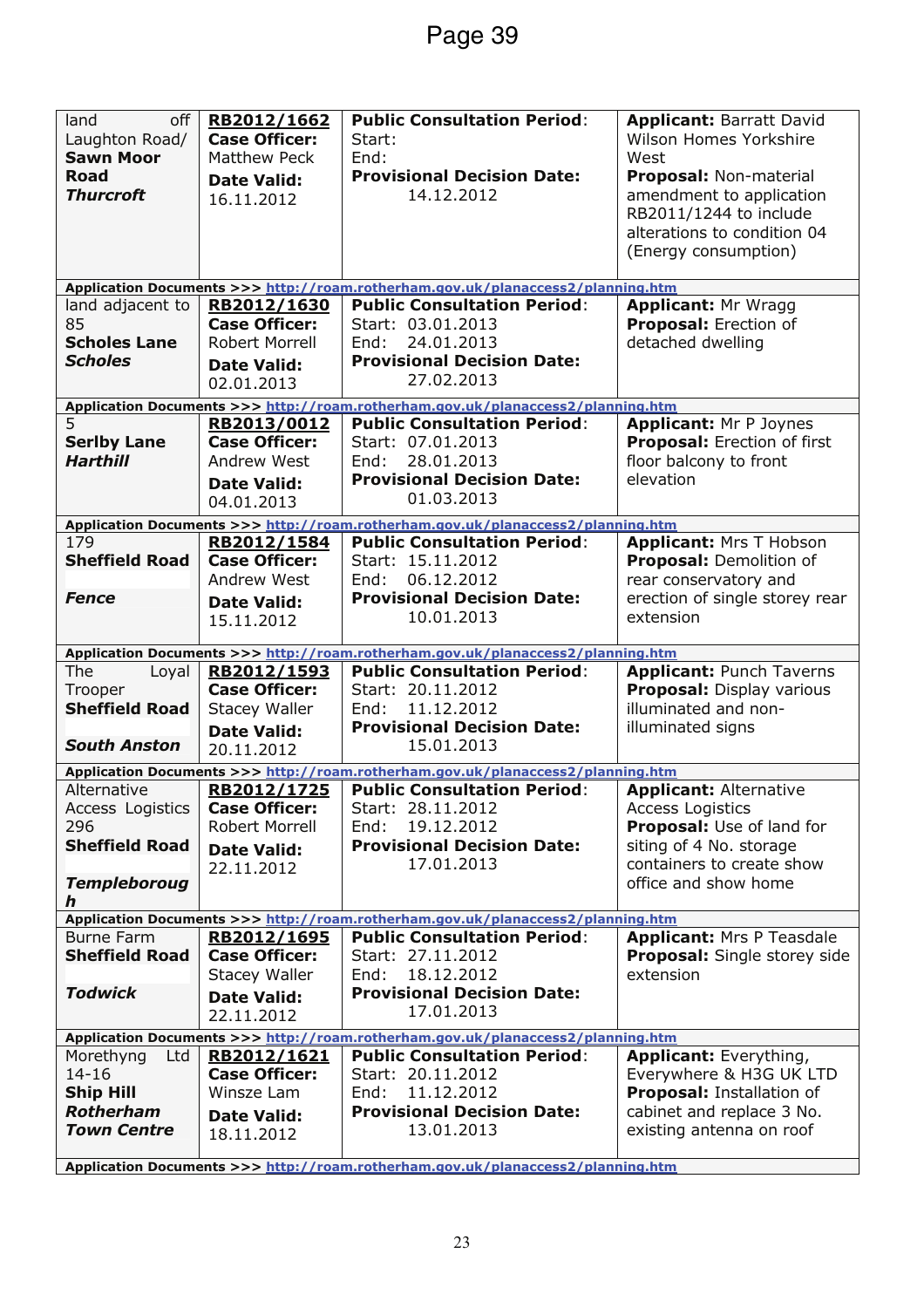| off<br>land<br>Laughton Road/<br><b>Sawn Moor</b><br><b>Road</b><br><b>Thurcroft</b> | RB2012/1662<br><b>Case Officer:</b><br>Matthew Peck<br><b>Date Valid:</b><br>16.11.2012 | <b>Public Consultation Period:</b><br>Start:<br>End:<br><b>Provisional Decision Date:</b><br>14.12.2012 | <b>Applicant: Barratt David</b><br>Wilson Homes Yorkshire<br>West<br>Proposal: Non-material<br>amendment to application<br>RB2011/1244 to include |
|--------------------------------------------------------------------------------------|-----------------------------------------------------------------------------------------|---------------------------------------------------------------------------------------------------------|---------------------------------------------------------------------------------------------------------------------------------------------------|
|                                                                                      |                                                                                         |                                                                                                         | alterations to condition 04<br>(Energy consumption)                                                                                               |
|                                                                                      |                                                                                         | Application Documents >>> http://roam.rotherham.gov.uk/planaccess2/planning.htm                         |                                                                                                                                                   |
| land adjacent to                                                                     | RB2012/1630                                                                             | <b>Public Consultation Period:</b>                                                                      | <b>Applicant: Mr Wragg</b>                                                                                                                        |
| 85                                                                                   | <b>Case Officer:</b>                                                                    | Start: 03.01.2013                                                                                       | Proposal: Erection of                                                                                                                             |
| <b>Scholes Lane</b>                                                                  | <b>Robert Morrell</b>                                                                   | 24.01.2013<br>End:                                                                                      | detached dwelling                                                                                                                                 |
| <b>Scholes</b>                                                                       | <b>Date Valid:</b>                                                                      | <b>Provisional Decision Date:</b>                                                                       |                                                                                                                                                   |
|                                                                                      | 02.01.2013                                                                              | 27.02.2013                                                                                              |                                                                                                                                                   |
|                                                                                      |                                                                                         | Application Documents >>> http://roam.rotherham.gov.uk/planaccess2/planning.htm                         |                                                                                                                                                   |
| 5                                                                                    | RB2013/0012                                                                             | <b>Public Consultation Period:</b>                                                                      | <b>Applicant: Mr P Joynes</b>                                                                                                                     |
| <b>Serlby Lane</b>                                                                   | <b>Case Officer:</b>                                                                    | Start: 07.01.2013                                                                                       | Proposal: Erection of first                                                                                                                       |
| <b>Harthill</b>                                                                      | Andrew West                                                                             | End:<br>28.01.2013                                                                                      | floor balcony to front                                                                                                                            |
|                                                                                      | <b>Date Valid:</b>                                                                      | <b>Provisional Decision Date:</b>                                                                       | elevation                                                                                                                                         |
|                                                                                      | 04.01.2013                                                                              | 01.03.2013                                                                                              |                                                                                                                                                   |
|                                                                                      |                                                                                         | Application Documents >>> http://roam.rotherham.gov.uk/planaccess2/planning.htm                         |                                                                                                                                                   |
| 179                                                                                  | RB2012/1584                                                                             | <b>Public Consultation Period:</b>                                                                      | <b>Applicant: Mrs T Hobson</b>                                                                                                                    |
| <b>Sheffield Road</b>                                                                | <b>Case Officer:</b>                                                                    | Start: 15.11.2012                                                                                       | Proposal: Demolition of                                                                                                                           |
|                                                                                      | Andrew West                                                                             | 06.12.2012<br>End:                                                                                      | rear conservatory and                                                                                                                             |
| <b>Fence</b>                                                                         | <b>Date Valid:</b>                                                                      | <b>Provisional Decision Date:</b>                                                                       | erection of single storey rear                                                                                                                    |
|                                                                                      | 15.11.2012                                                                              | 10.01.2013                                                                                              | extension                                                                                                                                         |
|                                                                                      |                                                                                         | Application Documents >>> http://roam.rotherham.gov.uk/planaccess2/planning.htm                         |                                                                                                                                                   |
|                                                                                      |                                                                                         |                                                                                                         |                                                                                                                                                   |
|                                                                                      |                                                                                         |                                                                                                         |                                                                                                                                                   |
| The<br>Loyal                                                                         | RB2012/1593                                                                             | <b>Public Consultation Period:</b>                                                                      | <b>Applicant: Punch Taverns</b>                                                                                                                   |
| Trooper                                                                              | <b>Case Officer:</b>                                                                    | Start: 20.11.2012<br>End:                                                                               | <b>Proposal:</b> Display various                                                                                                                  |
| <b>Sheffield Road</b>                                                                | <b>Stacey Waller</b>                                                                    | 11.12.2012<br><b>Provisional Decision Date:</b>                                                         | illuminated and non-<br>illuminated signs                                                                                                         |
| <b>South Anston</b>                                                                  | <b>Date Valid:</b>                                                                      | 15.01.2013                                                                                              |                                                                                                                                                   |
|                                                                                      | 20.11.2012                                                                              |                                                                                                         |                                                                                                                                                   |
|                                                                                      |                                                                                         | Application Documents >>> http://roam.rotherham.gov.uk/planaccess2/planning.htm                         |                                                                                                                                                   |
| Alternative                                                                          | RB2012/1725                                                                             | <b>Public Consultation Period:</b>                                                                      | <b>Applicant: Alternative</b>                                                                                                                     |
| <b>Access Logistics</b>                                                              | <b>Case Officer:</b>                                                                    | Start: 28.11.2012                                                                                       | <b>Access Logistics</b>                                                                                                                           |
| 296<br><b>Sheffield Road</b>                                                         | Robert Morrell                                                                          | 19.12.2012<br>End:                                                                                      | Proposal: Use of land for                                                                                                                         |
|                                                                                      | <b>Date Valid:</b>                                                                      | <b>Provisional Decision Date:</b><br>17.01.2013                                                         | siting of 4 No. storage<br>containers to create show                                                                                              |
| <b>Templeboroug</b>                                                                  | 22.11.2012                                                                              |                                                                                                         | office and show home                                                                                                                              |
| h                                                                                    |                                                                                         |                                                                                                         |                                                                                                                                                   |
|                                                                                      |                                                                                         | Application Documents >>> http://roam.rotherham.gov.uk/planaccess2/planning.htm                         |                                                                                                                                                   |
| <b>Burne Farm</b>                                                                    | RB2012/1695                                                                             | <b>Public Consultation Period:</b>                                                                      | <b>Applicant: Mrs P Teasdale</b>                                                                                                                  |
| <b>Sheffield Road</b>                                                                | <b>Case Officer:</b>                                                                    | Start: 27.11.2012                                                                                       | Proposal: Single storey side                                                                                                                      |
|                                                                                      | <b>Stacey Waller</b>                                                                    | 18.12.2012<br>End:                                                                                      | extension                                                                                                                                         |
| <b>Todwick</b>                                                                       | <b>Date Valid:</b>                                                                      | <b>Provisional Decision Date:</b>                                                                       |                                                                                                                                                   |
|                                                                                      | 22.11.2012                                                                              | 17.01.2013                                                                                              |                                                                                                                                                   |
|                                                                                      |                                                                                         | Application Documents >>> http://roam.rotherham.gov.uk/planaccess2/planning.htm                         |                                                                                                                                                   |
| Morethyng<br>Ltd                                                                     | RB2012/1621                                                                             | <b>Public Consultation Period:</b>                                                                      | <b>Applicant: Everything,</b>                                                                                                                     |
| $14 - 16$                                                                            | <b>Case Officer:</b>                                                                    | Start: 20.11.2012                                                                                       | Everywhere & H3G UK LTD                                                                                                                           |
| <b>Ship Hill</b>                                                                     | Winsze Lam                                                                              | 11.12.2012<br>End:                                                                                      | Proposal: Installation of                                                                                                                         |
| Rotherham                                                                            | <b>Date Valid:</b>                                                                      | <b>Provisional Decision Date:</b>                                                                       | cabinet and replace 3 No.                                                                                                                         |
| <b>Town Centre</b>                                                                   | 18.11.2012                                                                              | 13.01.2013                                                                                              | existing antenna on roof                                                                                                                          |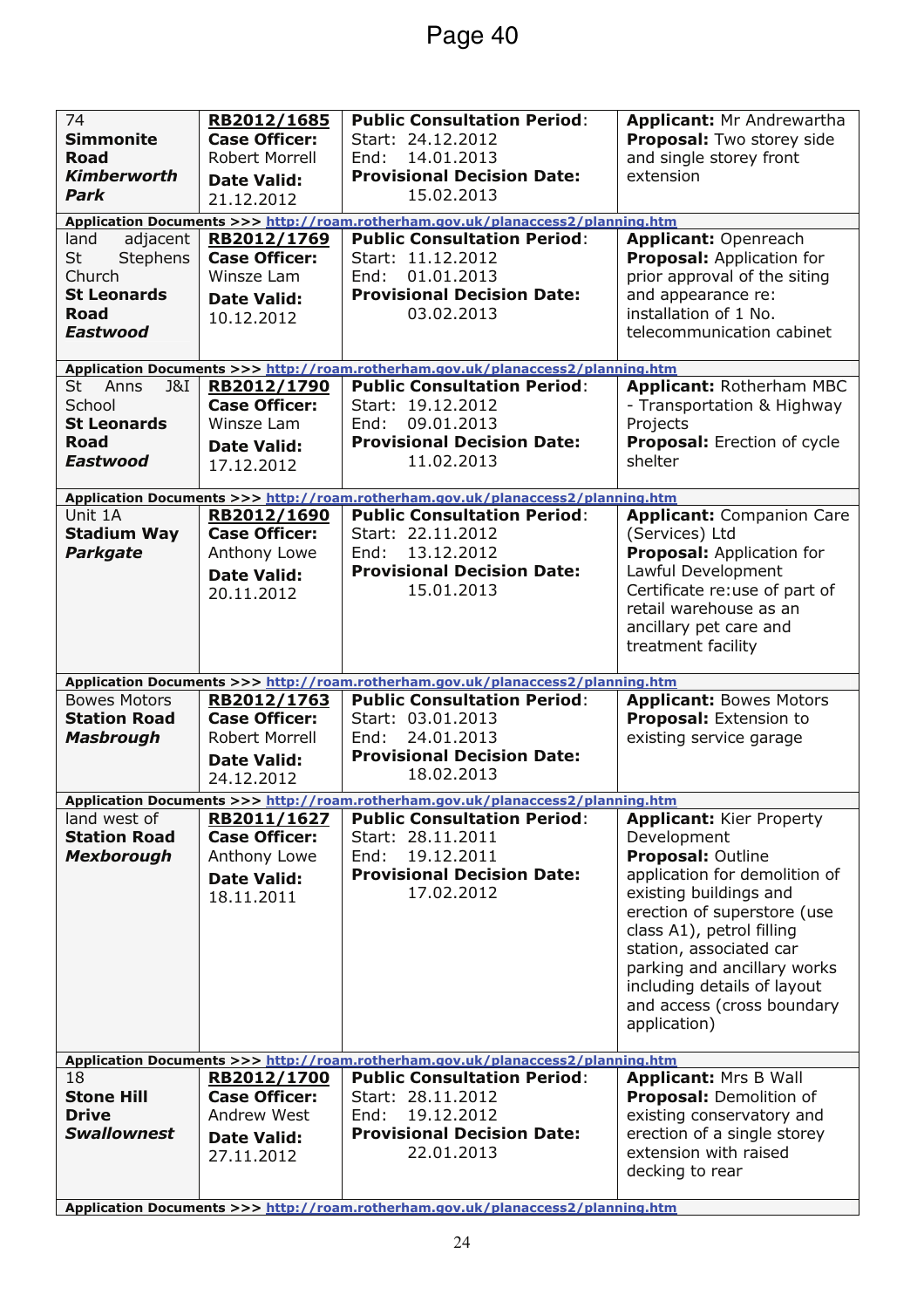| 74<br><b>Simmonite</b><br><b>Road</b><br><b>Kimberworth</b><br>Park                                         | RB2012/1685<br><b>Case Officer:</b><br>Robert Morrell<br><b>Date Valid:</b><br>21.12.2012        | <b>Public Consultation Period:</b><br>Start: 24.12.2012<br>14.01.2013<br>End:<br><b>Provisional Decision Date:</b><br>15.02.2013                                                                                                                                                                       | <b>Applicant: Mr Andrewartha</b><br>Proposal: Two storey side<br>and single storey front<br>extension                                                                                                                                                                                                                                    |
|-------------------------------------------------------------------------------------------------------------|--------------------------------------------------------------------------------------------------|--------------------------------------------------------------------------------------------------------------------------------------------------------------------------------------------------------------------------------------------------------------------------------------------------------|------------------------------------------------------------------------------------------------------------------------------------------------------------------------------------------------------------------------------------------------------------------------------------------------------------------------------------------|
|                                                                                                             |                                                                                                  | Application Documents >>> http://roam.rotherham.gov.uk/planaccess2/planning.htm                                                                                                                                                                                                                        |                                                                                                                                                                                                                                                                                                                                          |
| adjacent<br>land<br>Stephens<br><b>St</b><br>Church<br><b>St Leonards</b><br><b>Road</b><br><b>Eastwood</b> | RB2012/1769<br><b>Case Officer:</b><br>Winsze Lam<br><b>Date Valid:</b><br>10.12.2012            | <b>Public Consultation Period:</b><br>Start: 11.12.2012<br>End:<br>01.01.2013<br><b>Provisional Decision Date:</b><br>03.02.2013                                                                                                                                                                       | <b>Applicant: Openreach</b><br>Proposal: Application for<br>prior approval of the siting<br>and appearance re:<br>installation of 1 No.<br>telecommunication cabinet                                                                                                                                                                     |
|                                                                                                             |                                                                                                  |                                                                                                                                                                                                                                                                                                        |                                                                                                                                                                                                                                                                                                                                          |
|                                                                                                             |                                                                                                  | Application Documents >>> http://roam.rotherham.gov.uk/planaccess2/planning.htm                                                                                                                                                                                                                        |                                                                                                                                                                                                                                                                                                                                          |
| <b>St</b><br>Anns<br>J&I<br>School<br><b>St Leonards</b><br><b>Road</b>                                     | RB2012/1790<br><b>Case Officer:</b><br>Winsze Lam<br><b>Date Valid:</b>                          | <b>Public Consultation Period:</b><br>Start: 19.12.2012<br>09.01.2013<br>End:<br><b>Provisional Decision Date:</b>                                                                                                                                                                                     | <b>Applicant: Rotherham MBC</b><br>- Transportation & Highway<br>Projects<br>Proposal: Erection of cycle                                                                                                                                                                                                                                 |
| <b>Eastwood</b>                                                                                             | 17.12.2012                                                                                       | 11.02.2013                                                                                                                                                                                                                                                                                             | shelter                                                                                                                                                                                                                                                                                                                                  |
|                                                                                                             |                                                                                                  | Application Documents >>> http://roam.rotherham.gov.uk/planaccess2/planning.htm                                                                                                                                                                                                                        |                                                                                                                                                                                                                                                                                                                                          |
| Unit 1A<br><b>Stadium Way</b><br><b>Parkgate</b>                                                            | RB2012/1690<br><b>Case Officer:</b><br>Anthony Lowe<br><b>Date Valid:</b><br>20.11.2012          | <b>Public Consultation Period:</b><br>Start: 22.11.2012<br>13.12.2012<br>End:<br><b>Provisional Decision Date:</b><br>15.01.2013                                                                                                                                                                       | <b>Applicant: Companion Care</b><br>(Services) Ltd<br>Proposal: Application for<br>Lawful Development<br>Certificate re:use of part of<br>retail warehouse as an<br>ancillary pet care and<br>treatment facility                                                                                                                         |
|                                                                                                             |                                                                                                  |                                                                                                                                                                                                                                                                                                        |                                                                                                                                                                                                                                                                                                                                          |
|                                                                                                             |                                                                                                  | Application Documents >>> http://roam.rotherham.gov.uk/planaccess2/planning.htm                                                                                                                                                                                                                        |                                                                                                                                                                                                                                                                                                                                          |
| <b>Bowes Motors</b><br><b>Station Road</b><br><b>Masbrough</b>                                              | RB2012/1763<br><b>Case Officer:</b><br><b>Robert Morrell</b><br><b>Date Valid:</b><br>24.12.2012 | <b>Public Consultation Period:</b><br>Start: 03.01.2013<br>24.01.2013<br>End:<br><b>Provisional Decision Date:</b><br>18.02.2013                                                                                                                                                                       | <b>Applicant: Bowes Motors</b><br><b>Proposal:</b> Extension to<br>existing service garage                                                                                                                                                                                                                                               |
|                                                                                                             |                                                                                                  |                                                                                                                                                                                                                                                                                                        |                                                                                                                                                                                                                                                                                                                                          |
| land west of<br><b>Station Road</b><br><b>Mexborough</b>                                                    | RB2011/1627<br><b>Case Officer:</b><br>Anthony Lowe<br><b>Date Valid:</b><br>18.11.2011          | Application Documents >>> http://roam.rotherham.gov.uk/planaccess2/planning.htm<br><b>Public Consultation Period:</b><br>Start: 28.11.2011<br>19.12.2011<br>End:<br><b>Provisional Decision Date:</b><br>17.02.2012<br>Application Documents >>> http://roam.rotherham.gov.uk/planaccess2/planning.htm | <b>Applicant: Kier Property</b><br>Development<br><b>Proposal: Outline</b><br>application for demolition of<br>existing buildings and<br>erection of superstore (use<br>class A1), petrol filling<br>station, associated car<br>parking and ancillary works<br>including details of layout<br>and access (cross boundary<br>application) |
| 18                                                                                                          | RB2012/1700                                                                                      | <b>Public Consultation Period:</b>                                                                                                                                                                                                                                                                     | <b>Applicant: Mrs B Wall</b>                                                                                                                                                                                                                                                                                                             |
| <b>Stone Hill</b><br><b>Drive</b><br><b>Swallownest</b>                                                     | <b>Case Officer:</b><br>Andrew West<br><b>Date Valid:</b><br>27.11.2012                          | Start: 28.11.2012<br>19.12.2012<br>End:<br><b>Provisional Decision Date:</b><br>22.01.2013                                                                                                                                                                                                             | Proposal: Demolition of<br>existing conservatory and<br>erection of a single storey<br>extension with raised<br>decking to rear                                                                                                                                                                                                          |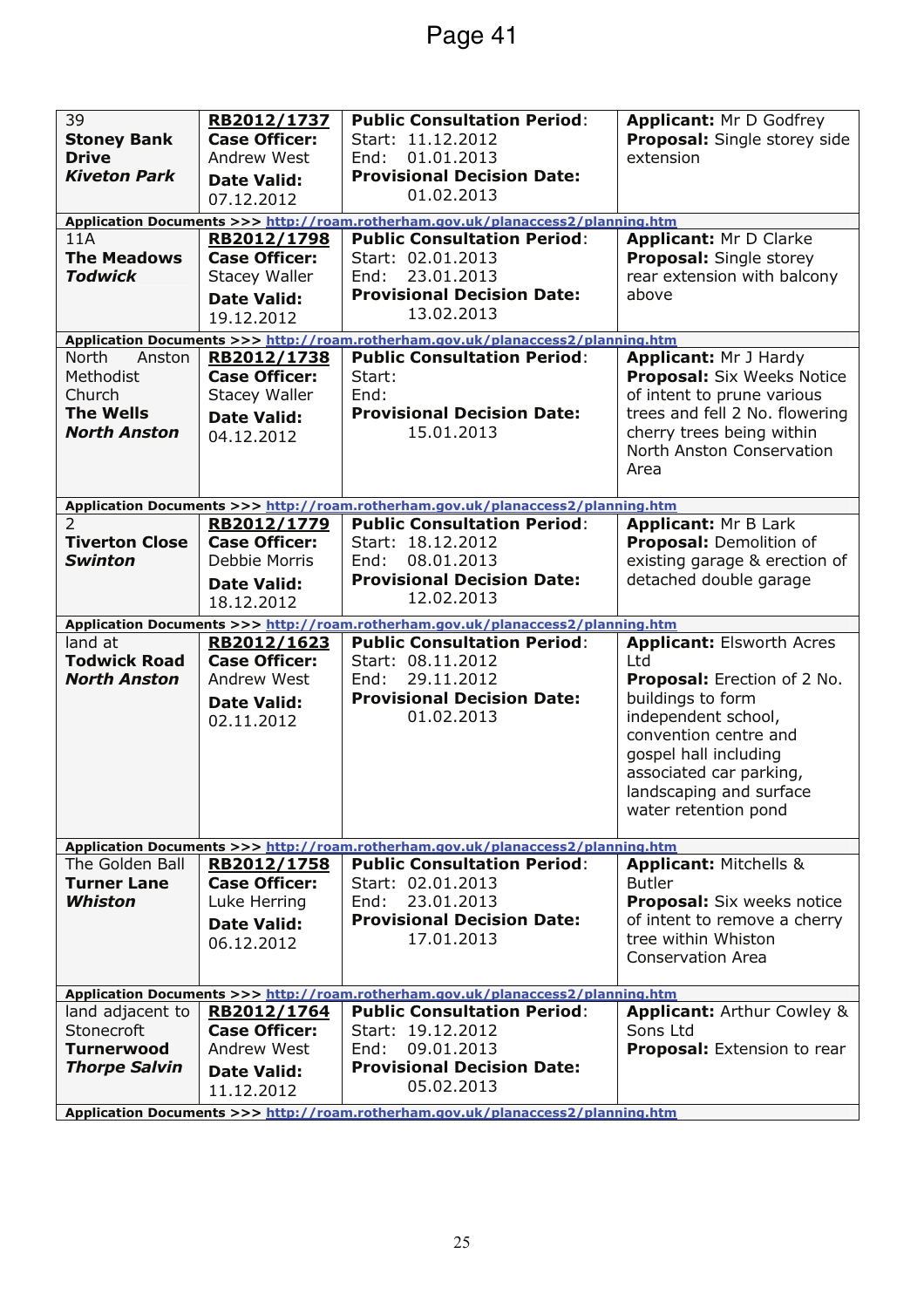| 39<br><b>Stoney Bank</b><br><b>Drive</b><br><b>Kiveton Park</b>                          | RB2012/1737<br><b>Case Officer:</b><br>Andrew West<br><b>Date Valid:</b>                        | <b>Public Consultation Period:</b><br>Start: 11.12.2012<br>01.01.2013<br>End:<br><b>Provisional Decision Date:</b><br>01.02.2013                                                                                    | <b>Applicant: Mr D Godfrey</b><br>Proposal: Single storey side<br>extension                                                                                                                                                                        |
|------------------------------------------------------------------------------------------|-------------------------------------------------------------------------------------------------|---------------------------------------------------------------------------------------------------------------------------------------------------------------------------------------------------------------------|----------------------------------------------------------------------------------------------------------------------------------------------------------------------------------------------------------------------------------------------------|
|                                                                                          | 07.12.2012                                                                                      |                                                                                                                                                                                                                     |                                                                                                                                                                                                                                                    |
| 11A<br><b>The Meadows</b><br><b>Todwick</b>                                              | RB2012/1798<br><b>Case Officer:</b><br><b>Stacey Waller</b><br><b>Date Valid:</b><br>19.12.2012 | Application Documents >>> http://roam.rotherham.gov.uk/planaccess2/planning.htm<br><b>Public Consultation Period:</b><br>Start: 02.01.2013<br>23.01.2013<br>End:<br><b>Provisional Decision Date:</b><br>13.02.2013 | <b>Applicant: Mr D Clarke</b><br><b>Proposal: Single storey</b><br>rear extension with balcony<br>above                                                                                                                                            |
|                                                                                          |                                                                                                 | Application Documents >>> http://roam.rotherham.gov.uk/planaccess2/planning.htm                                                                                                                                     |                                                                                                                                                                                                                                                    |
| <b>North</b><br>Anston<br>Methodist<br>Church<br><b>The Wells</b><br><b>North Anston</b> | RB2012/1738<br><b>Case Officer:</b><br><b>Stacey Waller</b><br><b>Date Valid:</b><br>04.12.2012 | <b>Public Consultation Period:</b><br>Start:<br>End:<br><b>Provisional Decision Date:</b><br>15.01.2013                                                                                                             | <b>Applicant: Mr J Hardy</b><br><b>Proposal:</b> Six Weeks Notice<br>of intent to prune various<br>trees and fell 2 No. flowering<br>cherry trees being within<br>North Anston Conservation<br>Area                                                |
|                                                                                          |                                                                                                 | Application Documents >>> http://roam.rotherham.gov.uk/planaccess2/planning.htm                                                                                                                                     |                                                                                                                                                                                                                                                    |
| <b>Tiverton Close</b><br><b>Swinton</b>                                                  | RB2012/1779<br><b>Case Officer:</b><br>Debbie Morris<br><b>Date Valid:</b><br>18.12.2012        | <b>Public Consultation Period:</b><br>Start: 18.12.2012<br>08.01.2013<br>End:<br><b>Provisional Decision Date:</b><br>12.02.2013                                                                                    | <b>Applicant: Mr B Lark</b><br>Proposal: Demolition of<br>existing garage & erection of<br>detached double garage                                                                                                                                  |
|                                                                                          |                                                                                                 | Application Documents >>> http://roam.rotherham.gov.uk/planaccess2/planning.htm                                                                                                                                     |                                                                                                                                                                                                                                                    |
| land at<br><b>Todwick Road</b><br><b>North Anston</b>                                    | RB2012/1623<br><b>Case Officer:</b><br>Andrew West<br><b>Date Valid:</b><br>02.11.2012          | <b>Public Consultation Period:</b><br>Start: 08.11.2012<br>29.11.2012<br>End:<br><b>Provisional Decision Date:</b><br>01.02.2013<br>Application Documents >>> http://roam.rotherham.gov.uk/planaccess2/planning.htm | <b>Applicant: Elsworth Acres</b><br>Ltd<br>Proposal: Erection of 2 No.<br>buildings to form<br>independent school,<br>convention centre and<br>gospel hall including<br>associated car parking,<br>landscaping and surface<br>water retention pond |
| The Golden Ball                                                                          | RB2012/1758                                                                                     | <b>Public Consultation Period:</b>                                                                                                                                                                                  | <b>Applicant: Mitchells &amp;</b>                                                                                                                                                                                                                  |
| <b>Turner Lane</b><br>Whiston                                                            | <b>Case Officer:</b><br>Luke Herring<br><b>Date Valid:</b><br>06.12.2012                        | Start: 02.01.2013<br>23.01.2013<br>End:<br><b>Provisional Decision Date:</b><br>17.01.2013                                                                                                                          | <b>Butler</b><br><b>Proposal:</b> Six weeks notice<br>of intent to remove a cherry<br>tree within Whiston<br><b>Conservation Area</b>                                                                                                              |
|                                                                                          |                                                                                                 | Application Documents >>> http://roam.rotherham.gov.uk/planaccess2/planning.htm                                                                                                                                     |                                                                                                                                                                                                                                                    |
| land adjacent to<br>Stonecroft<br><b>Turnerwood</b><br><b>Thorpe Salvin</b>              | RB2012/1764<br><b>Case Officer:</b><br>Andrew West<br><b>Date Valid:</b><br>11.12.2012          | <b>Public Consultation Period:</b><br>Start: 19.12.2012<br>09.01.2013<br>End:<br><b>Provisional Decision Date:</b><br>05.02.2013<br>Application Documents >>> http://roam.rotherham.gov.uk/planaccess2/planning.htm | <b>Applicant: Arthur Cowley &amp;</b><br>Sons Ltd<br>Proposal: Extension to rear                                                                                                                                                                   |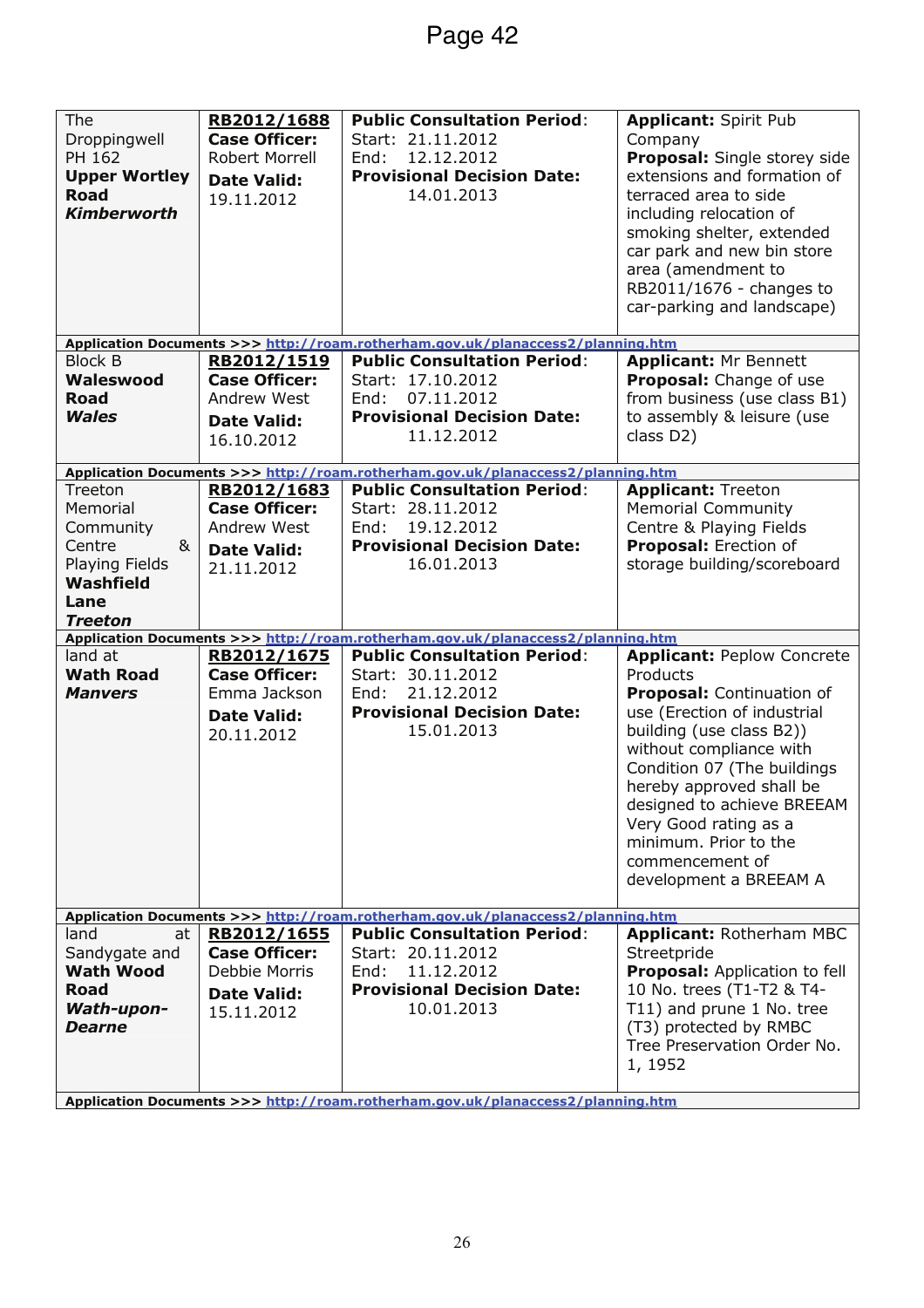| The<br>Droppingwell<br>PH 162<br><b>Upper Wortley</b><br><b>Road</b><br><b>Kimberworth</b>                                                                | RB2012/1688<br><b>Case Officer:</b><br>Robert Morrell<br><b>Date Valid:</b><br>19.11.2012                                                                                         | <b>Public Consultation Period:</b><br>Start: 21.11.2012<br>12.12.2012<br>End:<br><b>Provisional Decision Date:</b><br>14.01.2013                                                                                                                                                                                                                        | <b>Applicant: Spirit Pub</b><br>Company<br>Proposal: Single storey side<br>extensions and formation of<br>terraced area to side<br>including relocation of<br>smoking shelter, extended<br>car park and new bin store<br>area (amendment to<br>RB2011/1676 - changes to<br>car-parking and landscape)                                                                                                                                                                                                 |
|-----------------------------------------------------------------------------------------------------------------------------------------------------------|-----------------------------------------------------------------------------------------------------------------------------------------------------------------------------------|---------------------------------------------------------------------------------------------------------------------------------------------------------------------------------------------------------------------------------------------------------------------------------------------------------------------------------------------------------|-------------------------------------------------------------------------------------------------------------------------------------------------------------------------------------------------------------------------------------------------------------------------------------------------------------------------------------------------------------------------------------------------------------------------------------------------------------------------------------------------------|
| <b>Block B</b><br>Waleswood<br><b>Road</b><br>Wales                                                                                                       | RB2012/1519<br><b>Case Officer:</b><br>Andrew West<br><b>Date Valid:</b>                                                                                                          | Application Documents >>> http://roam.rotherham.gov.uk/planaccess2/planning.htm<br><b>Public Consultation Period:</b><br>Start: 17.10.2012<br>07.11.2012<br>End:<br><b>Provisional Decision Date:</b><br>11.12.2012                                                                                                                                     | <b>Applicant: Mr Bennett</b><br>Proposal: Change of use<br>from business (use class B1)<br>to assembly & leisure (use<br>class D2)                                                                                                                                                                                                                                                                                                                                                                    |
|                                                                                                                                                           | 16.10.2012                                                                                                                                                                        | Application Documents >>> http://roam.rotherham.gov.uk/planaccess2/planning.htm                                                                                                                                                                                                                                                                         |                                                                                                                                                                                                                                                                                                                                                                                                                                                                                                       |
| Treeton<br>Memorial<br>Community<br>Centre<br>&<br>Playing Fields<br>Washfield<br>Lane<br><b>Treeton</b><br>land at<br><b>Wath Road</b><br><b>Manvers</b> | RB2012/1683<br><b>Case Officer:</b><br>Andrew West<br><b>Date Valid:</b><br>21.11.2012<br>RB2012/1675<br><b>Case Officer:</b><br>Emma Jackson<br><b>Date Valid:</b><br>20.11.2012 | <b>Public Consultation Period:</b><br>Start: 28.11.2012<br>19.12.2012<br>End:<br><b>Provisional Decision Date:</b><br>16.01.2013<br>Application Documents >>> http://roam.rotherham.gov.uk/planaccess2/planning.htm<br><b>Public Consultation Period:</b><br>Start: 30.11.2012<br>21.12.2012<br>End:<br><b>Provisional Decision Date:</b><br>15.01.2013 | <b>Applicant: Treeton</b><br><b>Memorial Community</b><br>Centre & Playing Fields<br>Proposal: Erection of<br>storage building/scoreboard<br><b>Applicant: Peplow Concrete</b><br>Products<br>Proposal: Continuation of<br>use (Erection of industrial<br>building (use class B2))<br>without compliance with<br>Condition 07 (The buildings<br>hereby approved shall be<br>designed to achieve BREEAM<br>Very Good rating as a<br>minimum. Prior to the<br>commencement of<br>development a BREEAM A |
| land<br>at                                                                                                                                                | RB2012/1655                                                                                                                                                                       | Application Documents >>> http://roam.rotherham.gov.uk/planaccess2/planning.htm<br><b>Public Consultation Period:</b>                                                                                                                                                                                                                                   | Applicant: Rotherham MBC                                                                                                                                                                                                                                                                                                                                                                                                                                                                              |
| Sandygate and<br><b>Wath Wood</b><br><b>Road</b><br><b>Wath-upon-</b><br><b>Dearne</b>                                                                    | <b>Case Officer:</b><br>Debbie Morris<br><b>Date Valid:</b><br>15.11.2012                                                                                                         | Start: 20.11.2012<br>11.12.2012<br>End:<br><b>Provisional Decision Date:</b><br>10.01.2013<br>Application Documents >>> http://roam.rotherham.gov.uk/planaccess2/planning.htm                                                                                                                                                                           | Streetpride<br><b>Proposal:</b> Application to fell<br>10 No. trees (T1-T2 & T4-<br>T11) and prune 1 No. tree<br>(T3) protected by RMBC<br>Tree Preservation Order No.<br>1, 1952                                                                                                                                                                                                                                                                                                                     |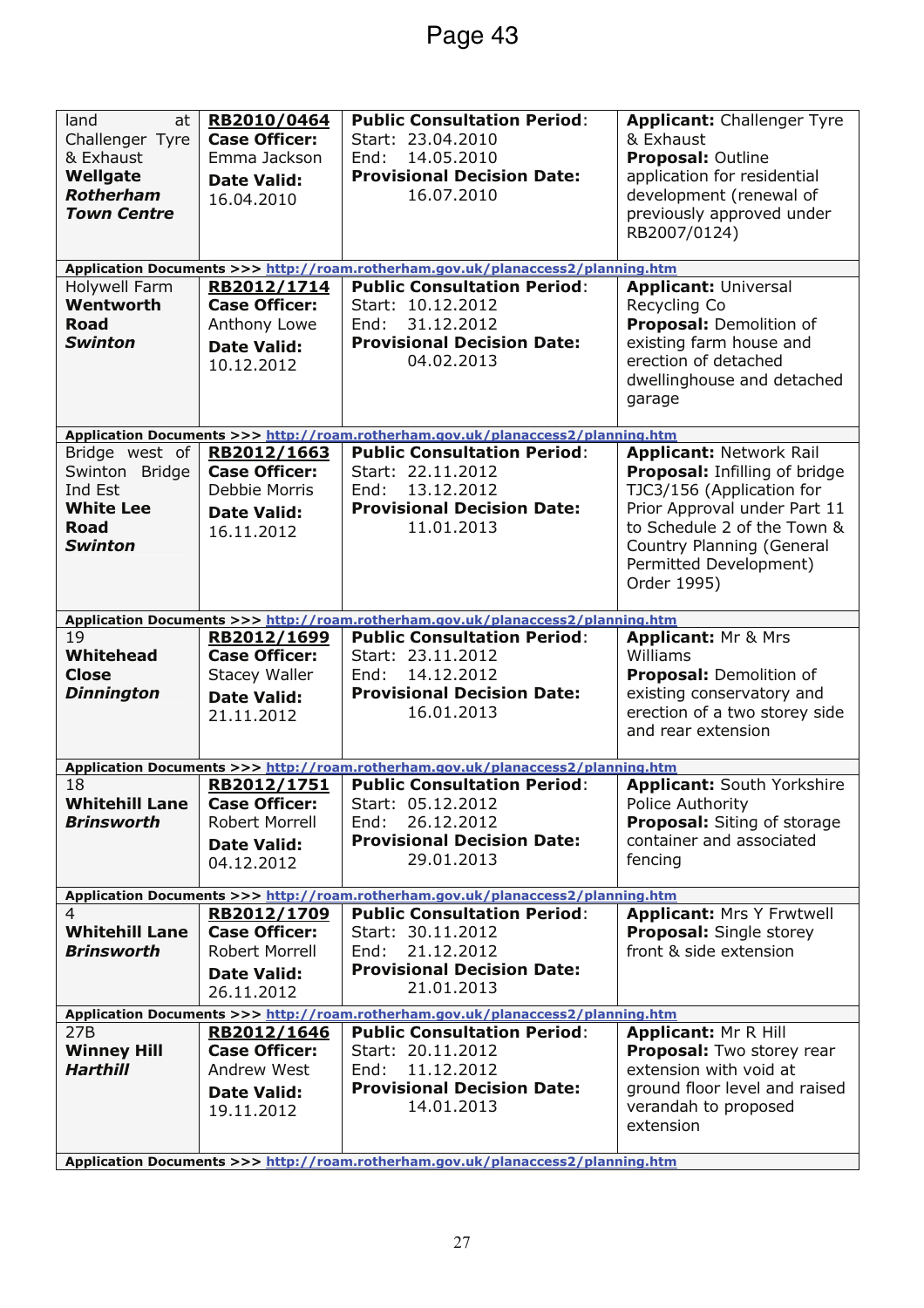| land<br>at<br>Challenger Tyre<br>& Exhaust<br>Wellgate<br>Rotherham<br><b>Town Centre</b>        | RB2010/0464<br><b>Case Officer:</b><br>Emma Jackson<br><b>Date Valid:</b><br>16.04.2010         | <b>Public Consultation Period:</b><br>Start: 23.04.2010<br>14.05.2010<br>End:<br><b>Provisional Decision Date:</b><br>16.07.2010 | <b>Applicant: Challenger Tyre</b><br>& Exhaust<br><b>Proposal: Outline</b><br>application for residential<br>development (renewal of<br>previously approved under<br>RB2007/0124)                                                 |
|--------------------------------------------------------------------------------------------------|-------------------------------------------------------------------------------------------------|----------------------------------------------------------------------------------------------------------------------------------|-----------------------------------------------------------------------------------------------------------------------------------------------------------------------------------------------------------------------------------|
|                                                                                                  |                                                                                                 | Application Documents >>> http://roam.rotherham.gov.uk/planaccess2/planning.htm                                                  |                                                                                                                                                                                                                                   |
| Holywell Farm<br>Wentworth<br><b>Road</b><br><b>Swinton</b>                                      | RB2012/1714<br><b>Case Officer:</b><br>Anthony Lowe<br><b>Date Valid:</b><br>10.12.2012         | <b>Public Consultation Period:</b><br>Start: 10.12.2012<br>31.12.2012<br>End:<br><b>Provisional Decision Date:</b><br>04.02.2013 | <b>Applicant: Universal</b><br>Recycling Co<br>Proposal: Demolition of<br>existing farm house and<br>erection of detached<br>dwellinghouse and detached<br>garage                                                                 |
|                                                                                                  |                                                                                                 | Application Documents >>> http://roam.rotherham.gov.uk/planaccess2/planning.htm                                                  |                                                                                                                                                                                                                                   |
| Bridge west of<br>Swinton Bridge<br>Ind Est<br><b>White Lee</b><br><b>Road</b><br><b>Swinton</b> | RB2012/1663<br><b>Case Officer:</b><br>Debbie Morris<br><b>Date Valid:</b><br>16.11.2012        | <b>Public Consultation Period:</b><br>Start: 22.11.2012<br>13.12.2012<br>End:<br><b>Provisional Decision Date:</b><br>11.01.2013 | <b>Applicant: Network Rail</b><br>Proposal: Infilling of bridge<br>TJC3/156 (Application for<br>Prior Approval under Part 11<br>to Schedule 2 of the Town &<br>Country Planning (General<br>Permitted Development)<br>Order 1995) |
|                                                                                                  |                                                                                                 | Application Documents >>> http://roam.rotherham.gov.uk/planaccess2/planning.htm                                                  |                                                                                                                                                                                                                                   |
| 19<br>Whitehead<br><b>Close</b><br><b>Dinnington</b>                                             | RB2012/1699<br><b>Case Officer:</b><br><b>Stacey Waller</b><br><b>Date Valid:</b><br>21.11.2012 | <b>Public Consultation Period:</b><br>Start: 23.11.2012<br>14.12.2012<br>End:<br><b>Provisional Decision Date:</b><br>16.01.2013 | Applicant: Mr & Mrs<br>Williams<br>Proposal: Demolition of<br>existing conservatory and<br>erection of a two storey side<br>and rear extension                                                                                    |
|                                                                                                  |                                                                                                 | Application Documents >>> http://roam.rotherham.gov.uk/planaccess2/planning.htm                                                  |                                                                                                                                                                                                                                   |
| 18<br><b>Whitehill Lane</b><br><b>Brinsworth</b>                                                 | RB2012/1751<br><b>Case Officer:</b><br>Robert Morrell<br><b>Date Valid:</b><br>04.12.2012       | <b>Public Consultation Period:</b><br>Start: 05.12.2012<br>26.12.2012<br>End:<br><b>Provisional Decision Date:</b><br>29.01.2013 | Applicant: South Yorkshire<br>Police Authority<br>Proposal: Siting of storage<br>container and associated<br>fencing                                                                                                              |
|                                                                                                  |                                                                                                 | Application Documents >>> http://roam.rotherham.gov.uk/planaccess2/planning.htm                                                  |                                                                                                                                                                                                                                   |
| 4<br><b>Whitehill Lane</b><br><b>Brinsworth</b>                                                  | RB2012/1709<br><b>Case Officer:</b><br>Robert Morrell<br><b>Date Valid:</b><br>26.11.2012       | <b>Public Consultation Period:</b><br>Start: 30.11.2012<br>21.12.2012<br>End:<br><b>Provisional Decision Date:</b><br>21.01.2013 | <b>Applicant: Mrs Y Frwtwell</b><br><b>Proposal:</b> Single storey<br>front & side extension                                                                                                                                      |
|                                                                                                  |                                                                                                 | Application Documents >>> http://roam.rotherham.gov.uk/planaccess2/planning.htm                                                  |                                                                                                                                                                                                                                   |
| 27B<br><b>Winney Hill</b><br><b>Harthill</b>                                                     | RB2012/1646<br><b>Case Officer:</b><br>Andrew West<br><b>Date Valid:</b><br>19.11.2012          | <b>Public Consultation Period:</b><br>Start: 20.11.2012<br>End:<br>11.12.2012<br><b>Provisional Decision Date:</b><br>14.01.2013 | <b>Applicant: Mr R Hill</b><br>Proposal: Two storey rear<br>extension with void at<br>ground floor level and raised<br>verandah to proposed<br>extension                                                                          |